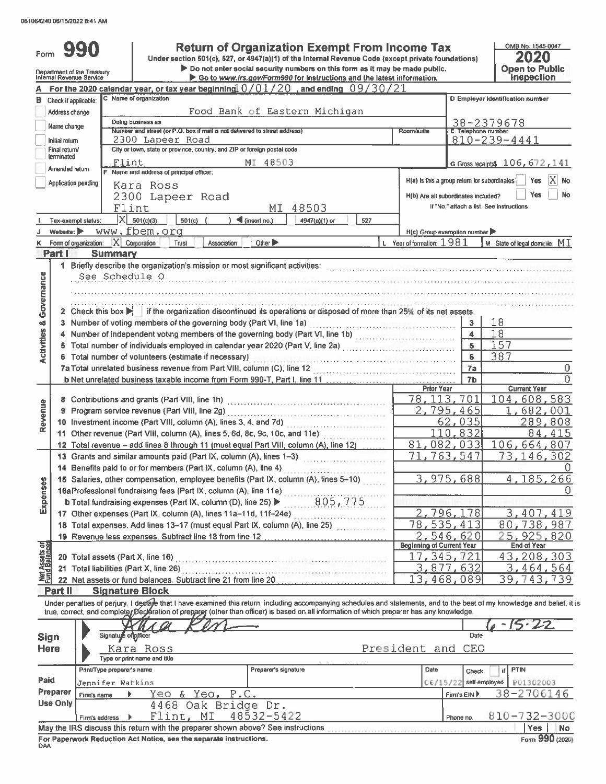| Form                                  |                                | 990                                                    | <b>Return of Organization Exempt From Income Tax</b><br>Under section 501(c), 527, or 4947(a)(1) of the Internal Revenue Code (except private foundations)                                                                                                                                                               |                                  |                                               | OMB No. 1545-0047<br>2020                |
|---------------------------------------|--------------------------------|--------------------------------------------------------|--------------------------------------------------------------------------------------------------------------------------------------------------------------------------------------------------------------------------------------------------------------------------------------------------------------------------|----------------------------------|-----------------------------------------------|------------------------------------------|
|                                       |                                | Department of the Treasury<br>Internal Revenue Service | Do not enter social security numbers on this form as it may be made public.                                                                                                                                                                                                                                              |                                  |                                               | <b>Open to Public</b><br>Inspection      |
|                                       |                                |                                                        | Go to www.irs.gov/Form990 for instructions and the latest information.<br>For the 2020 calendar year, or tax year beginning $0/01/20$ , and ending $09/30/21$                                                                                                                                                            |                                  |                                               |                                          |
|                                       | <b>B</b> Check if applicable:  |                                                        | C Name of organization                                                                                                                                                                                                                                                                                                   |                                  |                                               | D Employer identification number         |
|                                       | Address change                 |                                                        | Food Bank of Eastern Michigan                                                                                                                                                                                                                                                                                            |                                  |                                               |                                          |
|                                       |                                |                                                        | Doing business as                                                                                                                                                                                                                                                                                                        |                                  |                                               | 38-2379678                               |
|                                       | Name change                    |                                                        | Number and street (or P.O. box if mail is not delivered to street address)                                                                                                                                                                                                                                               | Room/suite                       | E Telephone number                            |                                          |
|                                       | Initial return                 |                                                        | 2300 Lapeer Road<br>City or town, state or province, country, and ZIP or foreign postal code                                                                                                                                                                                                                             |                                  |                                               | $810 - 239 - 4441$                       |
|                                       | Final return/<br>terminated    |                                                        |                                                                                                                                                                                                                                                                                                                          |                                  |                                               |                                          |
|                                       | Amended return                 | Flint                                                  | MI 48503<br>F Name and address of principal officer:                                                                                                                                                                                                                                                                     |                                  |                                               | G Gross receipts\$ 106, 672, 141         |
|                                       | Application pending            |                                                        | Kara Ross                                                                                                                                                                                                                                                                                                                |                                  | H(a) Is this a group return for subordinates: | $ X $ No<br>Yes                          |
|                                       |                                |                                                        | 2300 Lapeer Road                                                                                                                                                                                                                                                                                                         |                                  | H(b) Are all subordinates included?           | Yes<br>No                                |
|                                       |                                |                                                        | Flint<br>48503<br>MI                                                                                                                                                                                                                                                                                                     |                                  |                                               | If "No," attach a list. See instructions |
|                                       |                                | Tax-exempt status:                                     | $ X $ 501(c)(3)<br>$501(c)$ (<br>$\int$ (insert no.)<br>4947(a)(1) or<br>527                                                                                                                                                                                                                                             |                                  |                                               |                                          |
|                                       | Website: $\blacktriangleright$ |                                                        | www.fbem.org                                                                                                                                                                                                                                                                                                             |                                  | H(c) Group exemption number ▶                 |                                          |
|                                       |                                | Form of organization: X Corporation                    | Other $\blacktriangleright$<br>Trust<br>Association                                                                                                                                                                                                                                                                      | L Year of formation: $1981$      |                                               | M State of legal domicile: $M I$         |
|                                       | Part I                         | <b>Summary</b>                                         |                                                                                                                                                                                                                                                                                                                          |                                  |                                               |                                          |
|                                       |                                |                                                        | 1 Briefly describe the organization's mission or most significant activities:                                                                                                                                                                                                                                            |                                  |                                               |                                          |
| Governance                            |                                | See Schedule O                                         | <u> 1915-1923 - Samuel March (March Leibert (March March Leibert) (March March March March March March March Marc</u>                                                                                                                                                                                                    |                                  |                                               |                                          |
|                                       |                                |                                                        |                                                                                                                                                                                                                                                                                                                          |                                  |                                               |                                          |
|                                       |                                |                                                        |                                                                                                                                                                                                                                                                                                                          |                                  |                                               |                                          |
|                                       |                                |                                                        | 2 Check this box if the organization discontinued its operations or disposed of more than 25% of its net assets.                                                                                                                                                                                                         |                                  |                                               |                                          |
|                                       |                                |                                                        | 3 Number of voting members of the governing body (Part VI, line 1a)<br>2010                                                                                                                                                                                                                                              |                                  | 3                                             | 18                                       |
| <b>Activities &amp;</b>               |                                |                                                        | 4 Number of independent voting members of the governing body (Part VI, line 1b)<br>5 Total number of individuals employed in calendar year 2020 (Part V, line 2a) [[[[[[[[[[[[[[[[[[[[[[[[[[[[[[[                                                                                                                        |                                  | $\overline{\mathbf{4}}$                       | 18                                       |
|                                       |                                |                                                        | 5                                                                                                                                                                                                                                                                                                                        | 157                              |                                               |                                          |
|                                       |                                | 6 Total number of volunteers (estimate if necessary)   | 6                                                                                                                                                                                                                                                                                                                        | 387                              |                                               |                                          |
|                                       |                                |                                                        |                                                                                                                                                                                                                                                                                                                          |                                  | 7a<br>7b                                      | 0<br>Ω                                   |
|                                       |                                |                                                        |                                                                                                                                                                                                                                                                                                                          | <b>Prior Year</b>                |                                               | <b>Current Year</b>                      |
|                                       | 8                              |                                                        |                                                                                                                                                                                                                                                                                                                          |                                  | 78, 113, 701                                  | 104,608,583                              |
| Revenue                               | 9                              |                                                        |                                                                                                                                                                                                                                                                                                                          |                                  | 2,795,465                                     | 1,682,001                                |
|                                       |                                |                                                        | 10 Investment income (Part VIII, column (A), lines 3, 4, and 7d)                                                                                                                                                                                                                                                         |                                  | 62,035                                        | 289,808                                  |
|                                       |                                |                                                        | 11 Other revenue (Part VIII, column (A), lines 5, 6d, 8c, 9c, 10c, and 11e)                                                                                                                                                                                                                                              |                                  | 110,832                                       | 84,415                                   |
|                                       |                                |                                                        | 12 Total revenue - add lines 8 through 11 (must equal Part VIII, column (A), line 12)                                                                                                                                                                                                                                    | 81,082,033                       | 106,664,807                                   |                                          |
|                                       |                                |                                                        | 13 Grants and similar amounts paid (Part IX, column (A), lines 1-3)                                                                                                                                                                                                                                                      |                                  | 71,763,547                                    | 73,146,302                               |
|                                       |                                |                                                        | 14 Benefits paid to or for members (Part IX, column (A), line 4)                                                                                                                                                                                                                                                         |                                  |                                               |                                          |
| 9                                     |                                |                                                        | 15 Salaries, other compensation, employee benefits (Part IX, column (A), lines 5-10)                                                                                                                                                                                                                                     |                                  | 3,975,688                                     | 4,185,266                                |
|                                       |                                |                                                        | 16a Professional fundraising fees (Part IX, column (A), line 11e)                                                                                                                                                                                                                                                        |                                  |                                               | $\overline{0}$                           |
| Expense                               |                                |                                                        | 805,775<br>b Total fundraising expenses (Part IX, column (D), line 25) ▶                                                                                                                                                                                                                                                 |                                  | 2,796,178                                     |                                          |
|                                       |                                |                                                        | 17 Other expenses (Part IX, column (A), lines 11a-11d, 11f-24e)<br>18 Total expenses. Add lines 13-17 (must equal Part IX, column (A), line 25)                                                                                                                                                                          | $\overline{78}$ .                | $\overline{535, 413}$                         | 3,407,419<br>80,738,987                  |
|                                       |                                |                                                        | 19 Revenue less expenses. Subtract line 18 from line 12                                                                                                                                                                                                                                                                  |                                  | 2,546,620                                     | 5,925,820                                |
|                                       |                                |                                                        |                                                                                                                                                                                                                                                                                                                          | <b>Beginning of Current Year</b> |                                               | <b>End of Year</b>                       |
| Net Assets or<br><b>Fund Balances</b> |                                |                                                        | 20 Total assets (Part X, line 16) [11] March 20 Total assets (Part X, line 26) [11] March 20 Total assets (Part X, line 20)                                                                                                                                                                                              |                                  | 17,345,721                                    | 43,208,303                               |
|                                       |                                | 21 Total liabilities (Part X, line 26)                 |                                                                                                                                                                                                                                                                                                                          |                                  | 3,877,632                                     | 3,464,564                                |
|                                       |                                |                                                        |                                                                                                                                                                                                                                                                                                                          | 13,468,                          | 089                                           | 39,743,739                               |
|                                       | Part II                        | <b>Signature Block</b>                                 |                                                                                                                                                                                                                                                                                                                          |                                  |                                               |                                          |
|                                       |                                |                                                        | Under penalties of perjury. I declare that I have examined this return, including accompanying schedules and statements, and to the best of my knowledge and belief, it is<br>true, correct, and completer Declaration of preparer (other than officer) is based on all information of which preparer has any knowledge. |                                  |                                               |                                          |
|                                       |                                |                                                        |                                                                                                                                                                                                                                                                                                                          |                                  |                                               |                                          |
| <b>Sign</b>                           |                                | Signature of officer                                   |                                                                                                                                                                                                                                                                                                                          |                                  | Date                                          |                                          |
| Here                                  |                                |                                                        | Kara Ross                                                                                                                                                                                                                                                                                                                | President and CEO                |                                               |                                          |
|                                       |                                |                                                        | Type or print name and title                                                                                                                                                                                                                                                                                             |                                  |                                               |                                          |
|                                       |                                | Print/Type preparer's name                             | Preparer's signature                                                                                                                                                                                                                                                                                                     | Date                             | Check                                         | <b>PTIN</b><br>if                        |
| Paid                                  |                                | Jennifer Watkins                                       |                                                                                                                                                                                                                                                                                                                          |                                  | 06/15/22                                      | self-employed<br>P01302003               |
|                                       | Preparer                       | Firm's name<br>Þ                                       | Yeo & Yeo,<br>P.C.                                                                                                                                                                                                                                                                                                       |                                  | Firm's EIN                                    | 38-2706146                               |
|                                       | Use Only                       |                                                        | 4468 Oak Bridge Dr.                                                                                                                                                                                                                                                                                                      |                                  |                                               |                                          |
|                                       |                                | Firm's address<br>Þ                                    | 48532-5422<br>Flint, MI                                                                                                                                                                                                                                                                                                  |                                  | Phone no                                      | 810-732-3000                             |
|                                       |                                |                                                        | May the IRS discuss this return with the preparer shown above? See instructions                                                                                                                                                                                                                                          |                                  |                                               | Yes<br>No                                |
| DAA                                   |                                |                                                        | For Paperwork Reduction Act Notice, see the separate instructions.                                                                                                                                                                                                                                                       |                                  |                                               | Form 990 (2020)                          |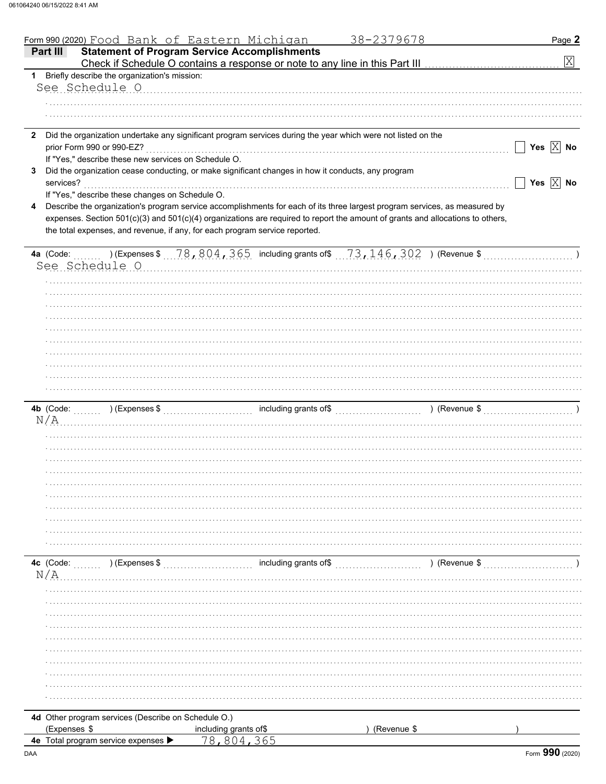|    |              | Form 990 (2020) Food Bank of Eastern Michigan        |                                                                                                    | 38-2379678                                                                                                                                                  | Page 2                |
|----|--------------|------------------------------------------------------|----------------------------------------------------------------------------------------------------|-------------------------------------------------------------------------------------------------------------------------------------------------------------|-----------------------|
|    | Part III     |                                                      | <b>Statement of Program Service Accomplishments</b>                                                |                                                                                                                                                             |                       |
|    |              |                                                      |                                                                                                    |                                                                                                                                                             | $\mathbf{X}$          |
|    |              | 1 Briefly describe the organization's mission:       |                                                                                                    |                                                                                                                                                             |                       |
|    |              | See Schedule O                                       |                                                                                                    |                                                                                                                                                             |                       |
|    |              |                                                      |                                                                                                    |                                                                                                                                                             |                       |
|    |              |                                                      |                                                                                                    |                                                                                                                                                             |                       |
|    |              |                                                      |                                                                                                    |                                                                                                                                                             |                       |
|    |              |                                                      |                                                                                                    | 2 Did the organization undertake any significant program services during the year which were not listed on the                                              |                       |
|    |              | prior Form 990 or 990-EZ?                            |                                                                                                    |                                                                                                                                                             | Yes $\overline{X}$ No |
|    |              | If "Yes," describe these new services on Schedule O. |                                                                                                    |                                                                                                                                                             |                       |
| 3  |              |                                                      | Did the organization cease conducting, or make significant changes in how it conducts, any program |                                                                                                                                                             |                       |
|    | services?    |                                                      |                                                                                                    |                                                                                                                                                             | Yes $\overline{X}$ No |
|    |              | If "Yes," describe these changes on Schedule O.      |                                                                                                    |                                                                                                                                                             |                       |
|    |              |                                                      |                                                                                                    |                                                                                                                                                             |                       |
| 4  |              |                                                      |                                                                                                    | Describe the organization's program service accomplishments for each of its three largest program services, as measured by                                  |                       |
|    |              |                                                      |                                                                                                    | expenses. Section 501(c)(3) and 501(c)(4) organizations are required to report the amount of grants and allocations to others,                              |                       |
|    |              |                                                      | the total expenses, and revenue, if any, for each program service reported.                        |                                                                                                                                                             |                       |
|    |              |                                                      |                                                                                                    |                                                                                                                                                             |                       |
|    | 4a (Code:    |                                                      |                                                                                                    | )(Expenses \$ $\ldots$ $78$ , $804$ , $365$ $\,$ including grants of\$ $\ldots$ $73$ , $146$ , $302$ $\,$ ) (Revenue \$ $\ldots$ $\ldots$ $\ldots$ $\ldots$ |                       |
|    |              | See Schedule O                                       |                                                                                                    |                                                                                                                                                             |                       |
|    |              |                                                      |                                                                                                    |                                                                                                                                                             |                       |
|    |              |                                                      |                                                                                                    |                                                                                                                                                             |                       |
|    |              |                                                      |                                                                                                    |                                                                                                                                                             |                       |
|    |              |                                                      |                                                                                                    |                                                                                                                                                             |                       |
|    |              |                                                      |                                                                                                    |                                                                                                                                                             |                       |
|    |              |                                                      |                                                                                                    |                                                                                                                                                             |                       |
|    |              |                                                      |                                                                                                    |                                                                                                                                                             |                       |
|    |              |                                                      |                                                                                                    |                                                                                                                                                             |                       |
|    |              |                                                      |                                                                                                    |                                                                                                                                                             |                       |
|    |              |                                                      |                                                                                                    |                                                                                                                                                             |                       |
|    |              |                                                      |                                                                                                    |                                                                                                                                                             |                       |
|    |              |                                                      |                                                                                                    |                                                                                                                                                             |                       |
|    |              |                                                      |                                                                                                    |                                                                                                                                                             |                       |
|    | N/A          |                                                      |                                                                                                    |                                                                                                                                                             |                       |
|    |              |                                                      |                                                                                                    |                                                                                                                                                             |                       |
|    |              |                                                      |                                                                                                    |                                                                                                                                                             |                       |
|    |              |                                                      |                                                                                                    |                                                                                                                                                             |                       |
|    |              |                                                      |                                                                                                    |                                                                                                                                                             |                       |
|    |              |                                                      |                                                                                                    |                                                                                                                                                             |                       |
|    |              |                                                      |                                                                                                    |                                                                                                                                                             |                       |
|    |              |                                                      |                                                                                                    |                                                                                                                                                             |                       |
|    |              |                                                      |                                                                                                    |                                                                                                                                                             |                       |
|    |              |                                                      |                                                                                                    |                                                                                                                                                             |                       |
|    |              |                                                      |                                                                                                    |                                                                                                                                                             |                       |
|    |              |                                                      |                                                                                                    |                                                                                                                                                             |                       |
|    | 4c (Code:    |                                                      |                                                                                                    |                                                                                                                                                             |                       |
| N/ |              |                                                      |                                                                                                    |                                                                                                                                                             |                       |
|    |              |                                                      |                                                                                                    |                                                                                                                                                             |                       |
|    |              |                                                      |                                                                                                    |                                                                                                                                                             |                       |
|    |              |                                                      |                                                                                                    |                                                                                                                                                             |                       |
|    |              |                                                      |                                                                                                    |                                                                                                                                                             |                       |
|    |              |                                                      |                                                                                                    |                                                                                                                                                             |                       |
|    |              |                                                      |                                                                                                    |                                                                                                                                                             |                       |
|    |              |                                                      |                                                                                                    |                                                                                                                                                             |                       |
|    |              |                                                      |                                                                                                    |                                                                                                                                                             |                       |
|    |              |                                                      |                                                                                                    |                                                                                                                                                             |                       |
|    |              |                                                      |                                                                                                    |                                                                                                                                                             |                       |
|    |              |                                                      |                                                                                                    |                                                                                                                                                             |                       |
|    |              |                                                      |                                                                                                    |                                                                                                                                                             |                       |
|    |              | 4d Other program services (Describe on Schedule O.)  |                                                                                                    |                                                                                                                                                             |                       |
|    | (Expenses \$ |                                                      | including grants of\$                                                                              | (Revenue \$                                                                                                                                                 |                       |
|    |              | 4e Total program service expenses >                  | 78,804,365                                                                                         |                                                                                                                                                             |                       |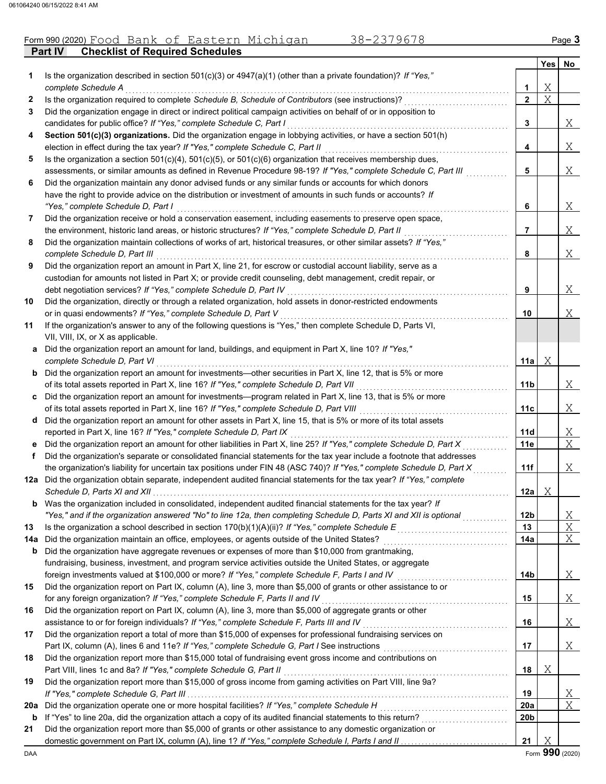### **Part IV Checklist of Required Schedules** Form 990 (2020) Page **3** Food Bank of Eastern Michigan 38-2379678

|     |                                                                                                                                                                                              |                 | Yes | No.    |
|-----|----------------------------------------------------------------------------------------------------------------------------------------------------------------------------------------------|-----------------|-----|--------|
| 1   | Is the organization described in section $501(c)(3)$ or $4947(a)(1)$ (other than a private foundation)? If "Yes,"                                                                            |                 |     |        |
|     | complete Schedule A                                                                                                                                                                          | 1               | Χ   |        |
| 2   | Is the organization required to complete Schedule B, Schedule of Contributors (see instructions)?                                                                                            | $\mathbf{2}$    | X   |        |
| 3   | Did the organization engage in direct or indirect political campaign activities on behalf of or in opposition to                                                                             |                 |     |        |
|     | candidates for public office? If "Yes," complete Schedule C, Part I<br>Section 501(c)(3) organizations. Did the organization engage in lobbying activities, or have a section 501(h)         | 3               |     | Χ      |
| 4   | election in effect during the tax year? If "Yes," complete Schedule C, Part II                                                                                                               | 4               |     | Χ      |
| 5   | Is the organization a section $501(c)(4)$ , $501(c)(5)$ , or $501(c)(6)$ organization that receives membership dues,                                                                         |                 |     |        |
|     | assessments, or similar amounts as defined in Revenue Procedure 98-19? If "Yes," complete Schedule C, Part III                                                                               | 5               |     | Χ      |
| 6   | Did the organization maintain any donor advised funds or any similar funds or accounts for which donors                                                                                      |                 |     |        |
|     | have the right to provide advice on the distribution or investment of amounts in such funds or accounts? If                                                                                  |                 |     |        |
|     | "Yes," complete Schedule D, Part I                                                                                                                                                           | 6               |     | Χ      |
| 7   | Did the organization receive or hold a conservation easement, including easements to preserve open space,                                                                                    |                 |     |        |
|     | the environment, historic land areas, or historic structures? If "Yes," complete Schedule D, Part II                                                                                         | $\overline{7}$  |     | Χ      |
| 8   | Did the organization maintain collections of works of art, historical treasures, or other similar assets? If "Yes,"                                                                          |                 |     |        |
|     | complete Schedule D, Part III                                                                                                                                                                | 8               |     | Χ      |
| 9   | Did the organization report an amount in Part X, line 21, for escrow or custodial account liability, serve as a                                                                              |                 |     |        |
|     | custodian for amounts not listed in Part X; or provide credit counseling, debt management, credit repair, or                                                                                 |                 |     |        |
|     | debt negotiation services? If "Yes," complete Schedule D, Part IV                                                                                                                            | 9               |     | Χ      |
| 10  | Did the organization, directly or through a related organization, hold assets in donor-restricted endowments                                                                                 |                 |     |        |
|     | or in quasi endowments? If "Yes," complete Schedule D, Part V                                                                                                                                | 10              |     | Χ      |
| 11  | If the organization's answer to any of the following questions is "Yes," then complete Schedule D, Parts VI,                                                                                 |                 |     |        |
|     | VII, VIII, IX, or X as applicable.                                                                                                                                                           |                 |     |        |
| а   | Did the organization report an amount for land, buildings, and equipment in Part X, line 10? If "Yes,"                                                                                       |                 |     |        |
|     | complete Schedule D, Part VI                                                                                                                                                                 | 11a             | Χ   |        |
| b   | Did the organization report an amount for investments—other securities in Part X, line 12, that is 5% or more                                                                                |                 |     |        |
|     | of its total assets reported in Part X, line 16? If "Yes," complete Schedule D, Part VII                                                                                                     | 11b             |     | Χ      |
|     | Did the organization report an amount for investments—program related in Part X, line 13, that is 5% or more                                                                                 |                 |     |        |
|     | of its total assets reported in Part X, line 16? If "Yes," complete Schedule D, Part VIII                                                                                                    | 11c             |     | Χ      |
| d   | Did the organization report an amount for other assets in Part X, line 15, that is 5% or more of its total assets                                                                            | 11d             |     |        |
|     | reported in Part X, line 16? If "Yes," complete Schedule D, Part IX<br>Did the organization report an amount for other liabilities in Part X, line 25? If "Yes," complete Schedule D, Part X | 11e             |     | Χ<br>X |
| f   | Did the organization's separate or consolidated financial statements for the tax year include a footnote that addresses                                                                      |                 |     |        |
|     | the organization's liability for uncertain tax positions under FIN 48 (ASC 740)? If "Yes," complete Schedule D, Part X                                                                       | 11f             |     | Χ      |
|     | 12a Did the organization obtain separate, independent audited financial statements for the tax year? If "Yes," complete                                                                      |                 |     |        |
|     | Schedule D, Parts XI and XII                                                                                                                                                                 | 12a             | Χ   |        |
|     | <b>b</b> Was the organization included in consolidated, independent audited financial statements for the tax year? If                                                                        |                 |     |        |
|     | "Yes," and if the organization answered "No" to line 12a, then completing Schedule D, Parts XI and XII is optional                                                                           | 12 <sub>b</sub> |     | Χ      |
| 13  | Is the organization a school described in section 170(b)(1)(A)(ii)? If "Yes," complete Schedule $E$                                                                                          | 13              |     | Χ      |
| 14a | Did the organization maintain an office, employees, or agents outside of the United States?                                                                                                  | 14a             |     | Χ      |
| b   | Did the organization have aggregate revenues or expenses of more than \$10,000 from grantmaking,                                                                                             |                 |     |        |
|     | fundraising, business, investment, and program service activities outside the United States, or aggregate                                                                                    |                 |     |        |
|     | foreign investments valued at \$100,000 or more? If "Yes," complete Schedule F, Parts I and IV [[[[[[[[[[[[[[[[                                                                              | 14 <sub>b</sub> |     | X      |
| 15  | Did the organization report on Part IX, column (A), line 3, more than \$5,000 of grants or other assistance to or                                                                            |                 |     |        |
|     | for any foreign organization? If "Yes," complete Schedule F, Parts II and IV                                                                                                                 | 15              |     | Χ      |
| 16  | Did the organization report on Part IX, column (A), line 3, more than \$5,000 of aggregate grants or other                                                                                   |                 |     |        |
|     | assistance to or for foreign individuals? If "Yes," complete Schedule F, Parts III and IV                                                                                                    | 16              |     | Χ      |
| 17  | Did the organization report a total of more than \$15,000 of expenses for professional fundraising services on                                                                               |                 |     |        |
|     |                                                                                                                                                                                              | 17              |     | X      |
| 18  | Did the organization report more than \$15,000 total of fundraising event gross income and contributions on                                                                                  |                 |     |        |
|     | Part VIII, lines 1c and 8a? If "Yes," complete Schedule G, Part II                                                                                                                           | 18              | Χ   |        |
| 19  | Did the organization report more than \$15,000 of gross income from gaming activities on Part VIII, line 9a?                                                                                 |                 |     |        |
|     |                                                                                                                                                                                              | 19              |     | Χ      |
| 20a | Did the organization operate one or more hospital facilities? If "Yes," complete Schedule H                                                                                                  | <b>20a</b>      |     | Χ      |
| b   |                                                                                                                                                                                              | 20b             |     |        |
| 21  | Did the organization report more than \$5,000 of grants or other assistance to any domestic organization or                                                                                  | 21              | Χ   |        |
|     |                                                                                                                                                                                              |                 |     |        |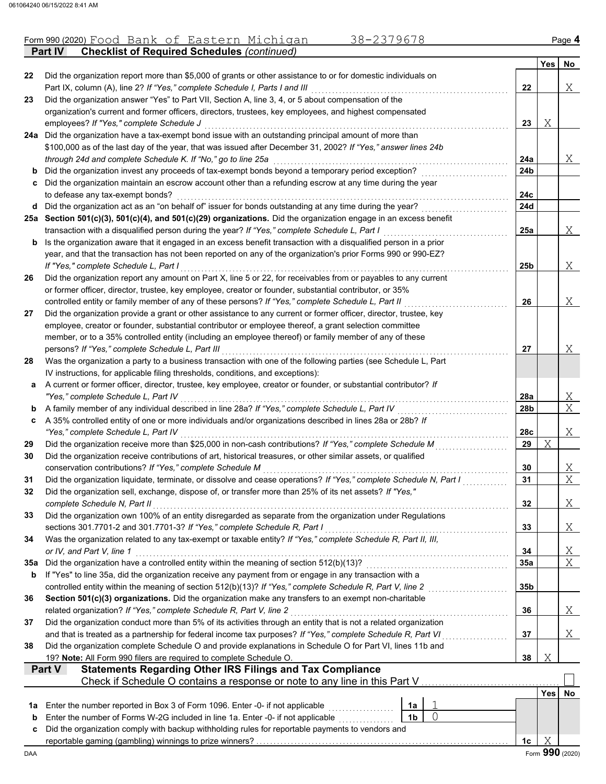|     | 38-2379678<br>Form 990 (2020) Food Bank of Eastern Michigan                                                                                                                        |                |                |           |            | Page 4                  |
|-----|------------------------------------------------------------------------------------------------------------------------------------------------------------------------------------|----------------|----------------|-----------|------------|-------------------------|
|     | <b>Checklist of Required Schedules (continued)</b><br><b>Part IV</b>                                                                                                               |                |                |           |            |                         |
|     |                                                                                                                                                                                    |                |                |           | Yes l      | No                      |
| 22  | Did the organization report more than \$5,000 of grants or other assistance to or for domestic individuals on                                                                      |                |                |           |            | Χ                       |
| 23  | Part IX, column (A), line 2? If "Yes," complete Schedule I, Parts I and III<br>Did the organization answer "Yes" to Part VII, Section A, line 3, 4, or 5 about compensation of the |                |                | 22        |            |                         |
|     | organization's current and former officers, directors, trustees, key employees, and highest compensated                                                                            |                |                |           |            |                         |
|     | employees? If "Yes," complete Schedule J                                                                                                                                           |                |                | 23        | Χ          |                         |
|     | 24a Did the organization have a tax-exempt bond issue with an outstanding principal amount of more than                                                                            |                |                |           |            |                         |
|     | \$100,000 as of the last day of the year, that was issued after December 31, 2002? If "Yes," answer lines 24b                                                                      |                |                |           |            |                         |
|     | through 24d and complete Schedule K. If "No," go to line 25a                                                                                                                       |                |                | 24a       |            | Χ                       |
|     | <b>b</b> Did the organization invest any proceeds of tax-exempt bonds beyond a temporary period exception?                                                                         |                |                | 24b       |            |                         |
|     | c Did the organization maintain an escrow account other than a refunding escrow at any time during the year                                                                        |                |                |           |            |                         |
|     | to defease any tax-exempt bonds?                                                                                                                                                   |                |                | 24c       |            |                         |
|     | d Did the organization act as an "on behalf of" issuer for bonds outstanding at any time during the year?                                                                          |                |                | 24d       |            |                         |
|     | 25a Section 501(c)(3), 501(c)(4), and 501(c)(29) organizations. Did the organization engage in an excess benefit                                                                   |                |                |           |            |                         |
|     | transaction with a disqualified person during the year? If "Yes," complete Schedule L, Part I                                                                                      |                |                | 25a       |            | Χ                       |
| b   | Is the organization aware that it engaged in an excess benefit transaction with a disqualified person in a prior                                                                   |                |                |           |            |                         |
|     | year, and that the transaction has not been reported on any of the organization's prior Forms 990 or 990-EZ?                                                                       |                |                |           |            | Χ                       |
| 26  | If "Yes," complete Schedule L, Part I<br>Did the organization report any amount on Part X, line 5 or 22, for receivables from or payables to any current                           |                |                | 25b       |            |                         |
|     | or former officer, director, trustee, key employee, creator or founder, substantial contributor, or 35%                                                                            |                |                |           |            |                         |
|     | controlled entity or family member of any of these persons? If "Yes," complete Schedule L, Part II                                                                                 |                |                | 26        |            | Χ                       |
| 27  | Did the organization provide a grant or other assistance to any current or former officer, director, trustee, key                                                                  |                |                |           |            |                         |
|     | employee, creator or founder, substantial contributor or employee thereof, a grant selection committee                                                                             |                |                |           |            |                         |
|     | member, or to a 35% controlled entity (including an employee thereof) or family member of any of these                                                                             |                |                |           |            |                         |
|     | persons? If "Yes," complete Schedule L, Part III                                                                                                                                   |                |                | 27        |            | Χ                       |
| 28  | Was the organization a party to a business transaction with one of the following parties (see Schedule L, Part                                                                     |                |                |           |            |                         |
|     | IV instructions, for applicable filing thresholds, conditions, and exceptions):                                                                                                    |                |                |           |            |                         |
| a   | A current or former officer, director, trustee, key employee, creator or founder, or substantial contributor? If                                                                   |                |                |           |            |                         |
|     | "Yes," complete Schedule L, Part IV                                                                                                                                                |                |                | 28a       |            | X                       |
| b   | A family member of any individual described in line 28a? If "Yes," complete Schedule L, Part IV                                                                                    |                |                | 28b       |            | $\overline{X}$          |
| c   | A 35% controlled entity of one or more individuals and/or organizations described in lines 28a or 28b? If                                                                          |                |                |           |            |                         |
| 29  | "Yes," complete Schedule L, Part IV<br>Did the organization receive more than \$25,000 in non-cash contributions? If "Yes," complete Schedule M                                    |                |                | 28c<br>29 | X          | Χ                       |
| 30  | Did the organization receive contributions of art, historical treasures, or other similar assets, or qualified                                                                     |                |                |           |            |                         |
|     | conservation contributions? If "Yes," complete Schedule M                                                                                                                          |                |                | 30        |            | Χ                       |
| 31  | Did the organization liquidate, terminate, or dissolve and cease operations? If "Yes," complete Schedule N, Part I                                                                 |                |                | 31        |            | $\overline{\mathrm{X}}$ |
| 32  | Did the organization sell, exchange, dispose of, or transfer more than 25% of its net assets? If "Yes,"                                                                            |                |                |           |            |                         |
|     | complete Schedule N, Part II                                                                                                                                                       |                |                | 32        |            | Χ                       |
| 33  | Did the organization own 100% of an entity disregarded as separate from the organization under Regulations                                                                         |                |                |           |            |                         |
|     | sections 301.7701-2 and 301.7701-3? If "Yes," complete Schedule R, Part I                                                                                                          |                |                | 33        |            | Χ                       |
| 34  | Was the organization related to any tax-exempt or taxable entity? If "Yes," complete Schedule R, Part II, III,                                                                     |                |                |           |            |                         |
|     | or IV, and Part V, line 1                                                                                                                                                          |                |                | 34        |            | <u>X</u>                |
|     | 35a Did the organization have a controlled entity within the meaning of section 512(b)(13)?                                                                                        |                |                | 35a       |            | $\overline{X}$          |
| b   | If "Yes" to line 35a, did the organization receive any payment from or engage in any transaction with a                                                                            |                |                |           |            |                         |
|     | controlled entity within the meaning of section 512(b)(13)? If "Yes," complete Schedule R, Part V, line 2                                                                          |                |                | 35b       |            |                         |
| 36  | Section 501(c)(3) organizations. Did the organization make any transfers to an exempt non-charitable<br>related organization? If "Yes," complete Schedule R, Part V, line 2        |                |                | 36        |            | Χ                       |
| 37  | Did the organization conduct more than 5% of its activities through an entity that is not a related organization                                                                   |                |                |           |            |                         |
|     | and that is treated as a partnership for federal income tax purposes? If "Yes," complete Schedule R, Part VI                                                                       |                |                | 37        |            | Χ                       |
| 38  | Did the organization complete Schedule O and provide explanations in Schedule O for Part VI, lines 11b and                                                                         |                |                |           |            |                         |
|     | 19? Note: All Form 990 filers are required to complete Schedule O.                                                                                                                 |                |                | 38        | Χ          |                         |
|     | <b>Statements Regarding Other IRS Filings and Tax Compliance</b><br>Part V                                                                                                         |                |                |           |            |                         |
|     | Check if Schedule O contains a response or note to any line in this Part V                                                                                                         |                |                |           |            |                         |
|     |                                                                                                                                                                                    |                |                |           | <b>Yes</b> | No.                     |
| 1a  | Enter the number reported in Box 3 of Form 1096. Enter -0- if not applicable                                                                                                       | 1a             |                |           |            |                         |
| b   | Enter the number of Forms W-2G included in line 1a. Enter -0- if not applicable                                                                                                    | 1 <sub>b</sub> | $\overline{0}$ |           |            |                         |
| c   | Did the organization comply with backup withholding rules for reportable payments to vendors and                                                                                   |                |                |           |            |                         |
|     |                                                                                                                                                                                    |                |                | 1c        | Χ          |                         |
| DAA |                                                                                                                                                                                    |                |                |           |            | Form 990 (2020)         |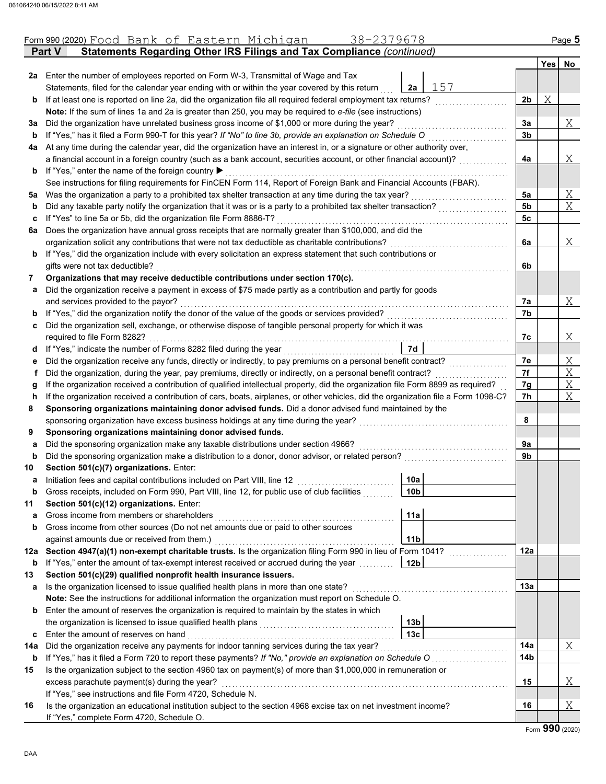|     | 38-2379678<br>Form 990 (2020) Food Bank of Eastern Michigan                                                                        |                |     | Page 5 |
|-----|------------------------------------------------------------------------------------------------------------------------------------|----------------|-----|--------|
|     | Statements Regarding Other IRS Filings and Tax Compliance (continued)<br><b>Part V</b>                                             |                |     |        |
|     |                                                                                                                                    |                | Yes | No     |
|     | 2a Enter the number of employees reported on Form W-3, Transmittal of Wage and Tax                                                 |                |     |        |
|     | 157<br>Statements, filed for the calendar year ending with or within the year covered by this return<br>2a                         |                |     |        |
| b   | If at least one is reported on line 2a, did the organization file all required federal employment tax returns?                     | 2b             | Χ   |        |
|     | Note: If the sum of lines 1a and 2a is greater than 250, you may be required to e-file (see instructions)                          |                |     |        |
| за  | Did the organization have unrelated business gross income of \$1,000 or more during the year?                                      | За             |     | Χ      |
| b   | If "Yes," has it filed a Form 990-T for this year? If "No" to line 3b, provide an explanation on Schedule O                        | 3 <sub>b</sub> |     |        |
|     | 4a At any time during the calendar year, did the organization have an interest in, or a signature or other authority over,         |                |     |        |
|     | a financial account in a foreign country (such as a bank account, securities account, or other financial account)?                 | 4a             |     | Χ      |
| b   | If "Yes," enter the name of the foreign country ▶                                                                                  |                |     |        |
|     | See instructions for filing requirements for FinCEN Form 114, Report of Foreign Bank and Financial Accounts (FBAR).                |                |     |        |
| 5a  | Was the organization a party to a prohibited tax shelter transaction at any time during the tax year?                              | 5a             |     | Χ      |
| b   | Did any taxable party notify the organization that it was or is a party to a prohibited tax shelter transaction?                   | 5 <sub>b</sub> |     | X      |
| c   | If "Yes" to line 5a or 5b, did the organization file Form 8886-T?                                                                  | 5c             |     |        |
| 6а  | Does the organization have annual gross receipts that are normally greater than \$100,000, and did the                             |                |     |        |
|     | organization solicit any contributions that were not tax deductible as charitable contributions?                                   | 6a             |     | Χ      |
| b   | If "Yes," did the organization include with every solicitation an express statement that such contributions or                     |                |     |        |
|     | gifts were not tax deductible?                                                                                                     | 6b             |     |        |
| 7   | Organizations that may receive deductible contributions under section 170(c).                                                      |                |     |        |
| a   | Did the organization receive a payment in excess of \$75 made partly as a contribution and partly for goods                        |                |     |        |
|     | and services provided to the payor?                                                                                                | 7a             |     | Χ      |
| b   | If "Yes," did the organization notify the donor of the value of the goods or services provided?                                    | 7b             |     |        |
| С   | Did the organization sell, exchange, or otherwise dispose of tangible personal property for which it was                           |                |     |        |
|     | required to file Form 8282?                                                                                                        | 7c             |     | Χ      |
| d   | <b>7d</b>                                                                                                                          |                |     |        |
| е   | Did the organization receive any funds, directly or indirectly, to pay premiums on a personal benefit contract?                    | 7e             |     | Χ      |
| f.  | Did the organization, during the year, pay premiums, directly or indirectly, on a personal benefit contract?                       | 7f             |     | X      |
| g   | If the organization received a contribution of qualified intellectual property, did the organization file Form 8899 as required?   | 7g             |     | Χ      |
| h   | If the organization received a contribution of cars, boats, airplanes, or other vehicles, did the organization file a Form 1098-C? | 7h             |     | Χ      |
| 8   | Sponsoring organizations maintaining donor advised funds. Did a donor advised fund maintained by the                               |                |     |        |
|     | sponsoring organization have excess business holdings at any time during the year?                                                 | 8              |     |        |
| 9   | Sponsoring organizations maintaining donor advised funds.                                                                          |                |     |        |
| a   | Did the sponsoring organization make any taxable distributions under section 4966?                                                 | 9а             |     |        |
| b   | Did the sponsoring organization make a distribution to a donor, donor advisor, or related person?                                  | 9b             |     |        |
| 10  | Section 501(c)(7) organizations. Enter:                                                                                            |                |     |        |
|     | 10a<br>Initiation fees and capital contributions included on Part VIII, line 12 [11] [11] [12] [11] [11] [12] [11] [1              |                |     |        |
| b   | Gross receipts, included on Form 990, Part VIII, line 12, for public use of club facilities<br>10b                                 |                |     |        |
| 11  | Section 501(c)(12) organizations. Enter:                                                                                           |                |     |        |
| a   | 11a<br>Gross income from members or shareholders                                                                                   |                |     |        |
| b   | Gross income from other sources (Do not net amounts due or paid to other sources                                                   |                |     |        |
|     | against amounts due or received from them.)<br>11 <sub>b</sub>                                                                     |                |     |        |
| 12a | Section 4947(a)(1) non-exempt charitable trusts. Is the organization filing Form 990 in lieu of Form 1041?                         | 12a            |     |        |
| b   | If "Yes," enter the amount of tax-exempt interest received or accrued during the year<br>12b                                       |                |     |        |
| 13  | Section 501(c)(29) qualified nonprofit health insurance issuers.                                                                   |                |     |        |
| a   | Is the organization licensed to issue qualified health plans in more than one state?                                               | 13a            |     |        |
|     | Note: See the instructions for additional information the organization must report on Schedule O.                                  |                |     |        |
| b   | Enter the amount of reserves the organization is required to maintain by the states in which                                       |                |     |        |
|     | 13b                                                                                                                                |                |     |        |
| c   | Enter the amount of reserves on hand<br>13 <sub>c</sub>                                                                            |                |     |        |
| 14a | Did the organization receive any payments for indoor tanning services during the tax year?                                         | 14a            |     | Χ      |
| b   | If "Yes," has it filed a Form 720 to report these payments? If "No," provide an explanation on Schedule O                          | 14b            |     |        |
| 15  | Is the organization subject to the section 4960 tax on payment(s) of more than \$1,000,000 in remuneration or                      |                |     |        |
|     | excess parachute payment(s) during the year?                                                                                       | 15             |     | Χ      |
|     | If "Yes," see instructions and file Form 4720, Schedule N.                                                                         |                |     |        |
| 16  | Is the organization an educational institution subject to the section 4968 excise tax on net investment income?                    | 16             |     | Χ      |
|     | If "Yes," complete Form 4720, Schedule O.                                                                                          |                |     |        |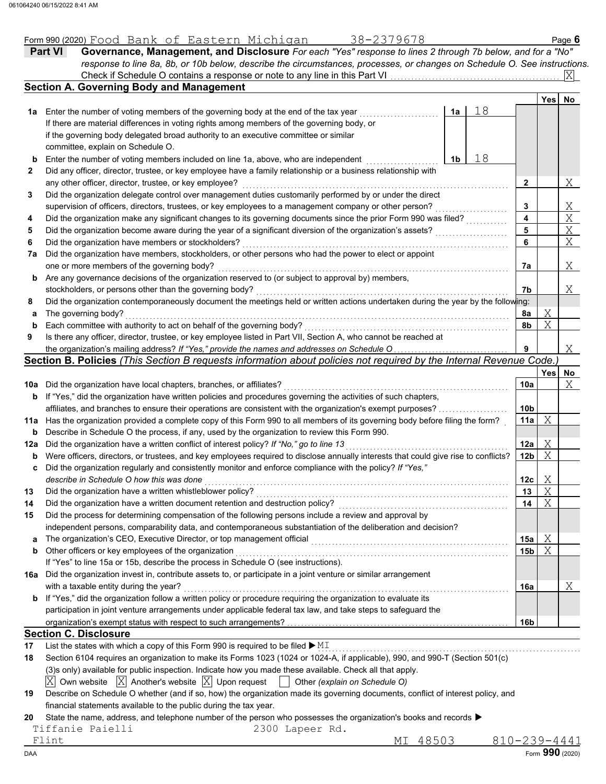|     | 38-2379678<br>Form 990 (2020) Food Bank of Eastern Michigan                                                                         |                         |      | Page 6         |
|-----|-------------------------------------------------------------------------------------------------------------------------------------|-------------------------|------|----------------|
|     | Governance, Management, and Disclosure For each "Yes" response to lines 2 through 7b below, and for a "No"<br>Part VI               |                         |      |                |
|     | response to line 8a, 8b, or 10b below, describe the circumstances, processes, or changes on Schedule O. See instructions.           |                         |      |                |
|     | Check if Schedule O contains a response or note to any line in this Part VI.                                                        |                         |      | ΙXΙ            |
|     | <b>Section A. Governing Body and Management</b>                                                                                     |                         |      |                |
|     |                                                                                                                                     |                         | Yes  | No             |
|     | 18<br>1a Enter the number of voting members of the governing body at the end of the tax year<br>1a                                  |                         |      |                |
|     | If there are material differences in voting rights among members of the governing body, or                                          |                         |      |                |
|     | if the governing body delegated broad authority to an executive committee or similar                                                |                         |      |                |
|     | committee, explain on Schedule O.                                                                                                   |                         |      |                |
| b   | 18<br>1 <sub>b</sub><br>Enter the number of voting members included on line 1a, above, who are independent                          |                         |      |                |
| 2   | Did any officer, director, trustee, or key employee have a family relationship or a business relationship with                      |                         |      |                |
|     | any other officer, director, trustee, or key employee?                                                                              | $\mathbf{2}$            |      | Χ              |
| 3   | Did the organization delegate control over management duties customarily performed by or under the direct                           |                         |      |                |
|     | supervision of officers, directors, trustees, or key employees to a management company or other person?                             | 3                       |      |                |
| 4   | Did the organization make any significant changes to its governing documents since the prior Form 990 was filed?                    | $\overline{\mathbf{4}}$ |      | $\frac{X}{X}$  |
| 5   | Did the organization become aware during the year of a significant diversion of the organization's assets?                          | 5                       |      | $\overline{X}$ |
| 6   | Did the organization have members or stockholders?                                                                                  | 6                       |      | X              |
| 7a  | Did the organization have members, stockholders, or other persons who had the power to elect or appoint                             |                         |      |                |
|     | one or more members of the governing body?                                                                                          | 7а                      |      | Χ              |
|     |                                                                                                                                     |                         |      |                |
| b   | Are any governance decisions of the organization reserved to (or subject to approval by) members,                                   |                         |      |                |
|     | stockholders, or persons other than the governing body?                                                                             | 7b                      |      | Χ              |
| 8   | Did the organization contemporaneously document the meetings held or written actions undertaken during the year by the following:   |                         |      |                |
| а   | The governing body?                                                                                                                 | 8а                      | Χ    |                |
| b   | Each committee with authority to act on behalf of the governing body?                                                               | 8b                      | X    |                |
| 9   | Is there any officer, director, trustee, or key employee listed in Part VII, Section A, who cannot be reached at                    |                         |      |                |
|     | the organization's mailing address? If "Yes," provide the names and addresses on Schedule O                                         | 9                       |      | Χ              |
|     | Section B. Policies (This Section B requests information about policies not required by the Internal Revenue Code.)                 |                         |      |                |
|     |                                                                                                                                     |                         | Yesl | No             |
|     | 10a Did the organization have local chapters, branches, or affiliates?                                                              | 10a                     |      | X              |
|     | <b>b</b> If "Yes," did the organization have written policies and procedures governing the activities of such chapters,             |                         |      |                |
|     | affiliates, and branches to ensure their operations are consistent with the organization's exempt purposes?                         | 10 <sub>b</sub>         |      |                |
|     | 11a Has the organization provided a complete copy of this Form 990 to all members of its governing body before filing the form?     | 11a                     | X    |                |
| b   | Describe in Schedule O the process, if any, used by the organization to review this Form 990.                                       |                         |      |                |
| 12a | Did the organization have a written conflict of interest policy? If "No," go to line 13                                             | 12a                     | Χ    |                |
| b   | Were officers, directors, or trustees, and key employees required to disclose annually interests that could give rise to conflicts? | 12 <sub>b</sub>         | X    |                |
| C   | Did the organization regularly and consistently monitor and enforce compliance with the policy? If "Yes,"                           |                         |      |                |
|     | describe in Schedule O how this was done                                                                                            | 12c                     | Χ    |                |
| 13  | Did the organization have a written whistleblower policy?                                                                           | 13                      | Χ    |                |
| 14  | Did the organization have a written document retention and destruction policy?                                                      | 14                      | Χ    |                |
| 15  | Did the process for determining compensation of the following persons include a review and approval by                              |                         |      |                |
|     | independent persons, comparability data, and contemporaneous substantiation of the deliberation and decision?                       |                         |      |                |
|     | The organization's CEO, Executive Director, or top management official                                                              | 15a                     | Χ    |                |
| а   |                                                                                                                                     |                         | Χ    |                |
| b   | Other officers or key employees of the organization                                                                                 | 15b                     |      |                |
|     | If "Yes" to line 15a or 15b, describe the process in Schedule O (see instructions).                                                 |                         |      |                |
|     | 16a Did the organization invest in, contribute assets to, or participate in a joint venture or similar arrangement                  |                         |      |                |
|     | with a taxable entity during the year?                                                                                              | 16a                     |      | Χ              |
| b   | If "Yes," did the organization follow a written policy or procedure requiring the organization to evaluate its                      |                         |      |                |
|     | participation in joint venture arrangements under applicable federal tax law, and take steps to safeguard the                       |                         |      |                |
|     |                                                                                                                                     | 16b                     |      |                |
|     | <b>Section C. Disclosure</b>                                                                                                        |                         |      |                |
| 17  | List the states with which a copy of this Form 990 is required to be filed $\blacktriangleright$ MI                                 |                         |      |                |
| 18  | Section 6104 requires an organization to make its Forms 1023 (1024 or 1024-A, if applicable), 990, and 990-T (Section 501(c)        |                         |      |                |
|     | (3)s only) available for public inspection. Indicate how you made these available. Check all that apply.                            |                         |      |                |
|     | Own website $ \overline{X} $ Another's website $ \overline{X} $ Upon request<br>ΙXΙ<br>Other (explain on Schedule O)                |                         |      |                |
| 19  | Describe on Schedule O whether (and if so, how) the organization made its governing documents, conflict of interest policy, and     |                         |      |                |
|     |                                                                                                                                     |                         |      |                |

financial statements available to the public during the tax year.

**20** State the name, address, and telephone number of the person who possesses the organization's books and records ▶

Tiffanie Paielli 2300 Lapeer Rd.<br>Flint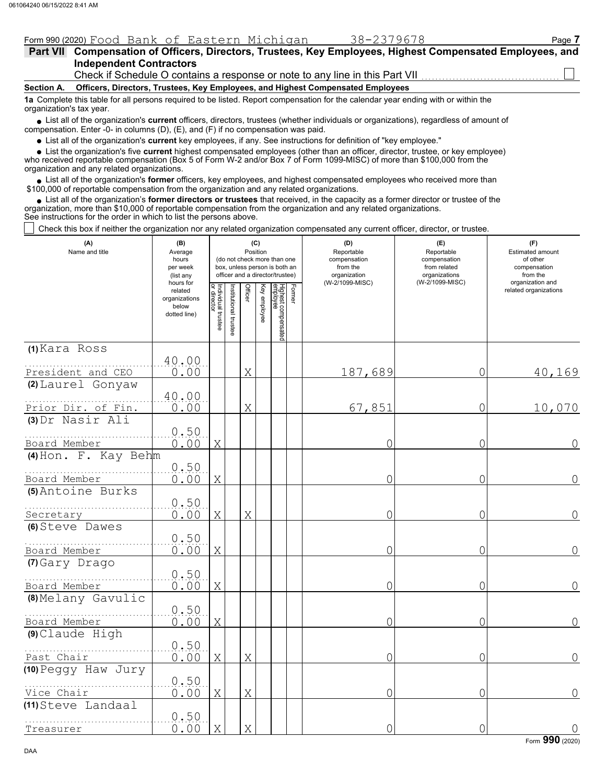|            | Form 990 (2020) Food Bank of Eastern Michigan                                                             | 38-2379678 | Page 7 |
|------------|-----------------------------------------------------------------------------------------------------------|------------|--------|
|            | Part VII Compensation of Officers, Directors, Trustees, Key Employees, Highest Compensated Employees, and |            |        |
|            | <b>Independent Contractors</b>                                                                            |            |        |
|            | Check if Schedule O contains a response or note to any line in this Part VII                              |            |        |
| Section A. | Officers, Directors, Trustees, Key Employees, and Highest Compensated Employees                           |            |        |

**1a** Complete this table for all persons required to be listed. Report compensation for the calendar year ending with or within the organization's tax year.

■ List all of the organization's **current** officers, directors, trustees (whether individuals or organizations), regardless of amount of compensation. Enter -0- in columns (D), (E), and (F) if no compensation was paid.

List all of the organization's **current** key employees, if any. See instructions for definition of "key employee."

■ List all of the organization's **current** key employees, if any. See instructions for definition of "key employee."<br>■ List the organization's five **current** highest compensated employees (other than an officer, director,

who received reportable compensation (Box 5 of Form W-2 and/or Box 7 of Form 1099-MISC) of more than \$100,000 from the organization and any related organizations.

• List all of the organization's **former** officers, key employees, and highest compensated employees who received more than<br>00,000 of reportable compensation from the organization and any related erganizations. \$100,000 of reportable compensation from the organization and any related organizations.

• List all of the organization's **former directors or trustees** that received, in the capacity as a former director or trustee of the anization more than \$10,000 of reportable compensation from the organization and any rel organization, more than \$10,000 of reportable compensation from the organization and any related organizations. See instructions for the order in which to list the persons above.

Check this box if neither the organization nor any related organization compensated any current officer, director, or trustee.

| (A)<br>Name and title           | (B)<br>Average<br>hours<br>per week<br>(list any               |                                   |                      |                | (C)<br>Position | (do not check more than one<br>box, unless person is both an<br>officer and a director/trustee) |        | (D)<br>Reportable<br>compensation<br>from the<br>organization<br>(W-2/1099-MISC) | (E)<br>Reportable<br>compensation<br>from related<br>organizations<br>(W-2/1099-MISC) | (F)<br>Estimated amount<br>of other<br>compensation<br>from the<br>organization and |
|---------------------------------|----------------------------------------------------------------|-----------------------------------|----------------------|----------------|-----------------|-------------------------------------------------------------------------------------------------|--------|----------------------------------------------------------------------------------|---------------------------------------------------------------------------------------|-------------------------------------------------------------------------------------|
|                                 | hours for<br>related<br>organizations<br>below<br>dotted line) | Individual trustee<br>or director | nstitutional trustee | <b>Officer</b> | Key employee    | Highest compensated<br>employee                                                                 | Former |                                                                                  |                                                                                       | related organizations                                                               |
| (1) Kara Ross                   |                                                                |                                   |                      |                |                 |                                                                                                 |        |                                                                                  |                                                                                       |                                                                                     |
| President and CEO               | 40.00<br>0.00                                                  |                                   |                      | Χ              |                 |                                                                                                 |        | 187,689                                                                          | $\overline{0}$                                                                        | 40,169                                                                              |
| (2) Laurel Gonyaw               |                                                                |                                   |                      |                |                 |                                                                                                 |        |                                                                                  |                                                                                       |                                                                                     |
| Prior Dir. of Fin.              | 40.00<br>0.00                                                  |                                   |                      | X              |                 |                                                                                                 |        | 67,851                                                                           | 0                                                                                     | 10,070                                                                              |
| (3) Dr Nasir Ali                |                                                                |                                   |                      |                |                 |                                                                                                 |        |                                                                                  |                                                                                       |                                                                                     |
| Board Member                    | 0.50<br>0.00                                                   | $\mathbf X$                       |                      |                |                 |                                                                                                 |        | 0                                                                                | 0                                                                                     | 0                                                                                   |
| (4) Hon. F. Kay Behm            |                                                                |                                   |                      |                |                 |                                                                                                 |        |                                                                                  |                                                                                       |                                                                                     |
| Board Member                    | 0.50<br>0.00                                                   | X                                 |                      |                |                 |                                                                                                 |        | 0                                                                                | $\overline{0}$                                                                        | $\overline{0}$                                                                      |
| (5) Antoine Burks               | 0.50                                                           |                                   |                      |                |                 |                                                                                                 |        |                                                                                  |                                                                                       |                                                                                     |
| Secretary                       | 0.00                                                           | X                                 |                      | X              |                 |                                                                                                 |        | 0                                                                                | $\overline{0}$                                                                        | 0                                                                                   |
| (6) Steve Dawes<br>Board Member | 0.50<br>0.00                                                   | Χ                                 |                      |                |                 |                                                                                                 |        | 0                                                                                | 0                                                                                     | 0                                                                                   |
| (7) Gary Drago                  |                                                                |                                   |                      |                |                 |                                                                                                 |        |                                                                                  |                                                                                       |                                                                                     |
| Board Member                    | 0.50<br>0.00                                                   | $\mathbf X$                       |                      |                |                 |                                                                                                 |        | 0                                                                                | $\overline{0}$                                                                        | $\Omega$                                                                            |
| (8) Melany Gavulic              | 0.50                                                           |                                   |                      |                |                 |                                                                                                 |        |                                                                                  |                                                                                       |                                                                                     |
| Board Member                    | 0.00                                                           | X                                 |                      |                |                 |                                                                                                 |        | 0                                                                                | $\overline{0}$                                                                        | $\overline{0}$                                                                      |
| (9) Claude High                 | 0.50                                                           |                                   |                      |                |                 |                                                                                                 |        |                                                                                  |                                                                                       |                                                                                     |
| Past Chair                      | 0.00                                                           | X                                 |                      | X              |                 |                                                                                                 |        | 0                                                                                | 0                                                                                     | 0                                                                                   |
| (10) Peggy Haw Jury             |                                                                |                                   |                      |                |                 |                                                                                                 |        |                                                                                  |                                                                                       |                                                                                     |
| Vice Chair                      | 0.50<br>0.00                                                   | Χ                                 |                      | Χ              |                 |                                                                                                 |        | 0                                                                                | $\overline{O}$                                                                        | $\bigcap$                                                                           |
| (11) Steve Landaal              |                                                                |                                   |                      |                |                 |                                                                                                 |        |                                                                                  |                                                                                       |                                                                                     |
| Treasurer                       | 0.50<br>0.00                                                   | X                                 |                      | X              |                 |                                                                                                 |        | 0                                                                                | $\overline{O}$                                                                        | $\circ$                                                                             |

Form **990** (2020)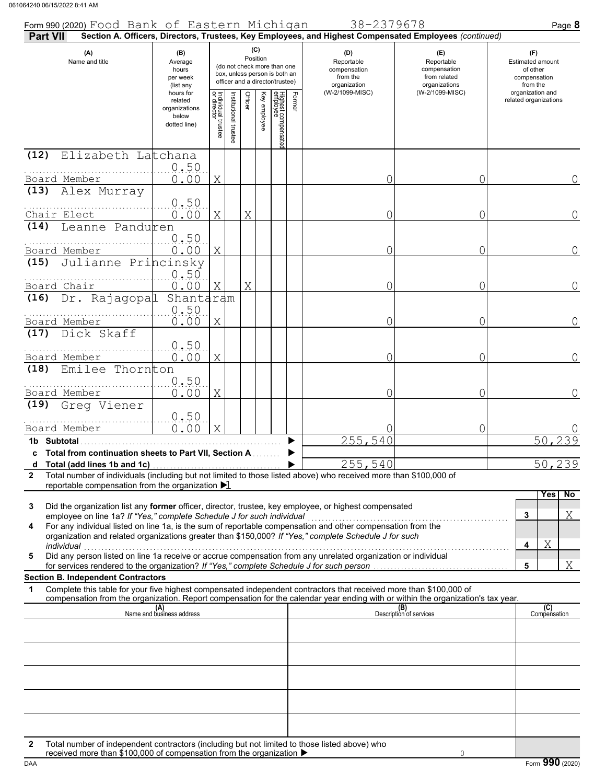| Form 990 (2020) Food Bank of Eastern Michigan                                                                                                                                                                                                                                                                                                                                                                                                                                               |                                                                |                                   |                      |         |                 |                                                                                                 |        | 38-2379678                                                                                             |                                                                    | Page 8                                                          |
|---------------------------------------------------------------------------------------------------------------------------------------------------------------------------------------------------------------------------------------------------------------------------------------------------------------------------------------------------------------------------------------------------------------------------------------------------------------------------------------------|----------------------------------------------------------------|-----------------------------------|----------------------|---------|-----------------|-------------------------------------------------------------------------------------------------|--------|--------------------------------------------------------------------------------------------------------|--------------------------------------------------------------------|-----------------------------------------------------------------|
| Part VII                                                                                                                                                                                                                                                                                                                                                                                                                                                                                    |                                                                |                                   |                      |         |                 |                                                                                                 |        | Section A. Officers, Directors, Trustees, Key Employees, and Highest Compensated Employees (continued) |                                                                    |                                                                 |
| (A)<br>Name and title                                                                                                                                                                                                                                                                                                                                                                                                                                                                       | (B)<br>Average<br>hours<br>per week<br>(list any               |                                   |                      |         | (C)<br>Position | (do not check more than one<br>box, unless person is both an<br>officer and a director/trustee) |        | (D)<br>Reportable<br>compensation<br>from the<br>organization                                          | (E)<br>Reportable<br>compensation<br>from related<br>organizations | (F)<br>Estimated amount<br>of other<br>compensation<br>from the |
|                                                                                                                                                                                                                                                                                                                                                                                                                                                                                             | hours for<br>related<br>organizations<br>below<br>dotted line) | Individual trustee<br>or director | nstitutional trustee | Officer | Key employee    | Highest compensate<br>employee                                                                  | Former | (W-2/1099-MISC)                                                                                        | (W-2/1099-MISC)                                                    | organization and<br>related organizations                       |
| (12)<br>Elizabeth Latchana                                                                                                                                                                                                                                                                                                                                                                                                                                                                  |                                                                |                                   |                      |         |                 |                                                                                                 |        |                                                                                                        |                                                                    |                                                                 |
|                                                                                                                                                                                                                                                                                                                                                                                                                                                                                             | 0.50                                                           |                                   |                      |         |                 |                                                                                                 |        |                                                                                                        |                                                                    |                                                                 |
| Board Member<br>(13)<br>Alex Murray                                                                                                                                                                                                                                                                                                                                                                                                                                                         | 0.00                                                           | X                                 |                      |         |                 |                                                                                                 |        | 0                                                                                                      | 0                                                                  | 0                                                               |
|                                                                                                                                                                                                                                                                                                                                                                                                                                                                                             | 0.50                                                           |                                   |                      |         |                 |                                                                                                 |        |                                                                                                        |                                                                    |                                                                 |
| Chair Elect                                                                                                                                                                                                                                                                                                                                                                                                                                                                                 | 0.00                                                           | X                                 |                      | Χ       |                 |                                                                                                 |        | 0                                                                                                      | 0                                                                  | $\Omega$                                                        |
| Leanne Panduren<br>(14)                                                                                                                                                                                                                                                                                                                                                                                                                                                                     | 0.50                                                           |                                   |                      |         |                 |                                                                                                 |        |                                                                                                        |                                                                    |                                                                 |
| Board Member                                                                                                                                                                                                                                                                                                                                                                                                                                                                                | 0.00                                                           | X                                 |                      |         |                 |                                                                                                 |        | 0                                                                                                      | 0                                                                  | $\Omega$                                                        |
| Julianne Princinsky<br>(15)                                                                                                                                                                                                                                                                                                                                                                                                                                                                 |                                                                |                                   |                      |         |                 |                                                                                                 |        |                                                                                                        |                                                                    |                                                                 |
|                                                                                                                                                                                                                                                                                                                                                                                                                                                                                             | 0.50                                                           |                                   |                      |         |                 |                                                                                                 |        |                                                                                                        |                                                                    |                                                                 |
| Board Chair<br>Dr. Rajagopal<br>(16)                                                                                                                                                                                                                                                                                                                                                                                                                                                        | 0.00<br>Shantaram                                              | Χ                                 |                      | Χ       |                 |                                                                                                 |        | 0                                                                                                      | 0                                                                  | $\overline{0}$                                                  |
|                                                                                                                                                                                                                                                                                                                                                                                                                                                                                             | 0.50                                                           |                                   |                      |         |                 |                                                                                                 |        |                                                                                                        |                                                                    |                                                                 |
| Board Member                                                                                                                                                                                                                                                                                                                                                                                                                                                                                | 0.00                                                           | X                                 |                      |         |                 |                                                                                                 |        | 0                                                                                                      | 0                                                                  | 0                                                               |
| Dick Skaff<br>(17)                                                                                                                                                                                                                                                                                                                                                                                                                                                                          |                                                                |                                   |                      |         |                 |                                                                                                 |        |                                                                                                        |                                                                    |                                                                 |
| Board Member                                                                                                                                                                                                                                                                                                                                                                                                                                                                                | 0.50<br>0.00                                                   | X                                 |                      |         |                 |                                                                                                 |        | 0                                                                                                      | 0                                                                  | $\Omega$                                                        |
| Emilee Thornton<br>(18)                                                                                                                                                                                                                                                                                                                                                                                                                                                                     |                                                                |                                   |                      |         |                 |                                                                                                 |        |                                                                                                        |                                                                    |                                                                 |
|                                                                                                                                                                                                                                                                                                                                                                                                                                                                                             | 0.50                                                           |                                   |                      |         |                 |                                                                                                 |        |                                                                                                        |                                                                    |                                                                 |
| Board Member<br>Greg Viener<br>(19)                                                                                                                                                                                                                                                                                                                                                                                                                                                         | 0.00                                                           | X                                 |                      |         |                 |                                                                                                 |        | O                                                                                                      | 0                                                                  | 0                                                               |
|                                                                                                                                                                                                                                                                                                                                                                                                                                                                                             | 0.50                                                           |                                   |                      |         |                 |                                                                                                 |        |                                                                                                        |                                                                    |                                                                 |
| Board Member                                                                                                                                                                                                                                                                                                                                                                                                                                                                                | 0.00                                                           | X                                 |                      |         |                 |                                                                                                 |        |                                                                                                        | 0                                                                  |                                                                 |
| 1b Subtotal                                                                                                                                                                                                                                                                                                                                                                                                                                                                                 |                                                                |                                   |                      |         |                 |                                                                                                 |        | 255,540                                                                                                |                                                                    | 50 <sub>l</sub><br>239                                          |
| c Total from continuation sheets to Part VII, Section A                                                                                                                                                                                                                                                                                                                                                                                                                                     |                                                                |                                   |                      |         |                 |                                                                                                 |        | 255,540                                                                                                |                                                                    | 50,239                                                          |
| Total number of individuals (including but not limited to those listed above) who received more than \$100,000 of<br>$\mathbf{2}$                                                                                                                                                                                                                                                                                                                                                           |                                                                |                                   |                      |         |                 |                                                                                                 |        |                                                                                                        |                                                                    |                                                                 |
| reportable compensation from the organization $\blacktriangleright$ 1                                                                                                                                                                                                                                                                                                                                                                                                                       |                                                                |                                   |                      |         |                 |                                                                                                 |        |                                                                                                        |                                                                    | Yes<br>No                                                       |
| Did the organization list any former officer, director, trustee, key employee, or highest compensated<br>3<br>employee on line 1a? If "Yes," complete Schedule J for such individual<br>employee on line 1a? If "Yes," complete Schedule J for such individual<br>For any individual listed on line 1a, is the sum of reportable compensation and other compensation from the<br>4<br>organization and related organizations greater than \$150,000? If "Yes," complete Schedule J for such |                                                                |                                   |                      |         |                 |                                                                                                 |        |                                                                                                        |                                                                    | Χ<br>3<br>Χ<br>4                                                |
| individual<br>Did any person listed on line 1a receive or accrue compensation from any unrelated organization or individual<br>5                                                                                                                                                                                                                                                                                                                                                            |                                                                |                                   |                      |         |                 |                                                                                                 |        |                                                                                                        |                                                                    |                                                                 |
|                                                                                                                                                                                                                                                                                                                                                                                                                                                                                             |                                                                |                                   |                      |         |                 |                                                                                                 |        |                                                                                                        |                                                                    | Χ<br>5                                                          |
| <b>Section B. Independent Contractors</b><br>Complete this table for your five highest compensated independent contractors that received more than \$100,000 of<br>1                                                                                                                                                                                                                                                                                                                        |                                                                |                                   |                      |         |                 |                                                                                                 |        |                                                                                                        |                                                                    |                                                                 |
| compensation from the organization. Report compensation for the calendar year ending with or within the organization's tax year.                                                                                                                                                                                                                                                                                                                                                            |                                                                |                                   |                      |         |                 |                                                                                                 |        |                                                                                                        |                                                                    |                                                                 |
|                                                                                                                                                                                                                                                                                                                                                                                                                                                                                             | (A)<br>Name and business address                               |                                   |                      |         |                 |                                                                                                 |        |                                                                                                        | (B)<br>Description of services                                     | (C)<br>Compensation                                             |
|                                                                                                                                                                                                                                                                                                                                                                                                                                                                                             |                                                                |                                   |                      |         |                 |                                                                                                 |        |                                                                                                        |                                                                    |                                                                 |
|                                                                                                                                                                                                                                                                                                                                                                                                                                                                                             |                                                                |                                   |                      |         |                 |                                                                                                 |        |                                                                                                        |                                                                    |                                                                 |
|                                                                                                                                                                                                                                                                                                                                                                                                                                                                                             |                                                                |                                   |                      |         |                 |                                                                                                 |        |                                                                                                        |                                                                    |                                                                 |
|                                                                                                                                                                                                                                                                                                                                                                                                                                                                                             |                                                                |                                   |                      |         |                 |                                                                                                 |        |                                                                                                        |                                                                    |                                                                 |
|                                                                                                                                                                                                                                                                                                                                                                                                                                                                                             |                                                                |                                   |                      |         |                 |                                                                                                 |        |                                                                                                        |                                                                    |                                                                 |
|                                                                                                                                                                                                                                                                                                                                                                                                                                                                                             |                                                                |                                   |                      |         |                 |                                                                                                 |        |                                                                                                        |                                                                    |                                                                 |
|                                                                                                                                                                                                                                                                                                                                                                                                                                                                                             |                                                                |                                   |                      |         |                 |                                                                                                 |        |                                                                                                        |                                                                    |                                                                 |
| Total number of independent contractors (including but not limited to those listed above) who<br>2                                                                                                                                                                                                                                                                                                                                                                                          |                                                                |                                   |                      |         |                 |                                                                                                 |        |                                                                                                        |                                                                    |                                                                 |
| received more than \$100,000 of compensation from the organization ▶                                                                                                                                                                                                                                                                                                                                                                                                                        |                                                                |                                   |                      |         |                 |                                                                                                 |        |                                                                                                        | $\circ$                                                            |                                                                 |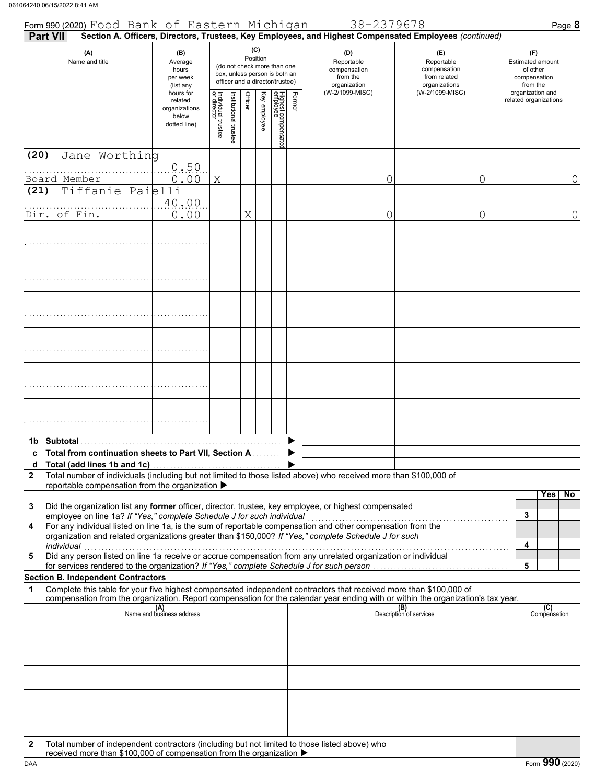| Form 990 (2020) Food Bank of Eastern Michigan<br><b>Part VII</b>                                                                                                                                                                                                                                                                                                                                                                       |                                                                |                                   |                                                                                                 |         |                 |                                 |        | 38-2379678<br>Section A. Officers, Directors, Trustees, Key Employees, and Highest Compensated Employees (continued) |                                                                    | Page 8                                                          |
|----------------------------------------------------------------------------------------------------------------------------------------------------------------------------------------------------------------------------------------------------------------------------------------------------------------------------------------------------------------------------------------------------------------------------------------|----------------------------------------------------------------|-----------------------------------|-------------------------------------------------------------------------------------------------|---------|-----------------|---------------------------------|--------|----------------------------------------------------------------------------------------------------------------------|--------------------------------------------------------------------|-----------------------------------------------------------------|
| (A)<br>Name and title                                                                                                                                                                                                                                                                                                                                                                                                                  | (B)<br>Average<br>hours<br>per week<br>(list any               |                                   | (do not check more than one<br>box, unless person is both an<br>officer and a director/trustee) |         | (C)<br>Position |                                 |        | (D)<br>Reportable<br>compensation<br>from the<br>organization                                                        | (E)<br>Reportable<br>compensation<br>from related<br>organizations | (F)<br>Estimated amount<br>of other<br>compensation<br>from the |
|                                                                                                                                                                                                                                                                                                                                                                                                                                        | hours for<br>related<br>organizations<br>below<br>dotted line) | Individual trustee<br>or director | Institutional trustee                                                                           | Officer | Key employee    | Highest compensated<br>employee | Former | (W-2/1099-MISC)                                                                                                      | (W-2/1099-MISC)                                                    | organization and<br>related organizations                       |
| Jane Worthing<br>(20)                                                                                                                                                                                                                                                                                                                                                                                                                  | 0.50                                                           |                                   |                                                                                                 |         |                 |                                 |        |                                                                                                                      |                                                                    |                                                                 |
| Board Member<br>Tiffanie Paielli<br>(21)                                                                                                                                                                                                                                                                                                                                                                                               | 0.00                                                           | X                                 |                                                                                                 |         |                 |                                 |        | 0                                                                                                                    | 0                                                                  | $\Omega$                                                        |
| Dir. of Fin.                                                                                                                                                                                                                                                                                                                                                                                                                           | 40.00<br>0.00                                                  |                                   |                                                                                                 | Χ       |                 |                                 |        | 0                                                                                                                    | 0                                                                  | $\overline{0}$                                                  |
|                                                                                                                                                                                                                                                                                                                                                                                                                                        |                                                                |                                   |                                                                                                 |         |                 |                                 |        |                                                                                                                      |                                                                    |                                                                 |
|                                                                                                                                                                                                                                                                                                                                                                                                                                        |                                                                |                                   |                                                                                                 |         |                 |                                 |        |                                                                                                                      |                                                                    |                                                                 |
|                                                                                                                                                                                                                                                                                                                                                                                                                                        |                                                                |                                   |                                                                                                 |         |                 |                                 |        |                                                                                                                      |                                                                    |                                                                 |
|                                                                                                                                                                                                                                                                                                                                                                                                                                        |                                                                |                                   |                                                                                                 |         |                 |                                 |        |                                                                                                                      |                                                                    |                                                                 |
|                                                                                                                                                                                                                                                                                                                                                                                                                                        |                                                                |                                   |                                                                                                 |         |                 |                                 |        |                                                                                                                      |                                                                    |                                                                 |
|                                                                                                                                                                                                                                                                                                                                                                                                                                        |                                                                |                                   |                                                                                                 |         |                 |                                 |        |                                                                                                                      |                                                                    |                                                                 |
|                                                                                                                                                                                                                                                                                                                                                                                                                                        |                                                                |                                   |                                                                                                 |         |                 |                                 |        |                                                                                                                      |                                                                    |                                                                 |
| <b>Subtotal</b><br>1b.<br>c Total from continuation sheets to Part VII, Section A                                                                                                                                                                                                                                                                                                                                                      |                                                                |                                   |                                                                                                 |         |                 |                                 |        |                                                                                                                      |                                                                    |                                                                 |
| Total (add lines 1b and 1c)<br>d                                                                                                                                                                                                                                                                                                                                                                                                       |                                                                |                                   |                                                                                                 |         |                 |                                 |        |                                                                                                                      |                                                                    |                                                                 |
| Total number of individuals (including but not limited to those listed above) who received more than \$100,000 of<br>$\mathbf{2}$<br>reportable compensation from the organization ▶                                                                                                                                                                                                                                                   |                                                                |                                   |                                                                                                 |         |                 |                                 |        |                                                                                                                      |                                                                    | Yes<br>No.                                                      |
| Did the organization list any <b>former</b> officer, director, trustee, key employee, or highest compensated<br>3<br>employee on line 1a? If "Yes," complete Schedule J for such individual<br>For any individual listed on line 1a, is the sum of reportable compensation and other compensation from the<br>4<br>organization and related organizations greater than \$150,000? If "Yes," complete Schedule J for such<br>individual |                                                                |                                   |                                                                                                 |         |                 |                                 |        |                                                                                                                      |                                                                    | 3<br>4                                                          |
| 5                                                                                                                                                                                                                                                                                                                                                                                                                                      |                                                                |                                   |                                                                                                 |         |                 |                                 |        |                                                                                                                      |                                                                    | 5                                                               |
| <b>Section B. Independent Contractors</b><br>Complete this table for your five highest compensated independent contractors that received more than \$100,000 of<br>1                                                                                                                                                                                                                                                                   |                                                                |                                   |                                                                                                 |         |                 |                                 |        |                                                                                                                      |                                                                    |                                                                 |
| compensation from the organization. Report compensation for the calendar year ending with or within the organization's tax year.                                                                                                                                                                                                                                                                                                       | (A)<br>Name and business address                               |                                   |                                                                                                 |         |                 |                                 |        |                                                                                                                      | (B)<br>Description of services                                     | (C)<br>Compensation                                             |
|                                                                                                                                                                                                                                                                                                                                                                                                                                        |                                                                |                                   |                                                                                                 |         |                 |                                 |        |                                                                                                                      |                                                                    |                                                                 |
|                                                                                                                                                                                                                                                                                                                                                                                                                                        |                                                                |                                   |                                                                                                 |         |                 |                                 |        |                                                                                                                      |                                                                    |                                                                 |
|                                                                                                                                                                                                                                                                                                                                                                                                                                        |                                                                |                                   |                                                                                                 |         |                 |                                 |        |                                                                                                                      |                                                                    |                                                                 |
|                                                                                                                                                                                                                                                                                                                                                                                                                                        |                                                                |                                   |                                                                                                 |         |                 |                                 |        |                                                                                                                      |                                                                    |                                                                 |
| Total number of independent contractors (including but not limited to those listed above) who<br>$\mathbf{2}$                                                                                                                                                                                                                                                                                                                          |                                                                |                                   |                                                                                                 |         |                 |                                 |        |                                                                                                                      |                                                                    |                                                                 |
| received more than \$100,000 of compensation from the organization ▶                                                                                                                                                                                                                                                                                                                                                                   |                                                                |                                   |                                                                                                 |         |                 |                                 |        |                                                                                                                      |                                                                    |                                                                 |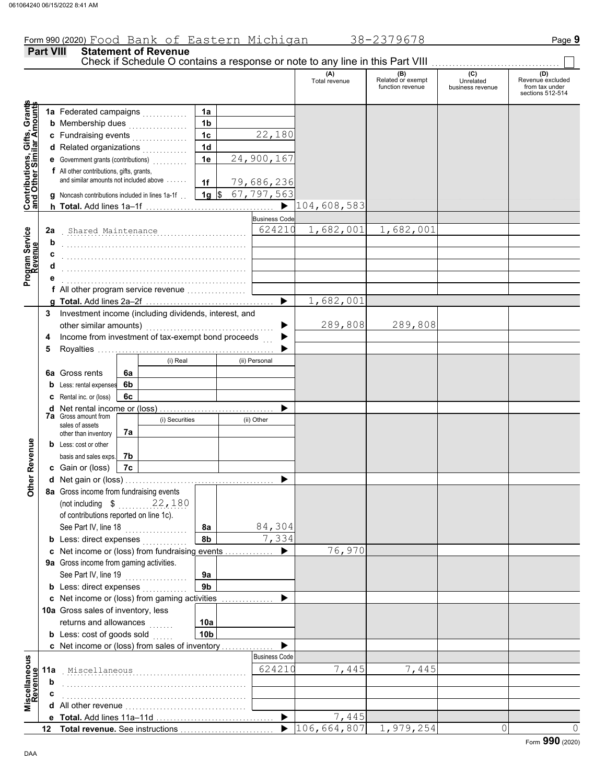#### **Part VIII Statement of Revenue** Check if Schedule O contains a response or note to any line in this Part VIII. (A) (B) (C) (C) (D)<br>Total revenue Related or exempt Unrelated Revenue e: Total revenue Related or exempt Unrelated Revenue excluded function revenue business revenue from tax under sections 512-514 **Contributions, Gifts, Grants and Other Similar Amounts** Grant **1a 1a** Federated campaigns . . . . . . . . . . . , Gifts, Gra<br>illar Amou **1b b** Membership dues  $\ldots$  . . . . . . . . . . . . **1c** 22,180 **c** Fundraising events . . . . . . . . . . . . . . . . **1d d** Related organizations <sub>.</sub> . . . . . . . . . . **Contributions,<br>and Other Sim 1e** 24,900,167 **e** Government grants (contributions) . . . . . . . . . . **f** All other contributions, gifts, grants, and similar amounts not included above  $\dots$ . **1f** 79,686,236 **1g** \$ 67,797,563 **g** Noncash contributions included in lines 1a-1f . . 104,608,583 ▶ **h Total.** Add lines 1a–1f . . . . . . . . . . . . . . . . . . . . . . . . . . . . . . . . . . . . . Business Cod Program Service<br>Revenue . . . . . . . . . . . . . . . . . . . . . . . . . . . . . . . . . . . . . . . . . . . . . . . . . . . . . Shared Maintenance 624210 1,682,001 1,682,001 **Program Service 2a b** . . . . . . . . . . . . . . . . . . . . . . . . . . . . . . . . . . . . . . . . . . . . . . . . . . . . . **c** . . . . . . . . . . . . . . . . . . . . . . . . . . . . . . . . . . . . . . . . . . . . . . . . . . . . . **d** . . . . . . . . . . . . . . . . . . . . . . . . . . . . . . . . . . . . . . . . . . . . . . . . . . . . . **e** . . . . . . . . . . . . . . . . . . . . . . . . . . . . . . . . . . . . . . . . . . . . . . . . . . . . . **f** All other program service revenue . . . . . . . . . . . . . . . . . 1,682,001 **g Total.** Add lines 2a–2f . . . . . . . . . . . . . . . . . . . . . . . . . . . . . . . . . . . . . **3** Investment income (including dividends, interest, and other similar amounts) ............ 289,808 289,808 ь Income from investment of tax-exempt bond proceeds **4**  $\blacktriangleright$ **5** Royalties .... ▶ (i) Real (ii) Personal **6a** Gross rents **6a 6b b** Less: rental expenses **c** Rental inc. or (loss) **6c** ь **d** Net rental income or (loss) . . . . . . . . . . . . . . . . . . . . . . . . . . . . . . . . . **7a** Gross amount from (i) Securities (ii) Other sales of assets **7a** other than inventory **Other Revenue Other Revenue b** Less: cost or other basis and sales exps. **7b c** Gain or (loss) **7c d** Net gain or (loss) . . . . . . . . . . . . . . . . . . . . . . . . . . . . . . . . . . . . . . . . . . . **8a** Gross income from fundraising events (not including \$ . . . . . . . . . . . . . . . . . . . . 22,180 of contributions reported on line 1c). See Part IV, line 18 . . . . . . . . . . . . . . . . . . **8a** 84,304 **8b** 7,334 **b** Less: direct expenses <sub>.</sub> . . . . . . . . . . 76,970 **c** Net income or (loss) from fundraising events . . . . . . . . . . . . . . ▶ **9a** Gross income from gaming activities. See Part IV, line 19 . . . . . . . . . . . . . . . . . . **9a 9b b** Less: direct expenses  $\ldots$ ▶ Net income or (loss) from gaming activities . . . . . . . . . . . . . . . **c** 10a Gross sales of inventory, less returns and allowances **10a 10b b** Less:  $\cosh$  of goods  $\sinh$  $\blacktriangleright$ Net income or (loss) from sales of inventory . . . . . . . . . . . . . . . **c** scellaneous<br>Revenue Business Code **Miscellaneous** . . . . . . . . . . . . . . . . . . . . . . . . . . . . . . . . . . . . . . . . . . . . . . . . . . . . . Miscellaneous 624210 7,445 7,445 **11a Revenue b** . . . . . . . . . . . . . . . . . . . . . . . . . . . . . . . . . . . . . . . . . . . . . . . . . . . . . **c** . . . . . . . . . . . . . . . . . . . . . . . . . . . . . . . . . . . . . . . . . . . . . . . . . . . . . ă<br>Nă **d** All other revenue . . . . . . . . . . . . . . . . . . . . . . . . . . . . . . . . . . . **Total.** Add lines 11a-11d  $\blacktriangleright$ 7,445 **e**  $|106,664,807|$  1,979,254 0 0 **Total revenue.** See instructions  $\blacktriangleright$ **12**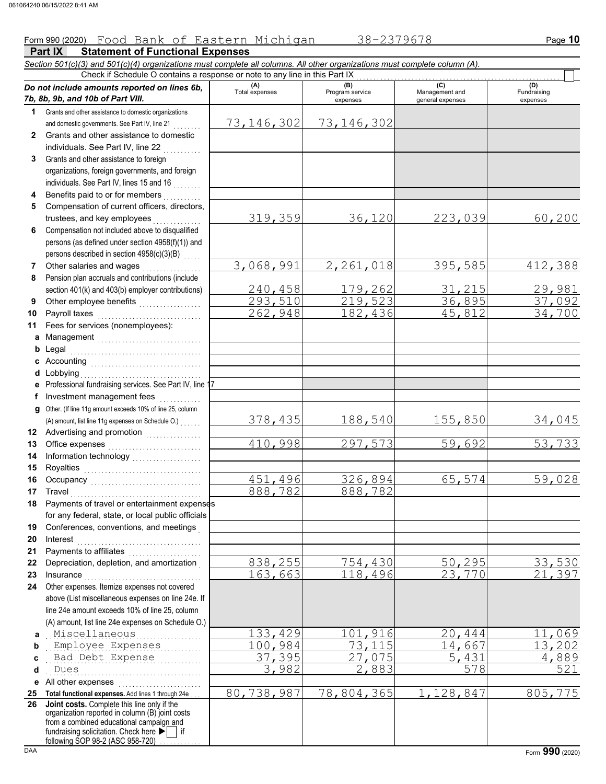**Part IX Statement of Functional Expenses** Form 990 (2020) Page **10** Food Bank of Eastern Michigan 38-2379678 *Section 501(c)(3) and 501(c)(4) organizations must complete all columns. All other organizations must complete column (A). Do not include amounts reported on lines 6b, 7b, 8b, 9b, and 10b of Part VIII.* **1 2 3 4 5 6 7 8 9 10 11 a** Management .............................. **b** Legal **c** Accounting . . . . . . . . . . . . . . . . . . . . . . . . . . . . . . . . **d** Lobbying . . . . . . . . . . . . . . . . . . . . . . . . . . . . . . . . . . . **e f g** Other. (If line 11g amount exceeds 10% of line 25, column **12** Advertising and promotion **. . . . . . . . . . . .** . . **13 14 15 16 17 18 19 20 21 22** Grants and other assistance to domestic organizations and domestic governments. See Part IV, line 21 Grants and other assistance to domestic individuals. See Part IV, line 22 Grants and other assistance to foreign organizations, foreign governments, and foreign individuals. See Part IV, lines 15 and 16 Benefits paid to or for members . . . . . . . . . . Compensation of current officers, directors, trustees, and key employees ......... Compensation not included above to disqualified persons (as defined under section 4958(f)(1)) and persons described in section 4958(c)(3)(B) Other salaries and wages .................... Pension plan accruals and contributions (include section 401(k) and 403(b) employer contributions) Other employee benefits . . . . . . . . . . . . . . . . . . Payroll taxes . . . . . . . . . . . . . . . . . . . . . . . . . . . . . . Fees for services (nonemployees): Legal . . . . . . . . . . . . . . . . . . . . . . . . . . . . . . . . . . . . . . Professional fundraising services. See Part IV, line 17 Investment management fees ............. Office expenses ............................ Information technology . . . . . . . . . . . . . . . . . . . . Royalties . . . . . . . . . . . . . . . . . . . . . . . . . . . . . . . . . . Occupancy . . . . . . . . . . . . . . . . . . . . . . . . . . . . . . . . Travel . . . . . . . . . . . . . . . . . . . . . . . . . . . . . . . . . . . . . . Payments of travel or entertainment expenses for any federal, state, or local public officials Conferences, conventions, and meetings . Interest . . . . . . . . . . . . . . . . . . . . . . . . . . . . . . . . . . . . Payments to affiliates ....................... Depreciation, depletion, and amortization . **(A) (B)** (B) (B) (C) (C) (A) (D)<br>Total expenses Program service Management and Fundrai expenses and general expenses (D)<br>Fundraising expenses Check if Schedule O contains a response or note to any line in this Part IX (A) amount, list line 11g expenses on Schedule O.) . . . . . . . 73,146,302 73,146,302 319,359 36,120 223,039 60,200 3,068,991 2,261,018 395,585 412,388 2<mark>40,458 179,262</mark> 31,215 29,981<br>293,510 219,523 36,895 37,092 203,510 219,523 36,895 37,092<br>262,948 182,436 45,812 34,700 262,948 378,435 188,540 155,850 34,045 410,998 297,573 59,692 53,733 451,496 326,894 65,574 59,028 888,782 <u>838,255 754,430 50,295 33,530</u><br>163,663 118,496 23,770 21,397

**23 24 a** . . . . . . . . . . . . . . . . . . . . . . . . . . . . . . . . . . . . . . . . . . . . . Miscellaneous 133,429 101,916 20,444 11,069 **b c d e** All other expenses . . . . . . . . . . . . . . . . . . . . . . . . **25 Total functional expenses.** Add lines 1 through 24e . . . **26** Insurance . . . . . . . . . . . . . . . . . . . . . . . . . . . . . . . . . . Other expenses. Itemize expenses not covered above (List miscellaneous expenses on line 24e. If line 24e amount exceeds 10% of line 25, column (A) amount, list line 24e expenses on Schedule O.) . . . . . . . . . . . . . . . . . . . . . . . . . . . . . . . . . . . . . . . . . . . . . Employee Expenses 100,984 73,115 14,667 13,202 . . . . . . . . . . . . . . . . . . . . . . . . . . . . . . . . . . . . . . . . . . . . . Bad Debt Expense 37,395 27,075 5,431 4,889 . . . . . . . . . . . . . . . . . . . . . . . . . . . . . . . . . . . . . . . . . . . . . Dues 3,982 2,883 578 521 **Joint costs.** Complete this line only if the 80,738,987 78,804,365 1,128,847 805,775

fundraising solicitation. Check here  $\blacktriangleright$  | if organization reported in column (B) joint costs from a combined educational campaign and following SOP 98-2 (ASC 958-720)

163,663 118,496 23,770 21,397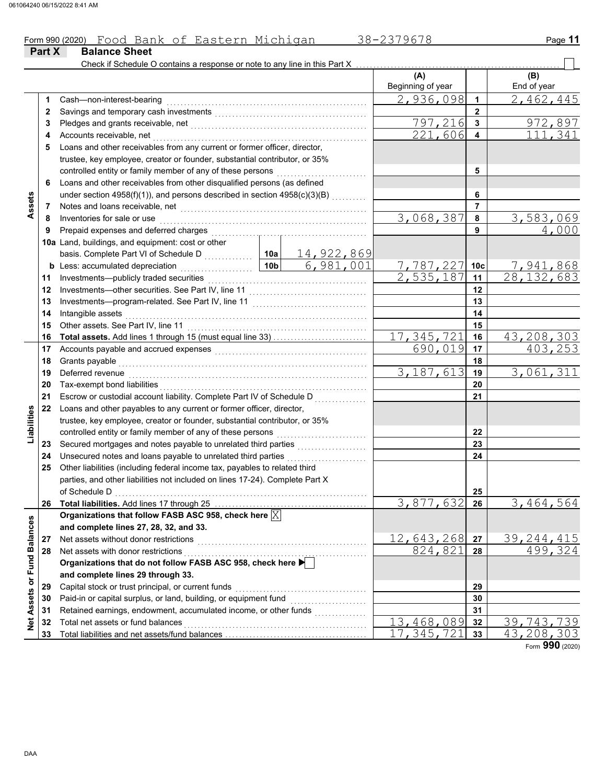### Form 990 (2020) Page **11** Food Bank of Eastern Michigan 38-2379678

| Check if Schedule O contains a response or note to any line in this Part X<br>(A)<br>(B)<br>End of year<br>Beginning of year<br>2,936,098<br>2,462,445<br>$\blacktriangleleft$<br>Cash-non-interest-bearing<br>1<br>$\mathbf{2}$<br>2<br>797,216<br>972,897<br>3<br>3<br>221,606<br>111,341<br>Accounts receivable, net<br>4<br>4<br>Loans and other receivables from any current or former officer, director,<br>5<br>trustee, key employee, creator or founder, substantial contributor, or 35%<br>controlled entity or family member of any of these persons<br>5<br>Loans and other receivables from other disqualified persons (as defined<br>6<br>under section 4958(f)(1)), and persons described in section 4958(c)(3)(B)<br>6<br>Assets<br>$\overline{7}$<br>7<br>3,068,387<br>3,583,069<br>Inventories for sale or use<br>8<br>8<br>4,000<br>Prepaid expenses and deferred charges<br>9<br>9<br>10a Land, buildings, and equipment: cost or other<br><u>14,922,869</u><br>basis. Complete Part VI of Schedule D<br>10a<br>6,981,001<br>7,941,868<br>7,787,227<br>10 <sub>b</sub><br>Less: accumulated depreciation<br>10 <sub>c</sub><br>b<br>.<br>2,535,187<br>$\overline{28,132,683}$<br>Investments-publicly traded securities<br>11<br>11<br>12<br>12<br>13<br>13<br>Intangible assets<br>14<br>14<br>Other assets. See Part IV, line 11<br>15<br>15<br>17,345,721<br>43,208,303<br>16<br>16<br>403,253<br>690,019<br>17<br>17<br>Accounts payable and accrued expenses [[11] [11] Accounts payable and accrued expenses [[11] [11] Accounts are not accredit a contract a metal of the set of the set of the set of the set of the set of the set of the set of<br>18<br>Grants payable<br>18<br>3, 187, 613<br>3,061,311<br>Deferred revenue<br>19<br>19<br>20<br>20<br>Tax-exempt bond liabilities<br>21<br>Escrow or custodial account liability. Complete Part IV of Schedule D<br>21<br>22<br>Loans and other payables to any current or former officer, director,<br>Liabilities<br>trustee, key employee, creator or founder, substantial contributor, or 35%<br>controlled entity or family member of any of these persons<br>22<br>23<br>23<br>Unsecured notes and loans payable to unrelated third parties<br>24<br>24<br>Other liabilities (including federal income tax, payables to related third<br>25<br>parties, and other liabilities not included on lines 17-24). Complete Part X<br>25<br>of Schedule D<br>$\overline{3,877,632}$<br>$\overline{3,464,564}$<br>26<br>26<br>Organizations that follow FASB ASC 958, check here $\boxed{\times}$<br>Net Assets or Fund Balances<br>and complete lines 27, 28, 32, and 33.<br>12,643,268<br>39, 244, 415<br>Net assets without donor restrictions<br>27<br>27<br>499,324<br>824,821<br>28<br>Net assets with donor restrictions<br>28<br>Organizations that do not follow FASB ASC 958, check here<br>and complete lines 29 through 33.<br>Capital stock or trust principal, or current funds<br>29<br>29<br>Paid-in or capital surplus, or land, building, or equipment fund<br>30<br>30<br>Retained earnings, endowment, accumulated income, or other funds<br>31<br>31<br>and a complete state of the state of the state of the state of the state of the state of the state of the state of the state of the state of the state of the state of the state of the state of the state of the state of the<br>$\overline{13}$ , 468, 089<br>39,743,739<br>Total net assets or fund balances<br>32<br>32<br>17, 345, 721<br>33<br>33 | Part X | <b>Balance Sheet</b> |  |  |  |              |
|----------------------------------------------------------------------------------------------------------------------------------------------------------------------------------------------------------------------------------------------------------------------------------------------------------------------------------------------------------------------------------------------------------------------------------------------------------------------------------------------------------------------------------------------------------------------------------------------------------------------------------------------------------------------------------------------------------------------------------------------------------------------------------------------------------------------------------------------------------------------------------------------------------------------------------------------------------------------------------------------------------------------------------------------------------------------------------------------------------------------------------------------------------------------------------------------------------------------------------------------------------------------------------------------------------------------------------------------------------------------------------------------------------------------------------------------------------------------------------------------------------------------------------------------------------------------------------------------------------------------------------------------------------------------------------------------------------------------------------------------------------------------------------------------------------------------------------------------------------------------------------------------------------------------------------------------------------------------------------------------------------------------------------------------------------------------------------------------------------------------------------------------------------------------------------------------------------------------------------------------------------------------------------------------------------------------------------------------------------------------------------------------------------------------------------------------------------------------------------------------------------------------------------------------------------------------------------------------------------------------------------------------------------------------------------------------------------------------------------------------------------------------------------------------------------------------------------------------------------------------------------------------------------------------------------------------------------------------------------------------------------------------------------------------------------------------------------------------------------------------------------------------------------------------------------------------------------------------------------------------------------------------------------------------------------------------------------------------------------------------------------------------------------------------------------------------------------------------------------------------------------------------|--------|----------------------|--|--|--|--------------|
|                                                                                                                                                                                                                                                                                                                                                                                                                                                                                                                                                                                                                                                                                                                                                                                                                                                                                                                                                                                                                                                                                                                                                                                                                                                                                                                                                                                                                                                                                                                                                                                                                                                                                                                                                                                                                                                                                                                                                                                                                                                                                                                                                                                                                                                                                                                                                                                                                                                                                                                                                                                                                                                                                                                                                                                                                                                                                                                                                                                                                                                                                                                                                                                                                                                                                                                                                                                                                                                                                                                      |        |                      |  |  |  |              |
|                                                                                                                                                                                                                                                                                                                                                                                                                                                                                                                                                                                                                                                                                                                                                                                                                                                                                                                                                                                                                                                                                                                                                                                                                                                                                                                                                                                                                                                                                                                                                                                                                                                                                                                                                                                                                                                                                                                                                                                                                                                                                                                                                                                                                                                                                                                                                                                                                                                                                                                                                                                                                                                                                                                                                                                                                                                                                                                                                                                                                                                                                                                                                                                                                                                                                                                                                                                                                                                                                                                      |        |                      |  |  |  |              |
|                                                                                                                                                                                                                                                                                                                                                                                                                                                                                                                                                                                                                                                                                                                                                                                                                                                                                                                                                                                                                                                                                                                                                                                                                                                                                                                                                                                                                                                                                                                                                                                                                                                                                                                                                                                                                                                                                                                                                                                                                                                                                                                                                                                                                                                                                                                                                                                                                                                                                                                                                                                                                                                                                                                                                                                                                                                                                                                                                                                                                                                                                                                                                                                                                                                                                                                                                                                                                                                                                                                      |        |                      |  |  |  |              |
|                                                                                                                                                                                                                                                                                                                                                                                                                                                                                                                                                                                                                                                                                                                                                                                                                                                                                                                                                                                                                                                                                                                                                                                                                                                                                                                                                                                                                                                                                                                                                                                                                                                                                                                                                                                                                                                                                                                                                                                                                                                                                                                                                                                                                                                                                                                                                                                                                                                                                                                                                                                                                                                                                                                                                                                                                                                                                                                                                                                                                                                                                                                                                                                                                                                                                                                                                                                                                                                                                                                      |        |                      |  |  |  |              |
|                                                                                                                                                                                                                                                                                                                                                                                                                                                                                                                                                                                                                                                                                                                                                                                                                                                                                                                                                                                                                                                                                                                                                                                                                                                                                                                                                                                                                                                                                                                                                                                                                                                                                                                                                                                                                                                                                                                                                                                                                                                                                                                                                                                                                                                                                                                                                                                                                                                                                                                                                                                                                                                                                                                                                                                                                                                                                                                                                                                                                                                                                                                                                                                                                                                                                                                                                                                                                                                                                                                      |        |                      |  |  |  |              |
|                                                                                                                                                                                                                                                                                                                                                                                                                                                                                                                                                                                                                                                                                                                                                                                                                                                                                                                                                                                                                                                                                                                                                                                                                                                                                                                                                                                                                                                                                                                                                                                                                                                                                                                                                                                                                                                                                                                                                                                                                                                                                                                                                                                                                                                                                                                                                                                                                                                                                                                                                                                                                                                                                                                                                                                                                                                                                                                                                                                                                                                                                                                                                                                                                                                                                                                                                                                                                                                                                                                      |        |                      |  |  |  |              |
|                                                                                                                                                                                                                                                                                                                                                                                                                                                                                                                                                                                                                                                                                                                                                                                                                                                                                                                                                                                                                                                                                                                                                                                                                                                                                                                                                                                                                                                                                                                                                                                                                                                                                                                                                                                                                                                                                                                                                                                                                                                                                                                                                                                                                                                                                                                                                                                                                                                                                                                                                                                                                                                                                                                                                                                                                                                                                                                                                                                                                                                                                                                                                                                                                                                                                                                                                                                                                                                                                                                      |        |                      |  |  |  |              |
|                                                                                                                                                                                                                                                                                                                                                                                                                                                                                                                                                                                                                                                                                                                                                                                                                                                                                                                                                                                                                                                                                                                                                                                                                                                                                                                                                                                                                                                                                                                                                                                                                                                                                                                                                                                                                                                                                                                                                                                                                                                                                                                                                                                                                                                                                                                                                                                                                                                                                                                                                                                                                                                                                                                                                                                                                                                                                                                                                                                                                                                                                                                                                                                                                                                                                                                                                                                                                                                                                                                      |        |                      |  |  |  |              |
|                                                                                                                                                                                                                                                                                                                                                                                                                                                                                                                                                                                                                                                                                                                                                                                                                                                                                                                                                                                                                                                                                                                                                                                                                                                                                                                                                                                                                                                                                                                                                                                                                                                                                                                                                                                                                                                                                                                                                                                                                                                                                                                                                                                                                                                                                                                                                                                                                                                                                                                                                                                                                                                                                                                                                                                                                                                                                                                                                                                                                                                                                                                                                                                                                                                                                                                                                                                                                                                                                                                      |        |                      |  |  |  |              |
|                                                                                                                                                                                                                                                                                                                                                                                                                                                                                                                                                                                                                                                                                                                                                                                                                                                                                                                                                                                                                                                                                                                                                                                                                                                                                                                                                                                                                                                                                                                                                                                                                                                                                                                                                                                                                                                                                                                                                                                                                                                                                                                                                                                                                                                                                                                                                                                                                                                                                                                                                                                                                                                                                                                                                                                                                                                                                                                                                                                                                                                                                                                                                                                                                                                                                                                                                                                                                                                                                                                      |        |                      |  |  |  |              |
|                                                                                                                                                                                                                                                                                                                                                                                                                                                                                                                                                                                                                                                                                                                                                                                                                                                                                                                                                                                                                                                                                                                                                                                                                                                                                                                                                                                                                                                                                                                                                                                                                                                                                                                                                                                                                                                                                                                                                                                                                                                                                                                                                                                                                                                                                                                                                                                                                                                                                                                                                                                                                                                                                                                                                                                                                                                                                                                                                                                                                                                                                                                                                                                                                                                                                                                                                                                                                                                                                                                      |        |                      |  |  |  |              |
|                                                                                                                                                                                                                                                                                                                                                                                                                                                                                                                                                                                                                                                                                                                                                                                                                                                                                                                                                                                                                                                                                                                                                                                                                                                                                                                                                                                                                                                                                                                                                                                                                                                                                                                                                                                                                                                                                                                                                                                                                                                                                                                                                                                                                                                                                                                                                                                                                                                                                                                                                                                                                                                                                                                                                                                                                                                                                                                                                                                                                                                                                                                                                                                                                                                                                                                                                                                                                                                                                                                      |        |                      |  |  |  |              |
|                                                                                                                                                                                                                                                                                                                                                                                                                                                                                                                                                                                                                                                                                                                                                                                                                                                                                                                                                                                                                                                                                                                                                                                                                                                                                                                                                                                                                                                                                                                                                                                                                                                                                                                                                                                                                                                                                                                                                                                                                                                                                                                                                                                                                                                                                                                                                                                                                                                                                                                                                                                                                                                                                                                                                                                                                                                                                                                                                                                                                                                                                                                                                                                                                                                                                                                                                                                                                                                                                                                      |        |                      |  |  |  |              |
|                                                                                                                                                                                                                                                                                                                                                                                                                                                                                                                                                                                                                                                                                                                                                                                                                                                                                                                                                                                                                                                                                                                                                                                                                                                                                                                                                                                                                                                                                                                                                                                                                                                                                                                                                                                                                                                                                                                                                                                                                                                                                                                                                                                                                                                                                                                                                                                                                                                                                                                                                                                                                                                                                                                                                                                                                                                                                                                                                                                                                                                                                                                                                                                                                                                                                                                                                                                                                                                                                                                      |        |                      |  |  |  |              |
|                                                                                                                                                                                                                                                                                                                                                                                                                                                                                                                                                                                                                                                                                                                                                                                                                                                                                                                                                                                                                                                                                                                                                                                                                                                                                                                                                                                                                                                                                                                                                                                                                                                                                                                                                                                                                                                                                                                                                                                                                                                                                                                                                                                                                                                                                                                                                                                                                                                                                                                                                                                                                                                                                                                                                                                                                                                                                                                                                                                                                                                                                                                                                                                                                                                                                                                                                                                                                                                                                                                      |        |                      |  |  |  |              |
|                                                                                                                                                                                                                                                                                                                                                                                                                                                                                                                                                                                                                                                                                                                                                                                                                                                                                                                                                                                                                                                                                                                                                                                                                                                                                                                                                                                                                                                                                                                                                                                                                                                                                                                                                                                                                                                                                                                                                                                                                                                                                                                                                                                                                                                                                                                                                                                                                                                                                                                                                                                                                                                                                                                                                                                                                                                                                                                                                                                                                                                                                                                                                                                                                                                                                                                                                                                                                                                                                                                      |        |                      |  |  |  |              |
|                                                                                                                                                                                                                                                                                                                                                                                                                                                                                                                                                                                                                                                                                                                                                                                                                                                                                                                                                                                                                                                                                                                                                                                                                                                                                                                                                                                                                                                                                                                                                                                                                                                                                                                                                                                                                                                                                                                                                                                                                                                                                                                                                                                                                                                                                                                                                                                                                                                                                                                                                                                                                                                                                                                                                                                                                                                                                                                                                                                                                                                                                                                                                                                                                                                                                                                                                                                                                                                                                                                      |        |                      |  |  |  |              |
|                                                                                                                                                                                                                                                                                                                                                                                                                                                                                                                                                                                                                                                                                                                                                                                                                                                                                                                                                                                                                                                                                                                                                                                                                                                                                                                                                                                                                                                                                                                                                                                                                                                                                                                                                                                                                                                                                                                                                                                                                                                                                                                                                                                                                                                                                                                                                                                                                                                                                                                                                                                                                                                                                                                                                                                                                                                                                                                                                                                                                                                                                                                                                                                                                                                                                                                                                                                                                                                                                                                      |        |                      |  |  |  |              |
|                                                                                                                                                                                                                                                                                                                                                                                                                                                                                                                                                                                                                                                                                                                                                                                                                                                                                                                                                                                                                                                                                                                                                                                                                                                                                                                                                                                                                                                                                                                                                                                                                                                                                                                                                                                                                                                                                                                                                                                                                                                                                                                                                                                                                                                                                                                                                                                                                                                                                                                                                                                                                                                                                                                                                                                                                                                                                                                                                                                                                                                                                                                                                                                                                                                                                                                                                                                                                                                                                                                      |        |                      |  |  |  |              |
|                                                                                                                                                                                                                                                                                                                                                                                                                                                                                                                                                                                                                                                                                                                                                                                                                                                                                                                                                                                                                                                                                                                                                                                                                                                                                                                                                                                                                                                                                                                                                                                                                                                                                                                                                                                                                                                                                                                                                                                                                                                                                                                                                                                                                                                                                                                                                                                                                                                                                                                                                                                                                                                                                                                                                                                                                                                                                                                                                                                                                                                                                                                                                                                                                                                                                                                                                                                                                                                                                                                      |        |                      |  |  |  |              |
|                                                                                                                                                                                                                                                                                                                                                                                                                                                                                                                                                                                                                                                                                                                                                                                                                                                                                                                                                                                                                                                                                                                                                                                                                                                                                                                                                                                                                                                                                                                                                                                                                                                                                                                                                                                                                                                                                                                                                                                                                                                                                                                                                                                                                                                                                                                                                                                                                                                                                                                                                                                                                                                                                                                                                                                                                                                                                                                                                                                                                                                                                                                                                                                                                                                                                                                                                                                                                                                                                                                      |        |                      |  |  |  |              |
|                                                                                                                                                                                                                                                                                                                                                                                                                                                                                                                                                                                                                                                                                                                                                                                                                                                                                                                                                                                                                                                                                                                                                                                                                                                                                                                                                                                                                                                                                                                                                                                                                                                                                                                                                                                                                                                                                                                                                                                                                                                                                                                                                                                                                                                                                                                                                                                                                                                                                                                                                                                                                                                                                                                                                                                                                                                                                                                                                                                                                                                                                                                                                                                                                                                                                                                                                                                                                                                                                                                      |        |                      |  |  |  |              |
|                                                                                                                                                                                                                                                                                                                                                                                                                                                                                                                                                                                                                                                                                                                                                                                                                                                                                                                                                                                                                                                                                                                                                                                                                                                                                                                                                                                                                                                                                                                                                                                                                                                                                                                                                                                                                                                                                                                                                                                                                                                                                                                                                                                                                                                                                                                                                                                                                                                                                                                                                                                                                                                                                                                                                                                                                                                                                                                                                                                                                                                                                                                                                                                                                                                                                                                                                                                                                                                                                                                      |        |                      |  |  |  |              |
|                                                                                                                                                                                                                                                                                                                                                                                                                                                                                                                                                                                                                                                                                                                                                                                                                                                                                                                                                                                                                                                                                                                                                                                                                                                                                                                                                                                                                                                                                                                                                                                                                                                                                                                                                                                                                                                                                                                                                                                                                                                                                                                                                                                                                                                                                                                                                                                                                                                                                                                                                                                                                                                                                                                                                                                                                                                                                                                                                                                                                                                                                                                                                                                                                                                                                                                                                                                                                                                                                                                      |        |                      |  |  |  |              |
|                                                                                                                                                                                                                                                                                                                                                                                                                                                                                                                                                                                                                                                                                                                                                                                                                                                                                                                                                                                                                                                                                                                                                                                                                                                                                                                                                                                                                                                                                                                                                                                                                                                                                                                                                                                                                                                                                                                                                                                                                                                                                                                                                                                                                                                                                                                                                                                                                                                                                                                                                                                                                                                                                                                                                                                                                                                                                                                                                                                                                                                                                                                                                                                                                                                                                                                                                                                                                                                                                                                      |        |                      |  |  |  |              |
|                                                                                                                                                                                                                                                                                                                                                                                                                                                                                                                                                                                                                                                                                                                                                                                                                                                                                                                                                                                                                                                                                                                                                                                                                                                                                                                                                                                                                                                                                                                                                                                                                                                                                                                                                                                                                                                                                                                                                                                                                                                                                                                                                                                                                                                                                                                                                                                                                                                                                                                                                                                                                                                                                                                                                                                                                                                                                                                                                                                                                                                                                                                                                                                                                                                                                                                                                                                                                                                                                                                      |        |                      |  |  |  |              |
|                                                                                                                                                                                                                                                                                                                                                                                                                                                                                                                                                                                                                                                                                                                                                                                                                                                                                                                                                                                                                                                                                                                                                                                                                                                                                                                                                                                                                                                                                                                                                                                                                                                                                                                                                                                                                                                                                                                                                                                                                                                                                                                                                                                                                                                                                                                                                                                                                                                                                                                                                                                                                                                                                                                                                                                                                                                                                                                                                                                                                                                                                                                                                                                                                                                                                                                                                                                                                                                                                                                      |        |                      |  |  |  |              |
|                                                                                                                                                                                                                                                                                                                                                                                                                                                                                                                                                                                                                                                                                                                                                                                                                                                                                                                                                                                                                                                                                                                                                                                                                                                                                                                                                                                                                                                                                                                                                                                                                                                                                                                                                                                                                                                                                                                                                                                                                                                                                                                                                                                                                                                                                                                                                                                                                                                                                                                                                                                                                                                                                                                                                                                                                                                                                                                                                                                                                                                                                                                                                                                                                                                                                                                                                                                                                                                                                                                      |        |                      |  |  |  |              |
|                                                                                                                                                                                                                                                                                                                                                                                                                                                                                                                                                                                                                                                                                                                                                                                                                                                                                                                                                                                                                                                                                                                                                                                                                                                                                                                                                                                                                                                                                                                                                                                                                                                                                                                                                                                                                                                                                                                                                                                                                                                                                                                                                                                                                                                                                                                                                                                                                                                                                                                                                                                                                                                                                                                                                                                                                                                                                                                                                                                                                                                                                                                                                                                                                                                                                                                                                                                                                                                                                                                      |        |                      |  |  |  |              |
|                                                                                                                                                                                                                                                                                                                                                                                                                                                                                                                                                                                                                                                                                                                                                                                                                                                                                                                                                                                                                                                                                                                                                                                                                                                                                                                                                                                                                                                                                                                                                                                                                                                                                                                                                                                                                                                                                                                                                                                                                                                                                                                                                                                                                                                                                                                                                                                                                                                                                                                                                                                                                                                                                                                                                                                                                                                                                                                                                                                                                                                                                                                                                                                                                                                                                                                                                                                                                                                                                                                      |        |                      |  |  |  |              |
|                                                                                                                                                                                                                                                                                                                                                                                                                                                                                                                                                                                                                                                                                                                                                                                                                                                                                                                                                                                                                                                                                                                                                                                                                                                                                                                                                                                                                                                                                                                                                                                                                                                                                                                                                                                                                                                                                                                                                                                                                                                                                                                                                                                                                                                                                                                                                                                                                                                                                                                                                                                                                                                                                                                                                                                                                                                                                                                                                                                                                                                                                                                                                                                                                                                                                                                                                                                                                                                                                                                      |        |                      |  |  |  |              |
|                                                                                                                                                                                                                                                                                                                                                                                                                                                                                                                                                                                                                                                                                                                                                                                                                                                                                                                                                                                                                                                                                                                                                                                                                                                                                                                                                                                                                                                                                                                                                                                                                                                                                                                                                                                                                                                                                                                                                                                                                                                                                                                                                                                                                                                                                                                                                                                                                                                                                                                                                                                                                                                                                                                                                                                                                                                                                                                                                                                                                                                                                                                                                                                                                                                                                                                                                                                                                                                                                                                      |        |                      |  |  |  |              |
|                                                                                                                                                                                                                                                                                                                                                                                                                                                                                                                                                                                                                                                                                                                                                                                                                                                                                                                                                                                                                                                                                                                                                                                                                                                                                                                                                                                                                                                                                                                                                                                                                                                                                                                                                                                                                                                                                                                                                                                                                                                                                                                                                                                                                                                                                                                                                                                                                                                                                                                                                                                                                                                                                                                                                                                                                                                                                                                                                                                                                                                                                                                                                                                                                                                                                                                                                                                                                                                                                                                      |        |                      |  |  |  |              |
|                                                                                                                                                                                                                                                                                                                                                                                                                                                                                                                                                                                                                                                                                                                                                                                                                                                                                                                                                                                                                                                                                                                                                                                                                                                                                                                                                                                                                                                                                                                                                                                                                                                                                                                                                                                                                                                                                                                                                                                                                                                                                                                                                                                                                                                                                                                                                                                                                                                                                                                                                                                                                                                                                                                                                                                                                                                                                                                                                                                                                                                                                                                                                                                                                                                                                                                                                                                                                                                                                                                      |        |                      |  |  |  |              |
|                                                                                                                                                                                                                                                                                                                                                                                                                                                                                                                                                                                                                                                                                                                                                                                                                                                                                                                                                                                                                                                                                                                                                                                                                                                                                                                                                                                                                                                                                                                                                                                                                                                                                                                                                                                                                                                                                                                                                                                                                                                                                                                                                                                                                                                                                                                                                                                                                                                                                                                                                                                                                                                                                                                                                                                                                                                                                                                                                                                                                                                                                                                                                                                                                                                                                                                                                                                                                                                                                                                      |        |                      |  |  |  |              |
|                                                                                                                                                                                                                                                                                                                                                                                                                                                                                                                                                                                                                                                                                                                                                                                                                                                                                                                                                                                                                                                                                                                                                                                                                                                                                                                                                                                                                                                                                                                                                                                                                                                                                                                                                                                                                                                                                                                                                                                                                                                                                                                                                                                                                                                                                                                                                                                                                                                                                                                                                                                                                                                                                                                                                                                                                                                                                                                                                                                                                                                                                                                                                                                                                                                                                                                                                                                                                                                                                                                      |        |                      |  |  |  |              |
|                                                                                                                                                                                                                                                                                                                                                                                                                                                                                                                                                                                                                                                                                                                                                                                                                                                                                                                                                                                                                                                                                                                                                                                                                                                                                                                                                                                                                                                                                                                                                                                                                                                                                                                                                                                                                                                                                                                                                                                                                                                                                                                                                                                                                                                                                                                                                                                                                                                                                                                                                                                                                                                                                                                                                                                                                                                                                                                                                                                                                                                                                                                                                                                                                                                                                                                                                                                                                                                                                                                      |        |                      |  |  |  |              |
|                                                                                                                                                                                                                                                                                                                                                                                                                                                                                                                                                                                                                                                                                                                                                                                                                                                                                                                                                                                                                                                                                                                                                                                                                                                                                                                                                                                                                                                                                                                                                                                                                                                                                                                                                                                                                                                                                                                                                                                                                                                                                                                                                                                                                                                                                                                                                                                                                                                                                                                                                                                                                                                                                                                                                                                                                                                                                                                                                                                                                                                                                                                                                                                                                                                                                                                                                                                                                                                                                                                      |        |                      |  |  |  |              |
|                                                                                                                                                                                                                                                                                                                                                                                                                                                                                                                                                                                                                                                                                                                                                                                                                                                                                                                                                                                                                                                                                                                                                                                                                                                                                                                                                                                                                                                                                                                                                                                                                                                                                                                                                                                                                                                                                                                                                                                                                                                                                                                                                                                                                                                                                                                                                                                                                                                                                                                                                                                                                                                                                                                                                                                                                                                                                                                                                                                                                                                                                                                                                                                                                                                                                                                                                                                                                                                                                                                      |        |                      |  |  |  |              |
|                                                                                                                                                                                                                                                                                                                                                                                                                                                                                                                                                                                                                                                                                                                                                                                                                                                                                                                                                                                                                                                                                                                                                                                                                                                                                                                                                                                                                                                                                                                                                                                                                                                                                                                                                                                                                                                                                                                                                                                                                                                                                                                                                                                                                                                                                                                                                                                                                                                                                                                                                                                                                                                                                                                                                                                                                                                                                                                                                                                                                                                                                                                                                                                                                                                                                                                                                                                                                                                                                                                      |        |                      |  |  |  |              |
|                                                                                                                                                                                                                                                                                                                                                                                                                                                                                                                                                                                                                                                                                                                                                                                                                                                                                                                                                                                                                                                                                                                                                                                                                                                                                                                                                                                                                                                                                                                                                                                                                                                                                                                                                                                                                                                                                                                                                                                                                                                                                                                                                                                                                                                                                                                                                                                                                                                                                                                                                                                                                                                                                                                                                                                                                                                                                                                                                                                                                                                                                                                                                                                                                                                                                                                                                                                                                                                                                                                      |        |                      |  |  |  |              |
|                                                                                                                                                                                                                                                                                                                                                                                                                                                                                                                                                                                                                                                                                                                                                                                                                                                                                                                                                                                                                                                                                                                                                                                                                                                                                                                                                                                                                                                                                                                                                                                                                                                                                                                                                                                                                                                                                                                                                                                                                                                                                                                                                                                                                                                                                                                                                                                                                                                                                                                                                                                                                                                                                                                                                                                                                                                                                                                                                                                                                                                                                                                                                                                                                                                                                                                                                                                                                                                                                                                      |        |                      |  |  |  |              |
|                                                                                                                                                                                                                                                                                                                                                                                                                                                                                                                                                                                                                                                                                                                                                                                                                                                                                                                                                                                                                                                                                                                                                                                                                                                                                                                                                                                                                                                                                                                                                                                                                                                                                                                                                                                                                                                                                                                                                                                                                                                                                                                                                                                                                                                                                                                                                                                                                                                                                                                                                                                                                                                                                                                                                                                                                                                                                                                                                                                                                                                                                                                                                                                                                                                                                                                                                                                                                                                                                                                      |        |                      |  |  |  |              |
|                                                                                                                                                                                                                                                                                                                                                                                                                                                                                                                                                                                                                                                                                                                                                                                                                                                                                                                                                                                                                                                                                                                                                                                                                                                                                                                                                                                                                                                                                                                                                                                                                                                                                                                                                                                                                                                                                                                                                                                                                                                                                                                                                                                                                                                                                                                                                                                                                                                                                                                                                                                                                                                                                                                                                                                                                                                                                                                                                                                                                                                                                                                                                                                                                                                                                                                                                                                                                                                                                                                      |        |                      |  |  |  |              |
|                                                                                                                                                                                                                                                                                                                                                                                                                                                                                                                                                                                                                                                                                                                                                                                                                                                                                                                                                                                                                                                                                                                                                                                                                                                                                                                                                                                                                                                                                                                                                                                                                                                                                                                                                                                                                                                                                                                                                                                                                                                                                                                                                                                                                                                                                                                                                                                                                                                                                                                                                                                                                                                                                                                                                                                                                                                                                                                                                                                                                                                                                                                                                                                                                                                                                                                                                                                                                                                                                                                      |        |                      |  |  |  |              |
|                                                                                                                                                                                                                                                                                                                                                                                                                                                                                                                                                                                                                                                                                                                                                                                                                                                                                                                                                                                                                                                                                                                                                                                                                                                                                                                                                                                                                                                                                                                                                                                                                                                                                                                                                                                                                                                                                                                                                                                                                                                                                                                                                                                                                                                                                                                                                                                                                                                                                                                                                                                                                                                                                                                                                                                                                                                                                                                                                                                                                                                                                                                                                                                                                                                                                                                                                                                                                                                                                                                      |        |                      |  |  |  |              |
|                                                                                                                                                                                                                                                                                                                                                                                                                                                                                                                                                                                                                                                                                                                                                                                                                                                                                                                                                                                                                                                                                                                                                                                                                                                                                                                                                                                                                                                                                                                                                                                                                                                                                                                                                                                                                                                                                                                                                                                                                                                                                                                                                                                                                                                                                                                                                                                                                                                                                                                                                                                                                                                                                                                                                                                                                                                                                                                                                                                                                                                                                                                                                                                                                                                                                                                                                                                                                                                                                                                      |        |                      |  |  |  |              |
|                                                                                                                                                                                                                                                                                                                                                                                                                                                                                                                                                                                                                                                                                                                                                                                                                                                                                                                                                                                                                                                                                                                                                                                                                                                                                                                                                                                                                                                                                                                                                                                                                                                                                                                                                                                                                                                                                                                                                                                                                                                                                                                                                                                                                                                                                                                                                                                                                                                                                                                                                                                                                                                                                                                                                                                                                                                                                                                                                                                                                                                                                                                                                                                                                                                                                                                                                                                                                                                                                                                      |        |                      |  |  |  | 43, 208, 303 |

Form **990** (2020)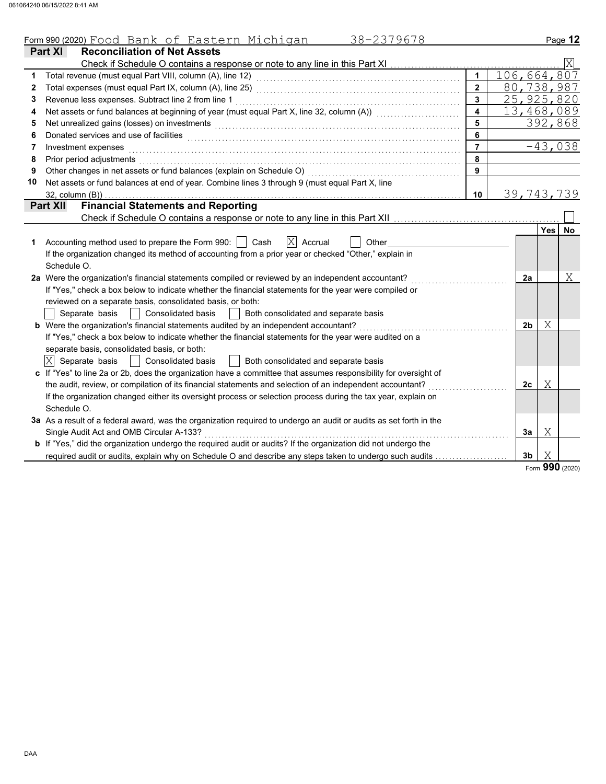|    | 38-2379678<br>Form 990 (2020) Food Bank of Eastern Michigan                                                                                                                                                                         |                |             |                |     | Page 12         |  |  |
|----|-------------------------------------------------------------------------------------------------------------------------------------------------------------------------------------------------------------------------------------|----------------|-------------|----------------|-----|-----------------|--|--|
|    | <b>Part XI</b><br><b>Reconciliation of Net Assets</b>                                                                                                                                                                               |                |             |                |     |                 |  |  |
|    | Check if Schedule O contains a response or note to any line in this Part XI                                                                                                                                                         |                |             |                |     |                 |  |  |
| 1  |                                                                                                                                                                                                                                     | $\mathbf{1}$   | 106,664,807 |                |     |                 |  |  |
| 2  |                                                                                                                                                                                                                                     | $\overline{2}$ |             |                |     | 80,738,987      |  |  |
| 3  | Revenue less expenses. Subtract line 2 from line 1                                                                                                                                                                                  | $\overline{3}$ |             |                |     | 25, 925, 820    |  |  |
| 4  | Net assets or fund balances at beginning of year (must equal Part X, line 32, column (A)) [[[[[[[[[[[[[[[[[[[                                                                                                                       | 4              |             | 13,468,089     |     |                 |  |  |
| 5  | Net unrealized gains (losses) on investments [11] with the content of the content of the content of the content of the content of the content of the content of the content of the content of the content of the content of th      | 5              |             | 392,868        |     |                 |  |  |
| 6  | Donated services and use of facilities <b>constructs</b> and the construction of the service of the construction of the construction of the construction of the construction of the construction of the construction of the constru | 6              |             |                |     |                 |  |  |
| 7  | Investment expenses                                                                                                                                                                                                                 | $\overline{7}$ |             |                |     | $-43,038$       |  |  |
| 8  | Prior period adjustments                                                                                                                                                                                                            | 8              |             |                |     |                 |  |  |
| 9  | Other changes in net assets or fund balances (explain on Schedule O)                                                                                                                                                                | 9              |             |                |     |                 |  |  |
| 10 | Net assets or fund balances at end of year. Combine lines 3 through 9 (must equal Part X, line                                                                                                                                      |                |             |                |     |                 |  |  |
|    | $32$ , column $(B)$ )                                                                                                                                                                                                               | 10             |             |                |     | 39,743,739      |  |  |
|    | <b>Financial Statements and Reporting</b><br><b>Part XII</b>                                                                                                                                                                        |                |             |                |     |                 |  |  |
|    |                                                                                                                                                                                                                                     |                |             |                |     |                 |  |  |
|    |                                                                                                                                                                                                                                     |                |             |                | Yes | No.             |  |  |
| 1  | Accounting method used to prepare the Form 990:     Cash<br>$ X $ Accrual<br>Other                                                                                                                                                  |                |             |                |     |                 |  |  |
|    | If the organization changed its method of accounting from a prior year or checked "Other," explain in                                                                                                                               |                |             |                |     |                 |  |  |
|    | Schedule O.                                                                                                                                                                                                                         |                |             |                |     |                 |  |  |
|    | 2a Were the organization's financial statements compiled or reviewed by an independent accountant?                                                                                                                                  |                |             | 2a             |     | Χ               |  |  |
|    | If "Yes," check a box below to indicate whether the financial statements for the year were compiled or                                                                                                                              |                |             |                |     |                 |  |  |
|    | reviewed on a separate basis, consolidated basis, or both:                                                                                                                                                                          |                |             |                |     |                 |  |  |
|    | Separate basis<br><b>Consolidated basis</b><br>Both consolidated and separate basis                                                                                                                                                 |                |             |                |     |                 |  |  |
|    | <b>b</b> Were the organization's financial statements audited by an independent accountant?                                                                                                                                         |                |             | 2b             | Χ   |                 |  |  |
|    | If "Yes," check a box below to indicate whether the financial statements for the year were audited on a                                                                                                                             |                |             |                |     |                 |  |  |
|    | separate basis, consolidated basis, or both:                                                                                                                                                                                        |                |             |                |     |                 |  |  |
|    | $ X $ Separate basis<br><b>Consolidated basis</b><br>Both consolidated and separate basis                                                                                                                                           |                |             |                |     |                 |  |  |
|    | c If "Yes" to line 2a or 2b, does the organization have a committee that assumes responsibility for oversight of                                                                                                                    |                |             |                |     |                 |  |  |
|    | the audit, review, or compilation of its financial statements and selection of an independent accountant?                                                                                                                           |                |             | 2 <sub>c</sub> | Χ   |                 |  |  |
|    | If the organization changed either its oversight process or selection process during the tax year, explain on                                                                                                                       |                |             |                |     |                 |  |  |
|    | Schedule O.                                                                                                                                                                                                                         |                |             |                |     |                 |  |  |
|    | 3a As a result of a federal award, was the organization required to undergo an audit or audits as set forth in the                                                                                                                  |                |             |                |     |                 |  |  |
|    | Single Audit Act and OMB Circular A-133?                                                                                                                                                                                            |                |             | За             | Χ   |                 |  |  |
|    | <b>b</b> If "Yes," did the organization undergo the required audit or audits? If the organization did not undergo the                                                                                                               |                |             |                |     |                 |  |  |
|    | required audit or audits, explain why on Schedule O and describe any steps taken to undergo such audits                                                                                                                             |                |             | 3b             | Χ   |                 |  |  |
|    |                                                                                                                                                                                                                                     |                |             |                |     | Form 990 (2020) |  |  |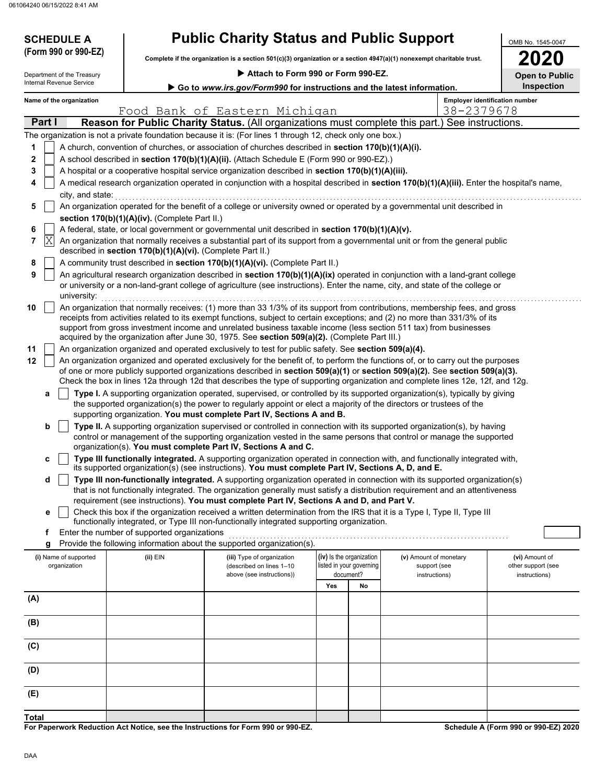**SCHEDULE A** 

| <b>Public Charity Status and Public Support</b> |  |  |
|-------------------------------------------------|--|--|
|-------------------------------------------------|--|--|

**Complete if the organization is a section 501(c)(3) organization or a section 4947(a)(1) nonexempt charitable trust. (Form 990 or 990-EZ)**

|  |  | 88 |
|--|--|----|

OMB No. 1545-0047

|     |                                                                                                                                            |                            |  |                                                            |                                                                                                                                                                                                                                                                                                                                                                                                                                                                                  |     |                          |                        |            |                                       | LVLV                  |
|-----|--------------------------------------------------------------------------------------------------------------------------------------------|----------------------------|--|------------------------------------------------------------|----------------------------------------------------------------------------------------------------------------------------------------------------------------------------------------------------------------------------------------------------------------------------------------------------------------------------------------------------------------------------------------------------------------------------------------------------------------------------------|-----|--------------------------|------------------------|------------|---------------------------------------|-----------------------|
|     |                                                                                                                                            | Department of the Treasury |  |                                                            | Attach to Form 990 or Form 990-EZ.                                                                                                                                                                                                                                                                                                                                                                                                                                               |     |                          |                        |            |                                       | <b>Open to Public</b> |
|     |                                                                                                                                            | Internal Revenue Service   |  |                                                            | Go to www.irs.gov/Form990 for instructions and the latest information.                                                                                                                                                                                                                                                                                                                                                                                                           |     |                          |                        |            |                                       | Inspection            |
|     |                                                                                                                                            | Name of the organization   |  |                                                            |                                                                                                                                                                                                                                                                                                                                                                                                                                                                                  |     |                          |                        |            | <b>Employer identification number</b> |                       |
|     |                                                                                                                                            |                            |  |                                                            | Food Bank of Eastern Michigan                                                                                                                                                                                                                                                                                                                                                                                                                                                    |     |                          |                        | 38-2379678 |                                       |                       |
|     | Part I                                                                                                                                     |                            |  |                                                            | Reason for Public Charity Status. (All organizations must complete this part.) See instructions.                                                                                                                                                                                                                                                                                                                                                                                 |     |                          |                        |            |                                       |                       |
|     |                                                                                                                                            |                            |  |                                                            | The organization is not a private foundation because it is: (For lines 1 through 12, check only one box.)                                                                                                                                                                                                                                                                                                                                                                        |     |                          |                        |            |                                       |                       |
| 1   |                                                                                                                                            |                            |  |                                                            | A church, convention of churches, or association of churches described in section 170(b)(1)(A)(i).                                                                                                                                                                                                                                                                                                                                                                               |     |                          |                        |            |                                       |                       |
| 2   |                                                                                                                                            |                            |  |                                                            | A school described in section 170(b)(1)(A)(ii). (Attach Schedule E (Form 990 or 990-EZ).)                                                                                                                                                                                                                                                                                                                                                                                        |     |                          |                        |            |                                       |                       |
| 3   |                                                                                                                                            |                            |  |                                                            | A hospital or a cooperative hospital service organization described in section 170(b)(1)(A)(iii).                                                                                                                                                                                                                                                                                                                                                                                |     |                          |                        |            |                                       |                       |
| 4   | A medical research organization operated in conjunction with a hospital described in section 170(b)(1)(A)(iii). Enter the hospital's name, |                            |  |                                                            |                                                                                                                                                                                                                                                                                                                                                                                                                                                                                  |     |                          |                        |            |                                       |                       |
|     |                                                                                                                                            | city, and state:           |  |                                                            |                                                                                                                                                                                                                                                                                                                                                                                                                                                                                  |     |                          |                        |            |                                       |                       |
| 5   |                                                                                                                                            |                            |  |                                                            | An organization operated for the benefit of a college or university owned or operated by a governmental unit described in                                                                                                                                                                                                                                                                                                                                                        |     |                          |                        |            |                                       |                       |
|     |                                                                                                                                            |                            |  | section 170(b)(1)(A)(iv). (Complete Part II.)              |                                                                                                                                                                                                                                                                                                                                                                                                                                                                                  |     |                          |                        |            |                                       |                       |
| 6   |                                                                                                                                            |                            |  |                                                            | A federal, state, or local government or governmental unit described in section 170(b)(1)(A)(v).                                                                                                                                                                                                                                                                                                                                                                                 |     |                          |                        |            |                                       |                       |
| 7   | X                                                                                                                                          |                            |  | described in section 170(b)(1)(A)(vi). (Complete Part II.) | An organization that normally receives a substantial part of its support from a governmental unit or from the general public                                                                                                                                                                                                                                                                                                                                                     |     |                          |                        |            |                                       |                       |
| 8   |                                                                                                                                            |                            |  |                                                            | A community trust described in section 170(b)(1)(A)(vi). (Complete Part II.)                                                                                                                                                                                                                                                                                                                                                                                                     |     |                          |                        |            |                                       |                       |
| 9   |                                                                                                                                            | university:                |  |                                                            | An agricultural research organization described in section 170(b)(1)(A)(ix) operated in conjunction with a land-grant college<br>or university or a non-land-grant college of agriculture (see instructions). Enter the name, city, and state of the college or                                                                                                                                                                                                                  |     |                          |                        |            |                                       |                       |
| 10  |                                                                                                                                            |                            |  |                                                            | An organization that normally receives: (1) more than 33 1/3% of its support from contributions, membership fees, and gross<br>receipts from activities related to its exempt functions, subject to certain exceptions; and (2) no more than 331/3% of its<br>support from gross investment income and unrelated business taxable income (less section 511 tax) from businesses<br>acquired by the organization after June 30, 1975. See section 509(a)(2). (Complete Part III.) |     |                          |                        |            |                                       |                       |
| 11  |                                                                                                                                            |                            |  |                                                            | An organization organized and operated exclusively to test for public safety. See section 509(a)(4).                                                                                                                                                                                                                                                                                                                                                                             |     |                          |                        |            |                                       |                       |
| 12  |                                                                                                                                            |                            |  |                                                            | An organization organized and operated exclusively for the benefit of, to perform the functions of, or to carry out the purposes                                                                                                                                                                                                                                                                                                                                                 |     |                          |                        |            |                                       |                       |
|     |                                                                                                                                            |                            |  |                                                            | of one or more publicly supported organizations described in section 509(a)(1) or section 509(a)(2). See section 509(a)(3).<br>Check the box in lines 12a through 12d that describes the type of supporting organization and complete lines 12e, 12f, and 12g.                                                                                                                                                                                                                   |     |                          |                        |            |                                       |                       |
|     | a                                                                                                                                          |                            |  |                                                            | Type I. A supporting organization operated, supervised, or controlled by its supported organization(s), typically by giving<br>the supported organization(s) the power to regularly appoint or elect a majority of the directors or trustees of the                                                                                                                                                                                                                              |     |                          |                        |            |                                       |                       |
|     | b                                                                                                                                          |                            |  |                                                            | supporting organization. You must complete Part IV, Sections A and B.<br>Type II. A supporting organization supervised or controlled in connection with its supported organization(s), by having                                                                                                                                                                                                                                                                                 |     |                          |                        |            |                                       |                       |
|     |                                                                                                                                            |                            |  |                                                            | control or management of the supporting organization vested in the same persons that control or manage the supported<br>organization(s). You must complete Part IV, Sections A and C.                                                                                                                                                                                                                                                                                            |     |                          |                        |            |                                       |                       |
|     | c                                                                                                                                          |                            |  |                                                            | Type III functionally integrated. A supporting organization operated in connection with, and functionally integrated with,<br>its supported organization(s) (see instructions). You must complete Part IV, Sections A, D, and E.                                                                                                                                                                                                                                                 |     |                          |                        |            |                                       |                       |
|     | d                                                                                                                                          |                            |  |                                                            | Type III non-functionally integrated. A supporting organization operated in connection with its supported organization(s)                                                                                                                                                                                                                                                                                                                                                        |     |                          |                        |            |                                       |                       |
|     |                                                                                                                                            |                            |  |                                                            | that is not functionally integrated. The organization generally must satisfy a distribution requirement and an attentiveness<br>requirement (see instructions). You must complete Part IV, Sections A and D, and Part V.                                                                                                                                                                                                                                                         |     |                          |                        |            |                                       |                       |
|     | е                                                                                                                                          |                            |  |                                                            | Check this box if the organization received a written determination from the IRS that it is a Type I, Type II, Type III                                                                                                                                                                                                                                                                                                                                                          |     |                          |                        |            |                                       |                       |
|     | f.                                                                                                                                         |                            |  | Enter the number of supported organizations                | functionally integrated, or Type III non-functionally integrated supporting organization.                                                                                                                                                                                                                                                                                                                                                                                        |     |                          |                        |            |                                       |                       |
|     | g                                                                                                                                          |                            |  |                                                            | Provide the following information about the supported organization(s).                                                                                                                                                                                                                                                                                                                                                                                                           |     |                          |                        |            |                                       |                       |
|     |                                                                                                                                            | (i) Name of supported      |  | (ii) EIN                                                   | (iii) Type of organization                                                                                                                                                                                                                                                                                                                                                                                                                                                       |     | (iv) Is the organization | (v) Amount of monetary |            | (vi) Amount of                        |                       |
|     |                                                                                                                                            | organization               |  |                                                            | (described on lines 1-10                                                                                                                                                                                                                                                                                                                                                                                                                                                         |     | listed in your governing | support (see           |            | other support (see                    |                       |
|     |                                                                                                                                            |                            |  |                                                            | above (see instructions))                                                                                                                                                                                                                                                                                                                                                                                                                                                        |     | document?                | instructions)          |            | instructions)                         |                       |
|     |                                                                                                                                            |                            |  |                                                            |                                                                                                                                                                                                                                                                                                                                                                                                                                                                                  | Yes | No                       |                        |            |                                       |                       |
| (A) |                                                                                                                                            |                            |  |                                                            |                                                                                                                                                                                                                                                                                                                                                                                                                                                                                  |     |                          |                        |            |                                       |                       |
| (B) |                                                                                                                                            |                            |  |                                                            |                                                                                                                                                                                                                                                                                                                                                                                                                                                                                  |     |                          |                        |            |                                       |                       |
|     |                                                                                                                                            |                            |  |                                                            |                                                                                                                                                                                                                                                                                                                                                                                                                                                                                  |     |                          |                        |            |                                       |                       |
| (C) |                                                                                                                                            |                            |  |                                                            |                                                                                                                                                                                                                                                                                                                                                                                                                                                                                  |     |                          |                        |            |                                       |                       |
| (D) |                                                                                                                                            |                            |  |                                                            |                                                                                                                                                                                                                                                                                                                                                                                                                                                                                  |     |                          |                        |            |                                       |                       |
| (E) |                                                                                                                                            |                            |  |                                                            |                                                                                                                                                                                                                                                                                                                                                                                                                                                                                  |     |                          |                        |            |                                       |                       |
|     |                                                                                                                                            |                            |  |                                                            |                                                                                                                                                                                                                                                                                                                                                                                                                                                                                  |     |                          |                        |            |                                       |                       |

**For Paperwork Reduction Act Notice, see the Instructions for Form 990 or 990-EZ.**

**Schedule A (Form 990 or 990-EZ) 2020**

**Total**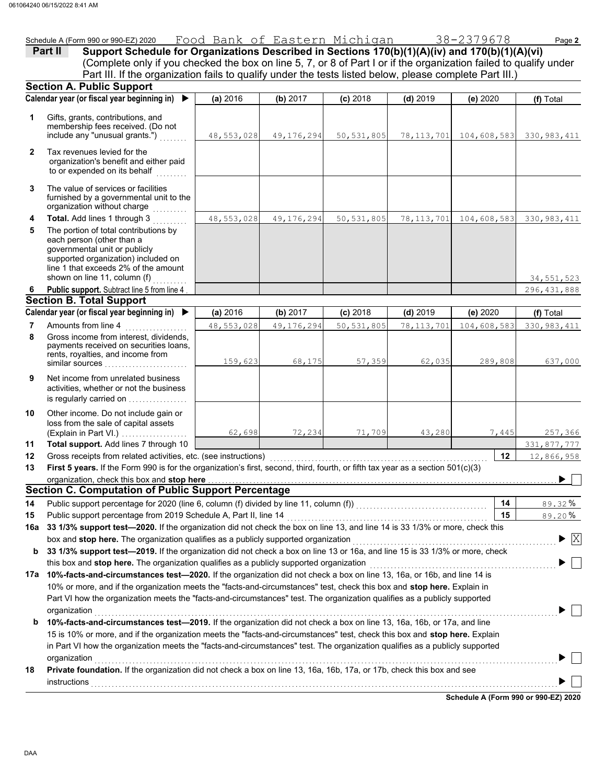|              | Schedule A (Form 990 or 990-EZ) 2020                                                                                                                                                                                                                                                                                                      | Food Bank of Eastern Michigan 38-2379678 |              |              |              |                         | Page 2                                        |
|--------------|-------------------------------------------------------------------------------------------------------------------------------------------------------------------------------------------------------------------------------------------------------------------------------------------------------------------------------------------|------------------------------------------|--------------|--------------|--------------|-------------------------|-----------------------------------------------|
|              | Support Schedule for Organizations Described in Sections 170(b)(1)(A)(iv) and 170(b)(1)(A)(vi)<br>Part II<br>(Complete only if you checked the box on line 5, 7, or 8 of Part I or if the organization failed to qualify under<br>Part III. If the organization fails to qualify under the tests listed below, please complete Part III.) |                                          |              |              |              |                         |                                               |
|              | <b>Section A. Public Support</b>                                                                                                                                                                                                                                                                                                          |                                          |              |              |              |                         |                                               |
|              | Calendar year (or fiscal year beginning in) $\blacktriangleright$                                                                                                                                                                                                                                                                         | (a) 2016                                 | (b) 2017     | $(c)$ 2018   | $(d)$ 2019   | (e) 2020                | (f) Total                                     |
| 1            | Gifts, grants, contributions, and<br>membership fees received. (Do not<br>include any "unusual grants.")                                                                                                                                                                                                                                  | 48,553,028                               | 49, 176, 294 | 50, 531, 805 | 78, 113, 701 | 104,608,583 330,983,411 |                                               |
| $\mathbf{2}$ | Tax revenues levied for the<br>organization's benefit and either paid<br>to or expended on its behalf                                                                                                                                                                                                                                     |                                          |              |              |              |                         |                                               |
| 3            | The value of services or facilities<br>furnished by a governmental unit to the<br>organization without charge<br>.                                                                                                                                                                                                                        |                                          |              |              |              |                         |                                               |
| 4            | Total. Add lines 1 through 3                                                                                                                                                                                                                                                                                                              | 48,553,028                               | 49,176,294   | 50, 531, 805 | 78, 113, 701 | 104,608,583             | 330, 983, 411                                 |
| 5            | The portion of total contributions by<br>each person (other than a<br>governmental unit or publicly<br>supported organization) included on<br>line 1 that exceeds 2% of the amount<br>shown on line 11, column (f)                                                                                                                        |                                          |              |              |              |                         | 34, 551, 523                                  |
|              | Public support. Subtract line 5 from line 4                                                                                                                                                                                                                                                                                               |                                          |              |              |              |                         | 296, 431, 888                                 |
|              | <b>Section B. Total Support</b>                                                                                                                                                                                                                                                                                                           |                                          |              |              |              |                         |                                               |
|              | Calendar year (or fiscal year beginning in) $\blacktriangleright$                                                                                                                                                                                                                                                                         | (a) 2016                                 | (b) 2017     | $(c)$ 2018   | $(d)$ 2019   | (e) 2020                | (f) Total                                     |
| 7            | Amounts from line 4                                                                                                                                                                                                                                                                                                                       | 48,553,028                               | 49, 176, 294 | 50, 531, 805 | 78, 113, 701 | 104,608,583             | 330, 983, 411                                 |
| 8            | Gross income from interest, dividends,<br>payments received on securities loans,<br>rents, royalties, and income from<br>similar sources                                                                                                                                                                                                  | 159,623                                  | 68,175       | 57,359       | 62,035       | 289,808                 | 637,000                                       |
| 9            | Net income from unrelated business<br>activities, whether or not the business<br>is regularly carried on                                                                                                                                                                                                                                  |                                          |              |              |              |                         |                                               |
| 10           | Other income. Do not include gain or<br>loss from the sale of capital assets<br>(Explain in Part VI.)                                                                                                                                                                                                                                     | 62,698                                   | 72,234       | 71,709       | 43,280       | 7,445                   | 257,366                                       |
| 11           | Total support. Add lines 7 through 10                                                                                                                                                                                                                                                                                                     |                                          |              |              |              |                         | 331,877,777                                   |
| 12           |                                                                                                                                                                                                                                                                                                                                           |                                          |              |              |              | 12                      | 12,866,958                                    |
| 13           | First 5 years. If the Form 990 is for the organization's first, second, third, fourth, or fifth tax year as a section 501(c)(3)                                                                                                                                                                                                           |                                          |              |              |              |                         |                                               |
|              | organization, check this box and stop here <b>consequences</b> and consequence of the state of the state of the state of the state of the state of the state of the state of the state of the state of the state of the state of th                                                                                                       |                                          |              |              |              |                         |                                               |
|              | <b>Section C. Computation of Public Support Percentage</b>                                                                                                                                                                                                                                                                                |                                          |              |              |              |                         |                                               |
| 14           | Public support percentage for 2020 (line 6, column (f) divided by line 11, column (f)) [[[[[[[[[[[[[[[[[[[[[[                                                                                                                                                                                                                             |                                          |              |              |              | 14                      | 89.32%                                        |
| 15           | Public support percentage from 2019 Schedule A, Part II, line 14                                                                                                                                                                                                                                                                          |                                          |              |              |              | 15                      | 89.20%                                        |
| 16a          | 33 1/3% support test-2020. If the organization did not check the box on line 13, and line 14 is 33 1/3% or more, check this                                                                                                                                                                                                               |                                          |              |              |              |                         |                                               |
|              | box and stop here. The organization qualifies as a publicly supported organization                                                                                                                                                                                                                                                        |                                          |              |              |              |                         | $\blacktriangleright$ $\overline{\mathrm{X}}$ |
| b            | 33 1/3% support test-2019. If the organization did not check a box on line 13 or 16a, and line 15 is 33 1/3% or more, check                                                                                                                                                                                                               |                                          |              |              |              |                         |                                               |
|              | this box and stop here. The organization qualifies as a publicly supported organization                                                                                                                                                                                                                                                   |                                          |              |              |              |                         |                                               |
|              | 17a 10%-facts-and-circumstances test-2020. If the organization did not check a box on line 13, 16a, or 16b, and line 14 is                                                                                                                                                                                                                |                                          |              |              |              |                         |                                               |
|              | 10% or more, and if the organization meets the "facts-and-circumstances" test, check this box and stop here. Explain in                                                                                                                                                                                                                   |                                          |              |              |              |                         |                                               |
|              | Part VI how the organization meets the "facts-and-circumstances" test. The organization qualifies as a publicly supported                                                                                                                                                                                                                 |                                          |              |              |              |                         |                                               |
|              | organization                                                                                                                                                                                                                                                                                                                              |                                          |              |              |              |                         |                                               |
| b            | 10%-facts-and-circumstances test-2019. If the organization did not check a box on line 13, 16a, 16b, or 17a, and line<br>15 is 10% or more, and if the organization meets the "facts-and-circumstances" test, check this box and stop here. Explain                                                                                       |                                          |              |              |              |                         |                                               |
|              | in Part VI how the organization meets the "facts-and-circumstances" test. The organization qualifies as a publicly supported                                                                                                                                                                                                              |                                          |              |              |              |                         |                                               |

**18 Private foundation.** If the organization did not check a box on line 13, 16a, 16b, 17a, or 17b, check this box and see

organization . . . . . . . . . . . . . . . . . . . . . . . . . . . . . . . . . . . . . . . . . . . . . . . . . . . . . . . . . . . . . . . . . . . . . . . . . . . . . . . . . . . . . . . . . . . . . . . . . . . . . . . . . . . . . . . . . . . . . . . . . . . . . . . . . . . . . .

**Schedule A (Form 990 or 990-EZ) 2020**  $\blacksquare$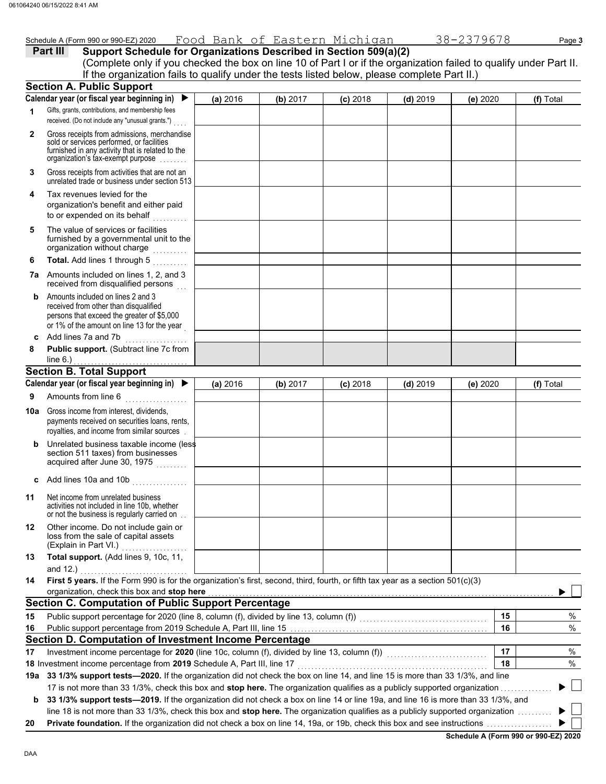|              | Schedule A (Form 990 or 990-EZ) 2020                                                                                                                                                                                                                                 | Food Bank of Eastern Michigan |          |            |            | 38-2379678 | Page 3    |
|--------------|----------------------------------------------------------------------------------------------------------------------------------------------------------------------------------------------------------------------------------------------------------------------|-------------------------------|----------|------------|------------|------------|-----------|
|              | Support Schedule for Organizations Described in Section 509(a)(2)<br>Part III                                                                                                                                                                                        |                               |          |            |            |            |           |
|              | (Complete only if you checked the box on line 10 of Part I or if the organization failed to qualify under Part II.                                                                                                                                                   |                               |          |            |            |            |           |
|              | If the organization fails to qualify under the tests listed below, please complete Part II.)                                                                                                                                                                         |                               |          |            |            |            |           |
|              | <b>Section A. Public Support</b>                                                                                                                                                                                                                                     |                               |          |            |            |            |           |
|              | Calendar year (or fiscal year beginning in)                                                                                                                                                                                                                          | (a) 2016                      | (b) 2017 | $(c)$ 2018 | $(d)$ 2019 | (e) 2020   | (f) Total |
| 1            | Gifts, grants, contributions, and membership fees<br>received. (Do not include any "unusual grants.")                                                                                                                                                                |                               |          |            |            |            |           |
| $\mathbf{2}$ | Gross receipts from admissions, merchandise<br>sold or services performed, or facilities<br>furnished in any activity that is related to the<br>organization's tax-exempt purpose                                                                                    |                               |          |            |            |            |           |
| 3            | Gross receipts from activities that are not an<br>unrelated trade or business under section 513                                                                                                                                                                      |                               |          |            |            |            |           |
| 4            | Tax revenues levied for the<br>organization's benefit and either paid<br>to or expended on its behalf                                                                                                                                                                |                               |          |            |            |            |           |
| 5            | The value of services or facilities<br>furnished by a governmental unit to the<br>organization without charge<br>.                                                                                                                                                   |                               |          |            |            |            |           |
| 6            | Total. Add lines 1 through 5                                                                                                                                                                                                                                         |                               |          |            |            |            |           |
|              | 7a Amounts included on lines 1, 2, and 3<br>received from disqualified persons                                                                                                                                                                                       |                               |          |            |            |            |           |
| b            | Amounts included on lines 2 and 3<br>received from other than disqualified<br>persons that exceed the greater of \$5,000<br>or 1% of the amount on line 13 for the year                                                                                              |                               |          |            |            |            |           |
| C            | Add lines 7a and 7b                                                                                                                                                                                                                                                  |                               |          |            |            |            |           |
| 8            | Public support. (Subtract line 7c from<br>line 6.) $\ldots$                                                                                                                                                                                                          |                               |          |            |            |            |           |
|              | <b>Section B. Total Support</b>                                                                                                                                                                                                                                      |                               |          |            |            |            |           |
|              | Calendar year (or fiscal year beginning in) $\blacktriangleright$                                                                                                                                                                                                    | (a) 2016                      | (b) 2017 | $(c)$ 2018 | $(d)$ 2019 | (e) 2020   | (f) Total |
| 9            | Amounts from line 6                                                                                                                                                                                                                                                  |                               |          |            |            |            |           |
| 10a          | Gross income from interest, dividends,<br>payments received on securities loans, rents,<br>royalties, and income from similar sources                                                                                                                                |                               |          |            |            |            |           |
| b            | Unrelated business taxable income (less<br>section 511 taxes) from businesses<br>acquired after June 30, 1975                                                                                                                                                        |                               |          |            |            |            |           |
|              | Add lines 10a and 10b                                                                                                                                                                                                                                                |                               |          |            |            |            |           |
| 11           | Net income from unrelated business<br>activities not included in line 10b, whether<br>or not the business is regularly carried on                                                                                                                                    |                               |          |            |            |            |           |
| 12           | Other income. Do not include gain or<br>loss from the sale of capital assets<br>(Explain in Part VI.)                                                                                                                                                                |                               |          |            |            |            |           |
| 13           | Total support. (Add lines 9, 10c, 11,<br>and $12.$ )                                                                                                                                                                                                                 |                               |          |            |            |            |           |
| 14           | First 5 years. If the Form 990 is for the organization's first, second, third, fourth, or fifth tax year as a section 501(c)(3)<br>organization, check this box and stop here                                                                                        |                               |          |            |            |            |           |
|              | <b>Section C. Computation of Public Support Percentage</b>                                                                                                                                                                                                           |                               |          |            |            |            |           |
| 15           |                                                                                                                                                                                                                                                                      |                               |          |            |            | 15         | %         |
| 16           |                                                                                                                                                                                                                                                                      |                               |          |            |            | 16         | $\%$      |
|              | Section D. Computation of Investment Income Percentage                                                                                                                                                                                                               |                               |          |            |            |            |           |
| 17           | Investment income percentage for 2020 (line 10c, column (f), divided by line 13, column (f)) [[[[[[[[[[[[[[[[                                                                                                                                                        |                               |          |            |            | 17         | %         |
|              | 18 Investment income percentage from 2019 Schedule A, Part III, line 17                                                                                                                                                                                              |                               |          |            |            | 18         | %         |
|              | 19a 33 1/3% support tests-2020. If the organization did not check the box on line 14, and line 15 is more than 33 1/3%, and line                                                                                                                                     |                               |          |            |            |            |           |
|              | 17 is not more than 33 1/3%, check this box and stop here. The organization qualifies as a publicly supported organization                                                                                                                                           |                               |          |            |            |            |           |
| b            | 33 1/3% support tests-2019. If the organization did not check a box on line 14 or line 19a, and line 16 is more than 33 1/3%, and<br>line 18 is not more than 33 1/3%, check this box and stop here. The organization qualifies as a publicly supported organization |                               |          |            |            |            |           |
| 20           |                                                                                                                                                                                                                                                                      |                               |          |            |            |            |           |

**Schedule A (Form 990 or 990-EZ) 2020**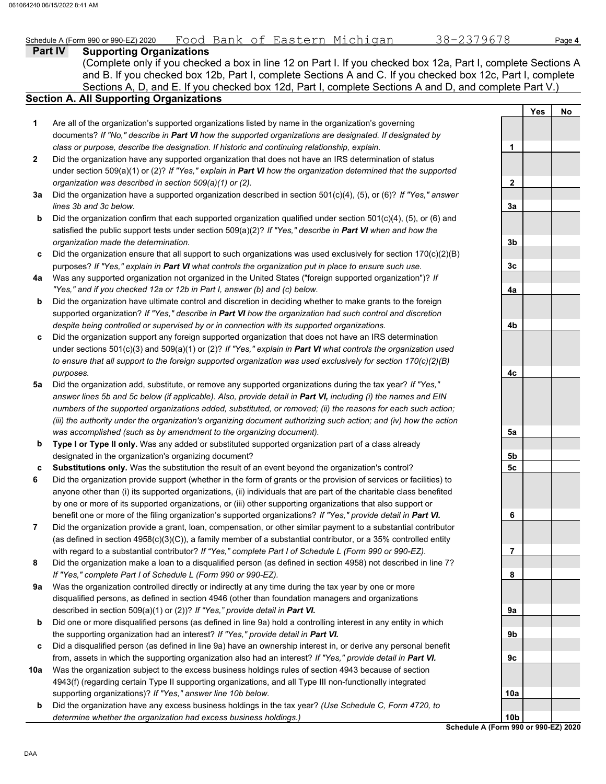### **Part IV Supporting Organizations** Sections A, D, and E. If you checked box 12d, Part I, complete Sections A and D, and complete Part V.) Schedule A (Form 990 or 990-EZ) 2020 Page **4** Food Bank of Eastern Michigan 38-2379678 **Section A. All Supporting Organizations** (Complete only if you checked a box in line 12 on Part I. If you checked box 12a, Part I, complete Sections A and B. If you checked box 12b, Part I, complete Sections A and C. If you checked box 12c, Part I, complete Are all of the organization's supported organizations listed by name in the organization's governing documents? *If "No," describe in Part VI how the supported organizations are designated. If designated by class or purpose, describe the designation. If historic and continuing relationship, explain.* Did the organization have any supported organization that does not have an IRS determination of status under section 509(a)(1) or (2)? *If "Yes," explain in Part VI how the organization determined that the supported organization was described in section 509(a)(1) or (2).* **1 2 3a** Did the organization have a supported organization described in section 501(c)(4), (5), or (6)? *If "Yes," answer* **b c** Did the organization ensure that all support to such organizations was used exclusively for section 170(c)(2)(B) **4a** Was any supported organization not organized in the United States ("foreign supported organization")? *If* **b c** Did the organization support any foreign supported organization that does not have an IRS determination **5a** Did the organization add, substitute, or remove any supported organizations during the tax year? *If "Yes,"* **b c 6 7 8 9a b** Did one or more disqualified persons (as defined in line 9a) hold a controlling interest in any entity in which **c** Did a disqualified person (as defined in line 9a) have an ownership interest in, or derive any personal benefit **10a** *lines 3b and 3c below.* Did the organization confirm that each supported organization qualified under section  $501(c)(4)$ , (5), or (6) and satisfied the public support tests under section 509(a)(2)? *If "Yes," describe in Part VI when and how the organization made the determination.* purposes? *If "Yes," explain in Part VI what controls the organization put in place to ensure such use. "Yes," and if you checked 12a or 12b in Part I, answer (b) and (c) below.* Did the organization have ultimate control and discretion in deciding whether to make grants to the foreign supported organization? *If "Yes," describe in Part VI how the organization had such control and discretion despite being controlled or supervised by or in connection with its supported organizations.* under sections 501(c)(3) and 509(a)(1) or (2)? *If "Yes," explain in Part VI what controls the organization used to ensure that all support to the foreign supported organization was used exclusively for section 170(c)(2)(B) purposes. answer lines 5b and 5c below (if applicable). Also, provide detail in Part VI, including (i) the names and EIN numbers of the supported organizations added, substituted, or removed; (ii) the reasons for each such action; (iii) the authority under the organization's organizing document authorizing such action; and (iv) how the action was accomplished (such as by amendment to the organizing document).* **Type I or Type II only.** Was any added or substituted supported organization part of a class already designated in the organization's organizing document? **Substitutions only.** Was the substitution the result of an event beyond the organization's control? Did the organization provide support (whether in the form of grants or the provision of services or facilities) to anyone other than (i) its supported organizations, (ii) individuals that are part of the charitable class benefited by one or more of its supported organizations, or (iii) other supporting organizations that also support or benefit one or more of the filing organization's supported organizations? *If "Yes," provide detail in Part VI.* Did the organization provide a grant, loan, compensation, or other similar payment to a substantial contributor (as defined in section 4958(c)(3)(C)), a family member of a substantial contributor, or a 35% controlled entity with regard to a substantial contributor? *If "Yes," complete Part I of Schedule L (Form 990 or 990-EZ).* Did the organization make a loan to a disqualified person (as defined in section 4958) not described in line 7? *If "Yes," complete Part I of Schedule L (Form 990 or 990-EZ).* Was the organization controlled directly or indirectly at any time during the tax year by one or more disqualified persons, as defined in section 4946 (other than foundation managers and organizations described in section 509(a)(1) or (2))? *If "Yes," provide detail in Part VI.* the supporting organization had an interest? *If "Yes," provide detail in Part VI.* from, assets in which the supporting organization also had an interest? *If "Yes," provide detail in Part VI.* Was the organization subject to the excess business holdings rules of section 4943 because of section 4943(f) (regarding certain Type II supporting organizations, and all Type III non-functionally integrated supporting organizations)? *If "Yes," answer line 10b below.* **Yes No 1 2 3a 3b 3c 4a 4b 4c 5a 5b 5c 6 7 8 9a 9b 9c 10a**

**b** Did the organization have any excess business holdings in the tax year? *(Use Schedule C, Form 4720, to determine whether the organization had excess business holdings.)*

**Schedule A (Form 990 or 990-EZ) 2020 10b**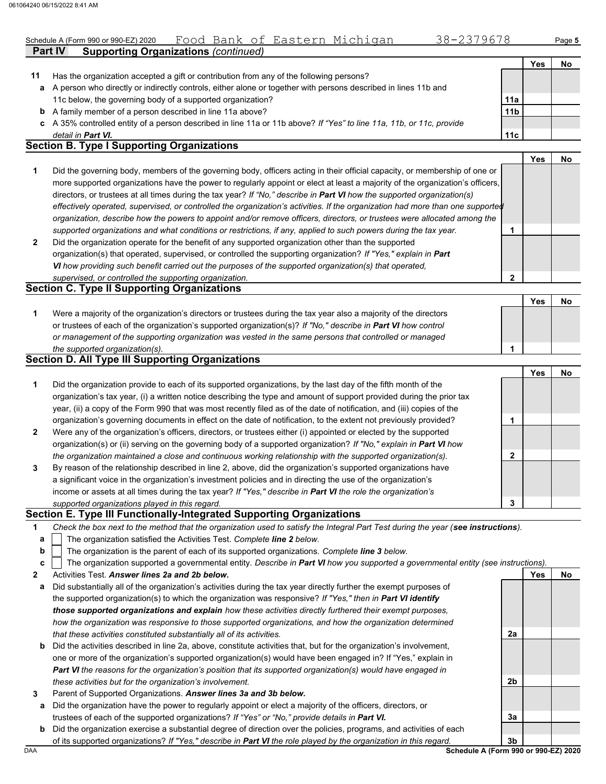|    | Schedule A (Form 990 or 990-EZ) 2020                                                                             | Food Bank of Eastern Michigan               |  |  | 38-2379678 |                 |     | Page 5 |
|----|------------------------------------------------------------------------------------------------------------------|---------------------------------------------|--|--|------------|-----------------|-----|--------|
|    | <b>Part IV</b>                                                                                                   | <b>Supporting Organizations (continued)</b> |  |  |            |                 |     |        |
|    |                                                                                                                  |                                             |  |  |            |                 | Yes | No     |
| 11 | Has the organization accepted a gift or contribution from any of the following persons?                          |                                             |  |  |            |                 |     |        |
|    | a A person who directly or indirectly controls, either alone or together with persons described in lines 11b and |                                             |  |  |            |                 |     |        |
|    | 11c below, the governing body of a supported organization?                                                       |                                             |  |  |            | 11a             |     |        |
|    | <b>b</b> A family member of a person described in line 11a above?                                                |                                             |  |  |            | 11 <sub>b</sub> |     |        |

**c** A 35% controlled entity of a person described in line 11a or 11b above? *If "Yes" to line 11a, 11b, or 11c, provide detail in Part VI.*

## **Section B. Type I Supporting Organizations**

**2 1** *supported organizations and what conditions or restrictions, if any, applied to such powers during the tax year. organization, describe how the powers to appoint and/or remove officers, directors, or trustees were allocated among the effectively operated, supervised, or controlled the organization's activities. If the organization had more than one supported* directors, or trustees at all times during the tax year? *If "No," describe in Part VI how the supported organization(s)* more supported organizations have the power to regularly appoint or elect at least a majority of the organization's officers, Did the governing body, members of the governing body, officers acting in their official capacity, or membership of one or Did the organization operate for the benefit of any supported organization other than the supported organization(s) that operated, supervised, or controlled the supporting organization? *If "Yes," explain in Part*  **1 Yes No**

*VI how providing such benefit carried out the purposes of the supported organization(s) that operated,* 

## *supervised, or controlled the supporting organization.* **Section C. Type II Supporting Organizations**

Were a majority of the organization's directors or trustees during the tax year also a majority of the directors or trustees of each of the organization's supported organization(s)? *If "No," describe in Part VI how control* **1** *or management of the supporting organization was vested in the same persons that controlled or managed the supported organization(s).* **Yes No 1**

### **Section D. All Type III Supporting Organizations**

|                |                                                                                                                        | Yes | No |
|----------------|------------------------------------------------------------------------------------------------------------------------|-----|----|
| 1              | Did the organization provide to each of its supported organizations, by the last day of the fifth month of the         |     |    |
|                | organization's tax year, (i) a written notice describing the type and amount of support provided during the prior tax  |     |    |
|                | year, (ii) a copy of the Form 990 that was most recently filed as of the date of notification, and (iii) copies of the |     |    |
|                | organization's governing documents in effect on the date of notification, to the extent not previously provided?       |     |    |
| $\overline{2}$ | Were any of the organization's officers, directors, or trustees either (i) appointed or elected by the supported       |     |    |
|                | organization(s) or (ii) serving on the governing body of a supported organization? If "No," explain in Part VI how     |     |    |
|                | the organization maintained a close and continuous working relationship with the supported organization(s).            |     |    |
| 3              | By reason of the relationship described in line 2, above, did the organization's supported organizations have          |     |    |
|                | a significant voice in the organization's investment policies and in directing the use of the organization's           |     |    |
|                | income or assets at all times during the tax year? If "Yes," describe in Part VI the role the organization's           |     |    |
|                | supported organizations played in this regard.                                                                         |     |    |

### **Section E. Type III Functionally-Integrated Supporting Organizations**

| Check the box next to the method that the organization used to satisfy the Integral Part Test during the year (see instructions). |  |
|-----------------------------------------------------------------------------------------------------------------------------------|--|
|                                                                                                                                   |  |

- The organization satisfied the Activities Test. *Complete line 2 below.* **a**
- The organization is the parent of each of its supported organizations. *Complete line 3 below.* **b**

|  | c   The organization supported a governmental entity. Describe in Part VI how you supported a governmental entity (see instructions). |  |  |  |
|--|---------------------------------------------------------------------------------------------------------------------------------------|--|--|--|
|  |                                                                                                                                       |  |  |  |

**2** Activities Test. *Answer lines 2a and 2b below.*

- **a** Did substantially all of the organization's activities during the tax year directly further the exempt purposes of the supported organization(s) to which the organization was responsive? *If "Yes," then in Part VI identify those supported organizations and explain how these activities directly furthered their exempt purposes, how the organization was responsive to those supported organizations, and how the organization determined that these activities constituted substantially all of its activities.*
- **b** Did the activities described in line 2a, above, constitute activities that, but for the organization's involvement, one or more of the organization's supported organization(s) would have been engaged in? If "Yes," explain in *Part VI the reasons for the organization's position that its supported organization(s) would have engaged in these activities but for the organization's involvement.*
- **3** Parent of Supported Organizations. *Answer lines 3a and 3b below.*
	- **a** Did the organization have the power to regularly appoint or elect a majority of the officers, directors, or trustees of each of the supported organizations? *If "Yes" or "No," provide details in Part VI.*
	- **b** Did the organization exercise a substantial degree of direction over the policies, programs, and activities of each of its supported organizations? *If "Yes," describe in Part VI the role played by the organization in this regard.*

DAA **Schedule A (Form 990 or 990-EZ) 2020 3b**

**2a**

**2b**

**3a**

**Yes No**

**11c**

**2**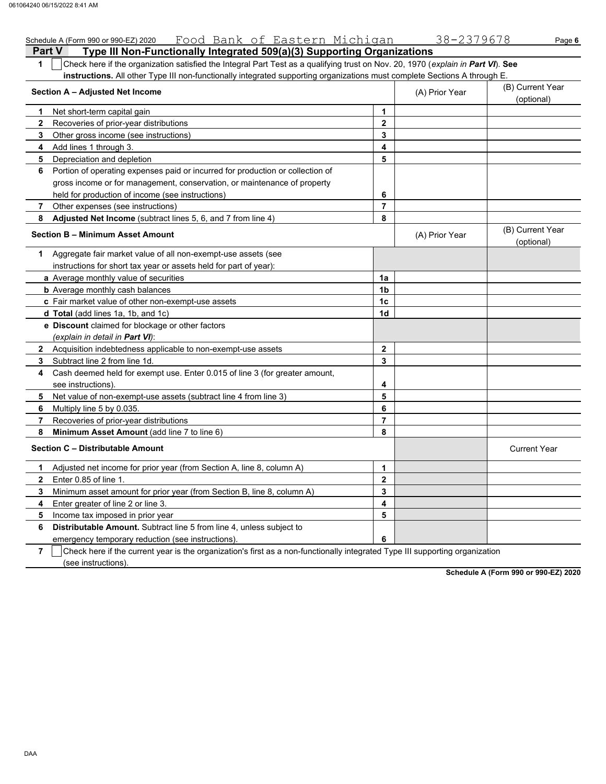| Schedule A (Form 990 or 990-EZ) 2020 Food Bank of Eastern Michigan                                                                    |                | 38-2379678     | Page 6                         |
|---------------------------------------------------------------------------------------------------------------------------------------|----------------|----------------|--------------------------------|
| Type III Non-Functionally Integrated 509(a)(3) Supporting Organizations<br><b>Part V</b>                                              |                |                |                                |
| Check here if the organization satisfied the Integral Part Test as a qualifying trust on Nov. 20, 1970 (explain in Part VI). See<br>1 |                |                |                                |
| instructions. All other Type III non-functionally integrated supporting organizations must complete Sections A through E.             |                |                |                                |
| Section A - Adjusted Net Income                                                                                                       |                | (A) Prior Year | (B) Current Year<br>(optional) |
| 1<br>Net short-term capital gain                                                                                                      | $\mathbf{1}$   |                |                                |
| 2<br>Recoveries of prior-year distributions                                                                                           | $\mathbf{2}$   |                |                                |
| 3<br>Other gross income (see instructions)                                                                                            | 3              |                |                                |
| 4<br>Add lines 1 through 3.                                                                                                           | 4              |                |                                |
| 5<br>Depreciation and depletion                                                                                                       | 5              |                |                                |
| Portion of operating expenses paid or incurred for production or collection of<br>6                                                   |                |                |                                |
| gross income or for management, conservation, or maintenance of property                                                              |                |                |                                |
| held for production of income (see instructions)                                                                                      | 6              |                |                                |
| 7<br>Other expenses (see instructions)                                                                                                | 7              |                |                                |
| Adjusted Net Income (subtract lines 5, 6, and 7 from line 4)<br>8                                                                     | 8              |                |                                |
| <b>Section B - Minimum Asset Amount</b>                                                                                               |                | (A) Prior Year | (B) Current Year<br>(optional) |
| 1 Aggregate fair market value of all non-exempt-use assets (see                                                                       |                |                |                                |
| instructions for short tax year or assets held for part of year):                                                                     |                |                |                                |
| a Average monthly value of securities                                                                                                 | 1a             |                |                                |
| <b>b</b> Average monthly cash balances                                                                                                | 1b             |                |                                |
| c Fair market value of other non-exempt-use assets                                                                                    | 1c             |                |                                |
| <b>d Total</b> (add lines 1a, 1b, and 1c)                                                                                             | 1d             |                |                                |
| e Discount claimed for blockage or other factors                                                                                      |                |                |                                |
| (explain in detail in Part VI):                                                                                                       |                |                |                                |
| 2 Acquisition indebtedness applicable to non-exempt-use assets                                                                        | $\mathbf{2}$   |                |                                |
| 3<br>Subtract line 2 from line 1d.                                                                                                    | 3              |                |                                |
| Cash deemed held for exempt use. Enter 0.015 of line 3 (for greater amount,<br>4                                                      |                |                |                                |
| see instructions).                                                                                                                    | 4              |                |                                |
| 5<br>Net value of non-exempt-use assets (subtract line 4 from line 3)                                                                 | 5              |                |                                |
| 6<br>Multiply line 5 by 0.035.                                                                                                        | 6              |                |                                |
| 7<br>Recoveries of prior-year distributions                                                                                           | $\overline{7}$ |                |                                |
| 8<br>Minimum Asset Amount (add line 7 to line 6)                                                                                      | 8              |                |                                |
| <b>Section C - Distributable Amount</b>                                                                                               |                |                | <b>Current Year</b>            |
| Adjusted net income for prior year (from Section A, line 8, column A)<br>1                                                            | $\mathbf{1}$   |                |                                |
| 2<br>Enter 0.85 of line 1.                                                                                                            | $\mathbf 2$    |                |                                |
| 3<br>Minimum asset amount for prior year (from Section B, line 8, column A)                                                           | 3              |                |                                |
| Enter greater of line 2 or line 3.<br>4                                                                                               | 4              |                |                                |
| 5<br>Income tax imposed in prior year                                                                                                 | 5              |                |                                |
| Distributable Amount. Subtract line 5 from line 4, unless subject to<br>6                                                             |                |                |                                |
| emergency temporary reduction (see instructions)                                                                                      | 6              |                |                                |

**7**  $\Box$  Check here if the current year is the organization's first as a non-functionally integrated Type III supporting organization (see instructions).

**Schedule A (Form 990 or 990-EZ) 2020**

DAA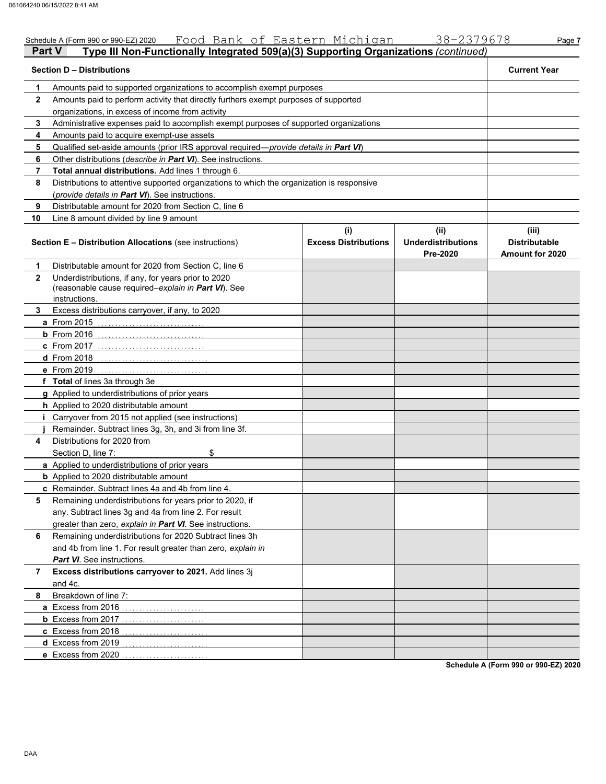|               | Schedule A (Form 990 or 990-EZ) 2020 Food Bank of Eastern Michigan                                                          |                                    | 38-2379678                                    | Page 7                                                  |
|---------------|-----------------------------------------------------------------------------------------------------------------------------|------------------------------------|-----------------------------------------------|---------------------------------------------------------|
| <b>Part V</b> | Type III Non-Functionally Integrated 509(a)(3) Supporting Organizations (continued)                                         |                                    |                                               |                                                         |
|               | <b>Section D - Distributions</b>                                                                                            |                                    |                                               | <b>Current Year</b>                                     |
| 1             | Amounts paid to supported organizations to accomplish exempt purposes                                                       |                                    |                                               |                                                         |
| $\mathbf{2}$  | Amounts paid to perform activity that directly furthers exempt purposes of supported                                        |                                    |                                               |                                                         |
|               | organizations, in excess of income from activity                                                                            |                                    |                                               |                                                         |
| 3             | Administrative expenses paid to accomplish exempt purposes of supported organizations                                       |                                    |                                               |                                                         |
| 4             | Amounts paid to acquire exempt-use assets                                                                                   |                                    |                                               |                                                         |
| 5             | Qualified set-aside amounts (prior IRS approval required-provide details in Part VI)                                        |                                    |                                               |                                                         |
| 6             | Other distributions (describe in Part VI). See instructions.                                                                |                                    |                                               |                                                         |
| 7             | Total annual distributions. Add lines 1 through 6.                                                                          |                                    |                                               |                                                         |
| 8             | Distributions to attentive supported organizations to which the organization is responsive                                  |                                    |                                               |                                                         |
|               | (provide details in Part VI). See instructions.                                                                             |                                    |                                               |                                                         |
| 9             | Distributable amount for 2020 from Section C, line 6                                                                        |                                    |                                               |                                                         |
| 10            | Line 8 amount divided by line 9 amount                                                                                      |                                    |                                               |                                                         |
|               | <b>Section E - Distribution Allocations (see instructions)</b>                                                              | (i)<br><b>Excess Distributions</b> | (ii)<br><b>Underdistributions</b><br>Pre-2020 | (iii)<br><b>Distributable</b><br><b>Amount for 2020</b> |
| 1             | Distributable amount for 2020 from Section C, line 6                                                                        |                                    |                                               |                                                         |
| $\mathbf{2}$  | Underdistributions, if any, for years prior to 2020<br>(reasonable cause required-explain in Part VI). See<br>instructions. |                                    |                                               |                                                         |
| 3.            | Excess distributions carryover, if any, to 2020                                                                             |                                    |                                               |                                                         |
|               | <b>a</b> From 2015                                                                                                          |                                    |                                               |                                                         |
|               | <b>b</b> From $2016$                                                                                                        |                                    |                                               |                                                         |
|               | <b>c</b> From 2017                                                                                                          |                                    |                                               |                                                         |
|               | <b>d</b> From 2018                                                                                                          |                                    |                                               |                                                         |
|               | e From 2019                                                                                                                 |                                    |                                               |                                                         |
|               | f Total of lines 3a through 3e                                                                                              |                                    |                                               |                                                         |
|               | g Applied to underdistributions of prior years                                                                              |                                    |                                               |                                                         |
|               | h Applied to 2020 distributable amount                                                                                      |                                    |                                               |                                                         |
|               | <i>i</i> Carryover from 2015 not applied (see instructions)                                                                 |                                    |                                               |                                                         |
|               | Remainder. Subtract lines 3g, 3h, and 3i from line 3f.                                                                      |                                    |                                               |                                                         |
| 4             | Distributions for 2020 from                                                                                                 |                                    |                                               |                                                         |
|               | \$<br>Section D, line 7:                                                                                                    |                                    |                                               |                                                         |
|               | a Applied to underdistributions of prior years                                                                              |                                    |                                               |                                                         |
|               | <b>b</b> Applied to 2020 distributable amount                                                                               |                                    |                                               |                                                         |
|               | c Remainder. Subtract lines 4a and 4b from line 4.                                                                          |                                    |                                               |                                                         |
| 5             | Remaining underdistributions for years prior to 2020, if                                                                    |                                    |                                               |                                                         |
|               | any. Subtract lines 3g and 4a from line 2. For result                                                                       |                                    |                                               |                                                         |
|               | greater than zero, explain in Part VI. See instructions.                                                                    |                                    |                                               |                                                         |
| 6             | Remaining underdistributions for 2020 Subtract lines 3h                                                                     |                                    |                                               |                                                         |
|               | and 4b from line 1. For result greater than zero, explain in                                                                |                                    |                                               |                                                         |
|               | Part VI. See instructions.                                                                                                  |                                    |                                               |                                                         |
| 7             | Excess distributions carryover to 2021. Add lines 3j                                                                        |                                    |                                               |                                                         |
|               | and 4c.                                                                                                                     |                                    |                                               |                                                         |
| 8             | Breakdown of line 7:                                                                                                        |                                    |                                               |                                                         |
|               | a Excess from 2016                                                                                                          |                                    |                                               |                                                         |
|               |                                                                                                                             |                                    |                                               |                                                         |
|               | c Excess from 2018                                                                                                          |                                    |                                               |                                                         |
|               | d Excess from 2019                                                                                                          |                                    |                                               |                                                         |
|               | e Excess from 2020                                                                                                          |                                    |                                               |                                                         |
|               |                                                                                                                             |                                    |                                               |                                                         |

**Schedule A (Form 990 or 990-EZ) 2020**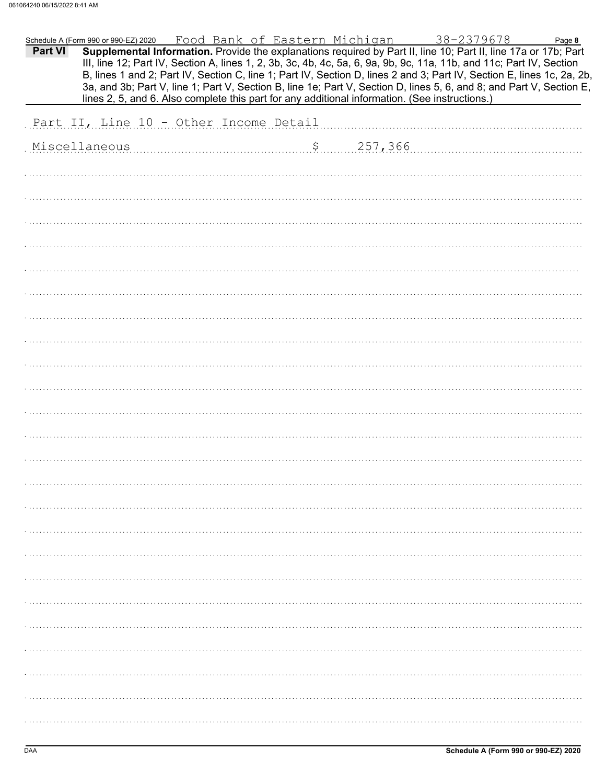|         | Schedule A (Form 990 or 990-EZ) 2020 Food Bank of Eastern Michigan |  |            | 38-2379678                                                                                                                                                                                                                                                                                                                                                        | Page 8 |
|---------|--------------------------------------------------------------------|--|------------|-------------------------------------------------------------------------------------------------------------------------------------------------------------------------------------------------------------------------------------------------------------------------------------------------------------------------------------------------------------------|--------|
| Part VI |                                                                    |  |            | Supplemental Information. Provide the explanations required by Part II, line 10; Part II, line 17a or 17b; Part<br>III, line 12; Part IV, Section A, lines 1, 2, 3b, 3c, 4b, 4c, 5a, 6, 9a, 9b, 9c, 11a, 11b, and 11c; Part IV, Section<br>B, lines 1 and 2; Part IV, Section C, line 1; Part IV, Section D, lines 2 and 3; Part IV, Section E, lines 1c, 2a, 2b, |        |
|         |                                                                    |  |            | 3a, and 3b; Part V, line 1; Part V, Section B, line 1e; Part V, Section D, lines 5, 6, and 8; and Part V, Section E,<br>lines 2, 5, and 6. Also complete this part for any additional information. (See instructions.)                                                                                                                                            |        |
|         |                                                                    |  |            |                                                                                                                                                                                                                                                                                                                                                                   |        |
|         | Part II, Line 10 - Other Income Detail                             |  |            |                                                                                                                                                                                                                                                                                                                                                                   |        |
|         | Miscellaneous                                                      |  | \$ 257,366 |                                                                                                                                                                                                                                                                                                                                                                   |        |
|         |                                                                    |  |            |                                                                                                                                                                                                                                                                                                                                                                   |        |
|         |                                                                    |  |            |                                                                                                                                                                                                                                                                                                                                                                   |        |
|         |                                                                    |  |            |                                                                                                                                                                                                                                                                                                                                                                   |        |
|         |                                                                    |  |            |                                                                                                                                                                                                                                                                                                                                                                   |        |
|         |                                                                    |  |            |                                                                                                                                                                                                                                                                                                                                                                   |        |
|         |                                                                    |  |            |                                                                                                                                                                                                                                                                                                                                                                   |        |
|         |                                                                    |  |            |                                                                                                                                                                                                                                                                                                                                                                   |        |
|         |                                                                    |  |            |                                                                                                                                                                                                                                                                                                                                                                   |        |
|         |                                                                    |  |            |                                                                                                                                                                                                                                                                                                                                                                   |        |
|         |                                                                    |  |            |                                                                                                                                                                                                                                                                                                                                                                   |        |
|         |                                                                    |  |            |                                                                                                                                                                                                                                                                                                                                                                   |        |
|         |                                                                    |  |            |                                                                                                                                                                                                                                                                                                                                                                   |        |
|         |                                                                    |  |            |                                                                                                                                                                                                                                                                                                                                                                   |        |
|         |                                                                    |  |            |                                                                                                                                                                                                                                                                                                                                                                   |        |
|         |                                                                    |  |            |                                                                                                                                                                                                                                                                                                                                                                   |        |
|         |                                                                    |  |            |                                                                                                                                                                                                                                                                                                                                                                   |        |
|         |                                                                    |  |            |                                                                                                                                                                                                                                                                                                                                                                   |        |
|         |                                                                    |  |            |                                                                                                                                                                                                                                                                                                                                                                   |        |
|         |                                                                    |  |            |                                                                                                                                                                                                                                                                                                                                                                   |        |
|         |                                                                    |  |            |                                                                                                                                                                                                                                                                                                                                                                   |        |
|         |                                                                    |  |            |                                                                                                                                                                                                                                                                                                                                                                   |        |
|         |                                                                    |  |            |                                                                                                                                                                                                                                                                                                                                                                   |        |
|         |                                                                    |  |            |                                                                                                                                                                                                                                                                                                                                                                   |        |
|         |                                                                    |  |            |                                                                                                                                                                                                                                                                                                                                                                   |        |
|         |                                                                    |  |            |                                                                                                                                                                                                                                                                                                                                                                   |        |
|         |                                                                    |  |            |                                                                                                                                                                                                                                                                                                                                                                   |        |
|         |                                                                    |  |            |                                                                                                                                                                                                                                                                                                                                                                   |        |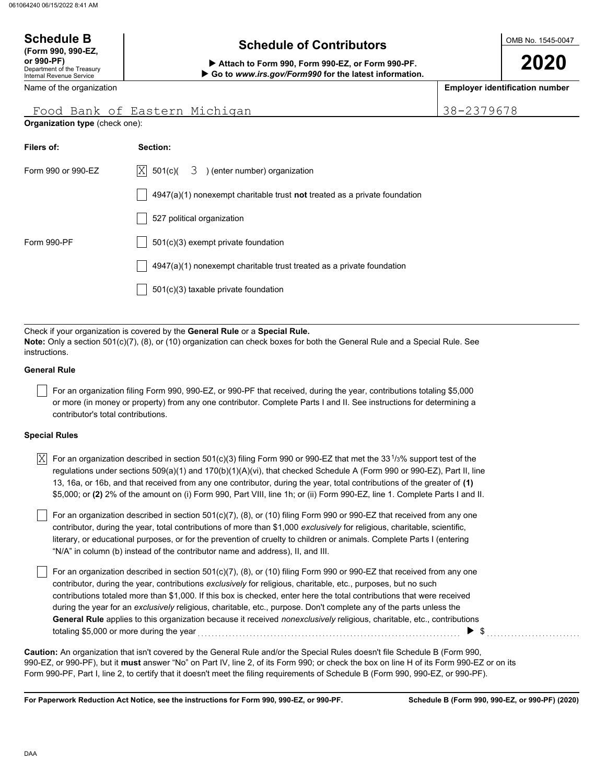### OMB No. 1545-0047 Department of the Treasury Internal Revenue Service Name of the organization **2020 Schedule of Contributors Schedule B (Form 990, 990-EZ, or 990-PF) Attach to Form 990, Form 990-EZ, or Form 990-PF. Employer identification number Organization type** (check one):  **Go to** *www.irs.gov/Form990* **for the latest information.** Food Bank of Eastern Michigan 38-2379678

| Filers of:         | Section:                                                                           |
|--------------------|------------------------------------------------------------------------------------|
| Form 990 or 990-EZ | $ X $ 501(c)(<br>3 ) (enter number) organization                                   |
|                    | $4947(a)(1)$ nonexempt charitable trust <b>not</b> treated as a private foundation |
|                    | 527 political organization                                                         |
| Form 990-PF        | 501(c)(3) exempt private foundation                                                |
|                    | 4947(a)(1) nonexempt charitable trust treated as a private foundation              |
|                    | 501(c)(3) taxable private foundation                                               |
|                    |                                                                                    |

Check if your organization is covered by the **General Rule** or a **Special Rule. Note:** Only a section 501(c)(7), (8), or (10) organization can check boxes for both the General Rule and a Special Rule. See instructions.

### **General Rule**

For an organization filing Form 990, 990-EZ, or 990-PF that received, during the year, contributions totaling \$5,000 or more (in money or property) from any one contributor. Complete Parts I and II. See instructions for determining a contributor's total contributions.

### **Special Rules**

| X  For an organization described in section 501(c)(3) filing Form 990 or 990-EZ that met the 33 <sup>1</sup> /3% support test of the |
|--------------------------------------------------------------------------------------------------------------------------------------|
| regulations under sections 509(a)(1) and 170(b)(1)(A)(vi), that checked Schedule A (Form 990 or 990-EZ), Part II, line               |
| 13, 16a, or 16b, and that received from any one contributor, during the year, total contributions of the greater of (1)              |
| \$5,000; or (2) 2% of the amount on (i) Form 990, Part VIII, line 1h; or (ii) Form 990-EZ, line 1. Complete Parts I and II.          |

literary, or educational purposes, or for the prevention of cruelty to children or animals. Complete Parts I (entering For an organization described in section 501(c)(7), (8), or (10) filing Form 990 or 990-EZ that received from any one contributor, during the year, total contributions of more than \$1,000 *exclusively* for religious, charitable, scientific, "N/A" in column (b) instead of the contributor name and address), II, and III.

For an organization described in section 501(c)(7), (8), or (10) filing Form 990 or 990-EZ that received from any one contributor, during the year, contributions *exclusively* for religious, charitable, etc., purposes, but no such contributions totaled more than \$1,000. If this box is checked, enter here the total contributions that were received during the year for an *exclusively* religious, charitable, etc., purpose. Don't complete any of the parts unless the **General Rule** applies to this organization because it received *nonexclusively* religious, charitable, etc., contributions totaling \$5,000 or more during the year  $\ldots$   $\ldots$   $\ldots$   $\ldots$   $\ldots$   $\ldots$   $\ldots$   $\ldots$   $\ldots$   $\ldots$   $\ldots$   $\ldots$ 

990-EZ, or 990-PF), but it **must** answer "No" on Part IV, line 2, of its Form 990; or check the box on line H of its Form 990-EZ or on its Form 990-PF, Part I, line 2, to certify that it doesn't meet the filing requirements of Schedule B (Form 990, 990-EZ, or 990-PF). **Caution:** An organization that isn't covered by the General Rule and/or the Special Rules doesn't file Schedule B (Form 990,

**For Paperwork Reduction Act Notice, see the instructions for Form 990, 990-EZ, or 990-PF.**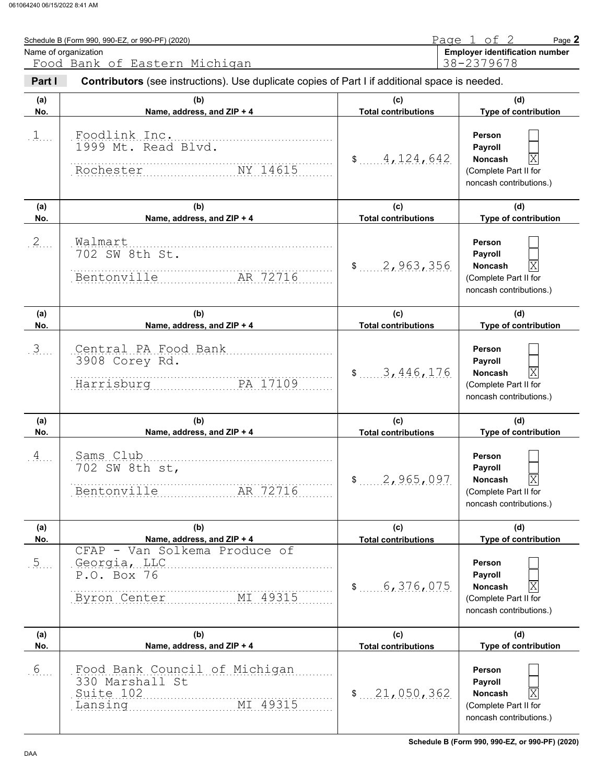|                  | Schedule B (Form 990, 990-EZ, or 990-PF) (2020)                                                |                                   | Page 1 of 2<br>Page 2                                                                                              |
|------------------|------------------------------------------------------------------------------------------------|-----------------------------------|--------------------------------------------------------------------------------------------------------------------|
|                  | Name of organization<br>Food Bank of Eastern Michigan                                          |                                   | <b>Employer identification number</b><br>38-2379678                                                                |
| Part I           | Contributors (see instructions). Use duplicate copies of Part I if additional space is needed. |                                   |                                                                                                                    |
| (a)<br>No.       | (b)<br>Name, address, and ZIP + 4                                                              | (c)<br><b>Total contributions</b> | (d)<br>Type of contribution                                                                                        |
| $1$              | Foodlink Inc.<br>1999 Mt. Read Blvd.<br>Rochester NY 14615                                     | 4,124,642                         | Person<br>Payroll<br> X<br>Noncash<br>(Complete Part II for<br>noncash contributions.)                             |
| (a)<br>No.       | (b)<br>Name, address, and ZIP + 4                                                              | (c)<br><b>Total contributions</b> | (d)<br>Type of contribution                                                                                        |
| $2$              | Walmart<br>702 SW 8th St.<br>Bentonville<br>AR 72716                                           | 2,963,356                         | Person<br>Payroll<br>ΙX<br>Noncash<br>(Complete Part II for<br>noncash contributions.)                             |
| (a)<br>No.       | (b)<br>Name, address, and ZIP + 4                                                              | (c)<br><b>Total contributions</b> | (d)<br>Type of contribution                                                                                        |
| 3                | Central PA Food Bank<br>3908 Corey Rd.<br>Harrisburg<br>PA 17109                               | \$3,446,176                       | Person<br>Payroll<br> X<br>Noncash<br>(Complete Part II for<br>noncash contributions.)                             |
| (a)<br>No.       | (b)<br>Name, address, and ZIP + 4                                                              | (c)<br><b>Total contributions</b> | (d)<br>Type of contribution                                                                                        |
| 4                | Sams Club<br>702 SW 8th st,<br>Bentonville<br>AR 72716                                         | \$ 2,965,097                      | Person<br><b>Payroll</b><br>$\mathbf X$<br>Noncash<br>(Complete Part II for<br>noncash contributions.)             |
| (a)<br>No.       | (b)<br>Name, address, and ZIP + 4                                                              | (c)<br><b>Total contributions</b> | (d)<br>Type of contribution                                                                                        |
| $\overline{5}$ . | CFAP - Van Solkema Produce of<br>Georgia, LLC<br>P.O. Box 76<br>Byron Center<br>MI 49315       | \$5, 376, 075                     | Person<br>Payroll<br>X<br>Noncash<br>(Complete Part II for<br>noncash contributions.)                              |
| (a)<br>No.       | (b)<br>Name, address, and ZIP + 4                                                              | (c)<br><b>Total contributions</b> | (d)<br>Type of contribution                                                                                        |
| .6.              | Food Bank Council of Michigan<br>330 Marshall St<br>Suite 102<br>MI 49315<br>Lansing           | \$21,050,362                      | Person<br>Payroll<br>$\overline{\mathrm{X}}$<br><b>Noncash</b><br>(Complete Part II for<br>noncash contributions.) |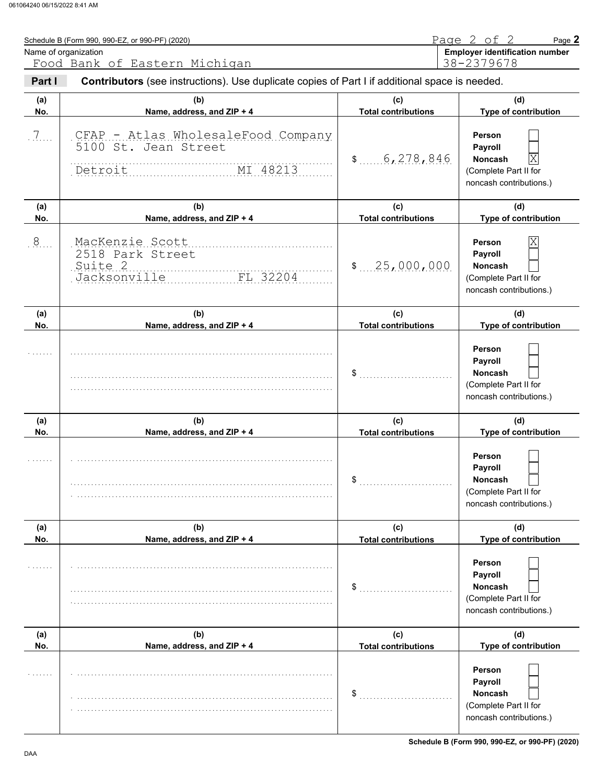|            | Schedule B (Form 990, 990-EZ, or 990-PF) (2020)                                                                                 |                                   | Page 2 of 2<br>Page 2                                                                                     |
|------------|---------------------------------------------------------------------------------------------------------------------------------|-----------------------------------|-----------------------------------------------------------------------------------------------------------|
|            | Name of organization                                                                                                            |                                   | <b>Employer identification number</b>                                                                     |
| Part I     | Food Bank of Eastern Michigan<br>Contributors (see instructions). Use duplicate copies of Part I if additional space is needed. |                                   | 38-2379678                                                                                                |
| (a)<br>No. | (b)<br>Name, address, and ZIP + 4                                                                                               | (c)<br><b>Total contributions</b> | (d)<br>Type of contribution                                                                               |
| $7\ldots$  | CFAP - Atlas WholesaleFood Company<br>5100 St. Jean Street<br>MI 48213<br>Detroit                                               | 6,278,846<br>$\frac{1}{2}$        | Person<br>Payroll<br> X<br>Noncash<br>(Complete Part II for<br>noncash contributions.)                    |
| (a)<br>No. | (b)<br>Name, address, and ZIP + 4                                                                                               | (c)<br><b>Total contributions</b> | (d)<br>Type of contribution                                                                               |
| .8         | MacKenzie Scott<br>2518 Park Street<br>Suite 2<br>Jacksonville<br>FL 32204                                                      | \$25,000,000                      | $\overline{\text{X}}$<br>Person<br>Payroll<br>Noncash<br>(Complete Part II for<br>noncash contributions.) |
| (a)<br>No. | (b)<br>Name, address, and ZIP + 4                                                                                               | (c)<br><b>Total contributions</b> | (d)<br>Type of contribution                                                                               |
|            |                                                                                                                                 | \$                                | Person<br>Payroll<br>Noncash<br>(Complete Part II for<br>noncash contributions.)                          |
| (a)        | (b)                                                                                                                             | (c)                               | (d)                                                                                                       |
| No.        | Name, address, and ZIP + 4                                                                                                      | <b>Total contributions</b>        | Type of contribution                                                                                      |
|            |                                                                                                                                 |                                   | Person<br>Payroll<br>Noncash<br>(Complete Part II for<br>noncash contributions.)                          |
| (a)<br>No. | (b)<br>Name, address, and ZIP + 4                                                                                               | (c)<br><b>Total contributions</b> | (d)<br>Type of contribution                                                                               |
|            |                                                                                                                                 | \$                                | Person<br>Payroll<br><b>Noncash</b><br>(Complete Part II for<br>noncash contributions.)                   |
| (a)<br>No. | (b)<br>Name, address, and ZIP + 4                                                                                               | (c)<br><b>Total contributions</b> | (d)<br>Type of contribution                                                                               |
|            |                                                                                                                                 | \$                                | <b>Person</b><br>Payroll<br><b>Noncash</b><br>(Complete Part II for<br>noncash contributions.)            |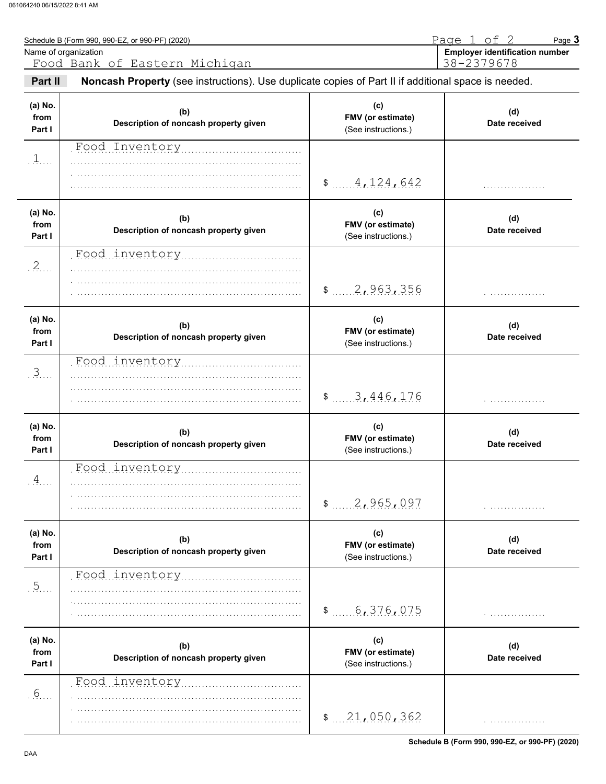|                           | Schedule B (Form 990, 990-EZ, or 990-PF) (2020)<br>Name of organization                             |                                                 | Page 1 of 2<br>Page 3<br><b>Employer identification number</b> |
|---------------------------|-----------------------------------------------------------------------------------------------------|-------------------------------------------------|----------------------------------------------------------------|
|                           | Food Bank of Eastern Michigan                                                                       |                                                 | 38-2379678                                                     |
| Part II                   | Noncash Property (see instructions). Use duplicate copies of Part II if additional space is needed. |                                                 |                                                                |
| (a) No.<br>from<br>Part I | (b)<br>Description of noncash property given                                                        | (c)<br>FMV (or estimate)<br>(See instructions.) | (d)<br>Date received                                           |
| . 1.                      | Food Inventory                                                                                      |                                                 |                                                                |
|                           |                                                                                                     | \$ 4, 124, 642                                  |                                                                |
| (a) No.<br>from<br>Part I | (b)<br>Description of noncash property given                                                        | (c)<br>FMV (or estimate)<br>(See instructions.) | (d)<br>Date received                                           |
| .2                        | Food inventory                                                                                      | \$2,963,356                                     |                                                                |
| (a) No.<br>from<br>Part I | (b)<br>Description of noncash property given                                                        | (c)<br>FMV (or estimate)<br>(See instructions.) | (d)<br>Date received                                           |
| 3                         | Food inventory                                                                                      | \$3,446,176                                     |                                                                |
| (a) No.<br>from<br>Part I | (b)<br>Description of noncash property given                                                        | (c)<br>FMV (or estimate)<br>(See instructions.) | (d)<br>Date received                                           |
| $\overline{A}$            | Food inventory                                                                                      | 2,965,097<br>\$                                 |                                                                |
| (a) No.<br>from<br>Part I | (b)<br>Description of noncash property given                                                        | (c)<br>FMV (or estimate)<br>(See instructions.) | (d)<br>Date received                                           |
| .5                        | Food inventory                                                                                      | 6,376,075<br>\$                                 |                                                                |
| (a) No.<br>from<br>Part I | (b)<br>Description of noncash property given                                                        | (c)<br>FMV (or estimate)<br>(See instructions.) | (d)<br>Date received                                           |
| 6 <sub>1</sub>            | Food inventory                                                                                      | \$21,050,362                                    |                                                                |

**Schedule B (Form 990, 990-EZ, or 990-PF) (2020)**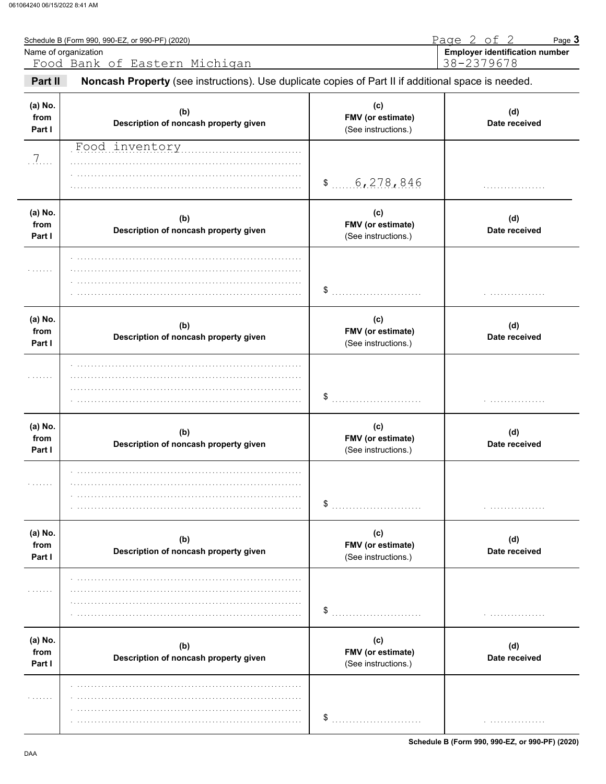|                           | Schedule B (Form 990, 990-EZ, or 990-PF) (2020)<br>Name of organization<br>Food Bank of Eastern Michigan |                                                 | Page 2 of 2<br>Page 3<br><b>Employer identification number</b><br>38-2379678 |
|---------------------------|----------------------------------------------------------------------------------------------------------|-------------------------------------------------|------------------------------------------------------------------------------|
| Part II                   | Noncash Property (see instructions). Use duplicate copies of Part II if additional space is needed.      |                                                 |                                                                              |
| (a) No.<br>from<br>Part I | (b)<br>Description of noncash property given                                                             | (c)<br>FMV (or estimate)<br>(See instructions.) | (d)<br>Date received                                                         |
| $.7.$                     | Food inventory manuscriptum                                                                              | \$6,278,846                                     |                                                                              |
| (a) No.<br>from<br>Part I | (b)<br>Description of noncash property given                                                             | (c)<br>FMV (or estimate)<br>(See instructions.) | (d)<br>Date received                                                         |
|                           |                                                                                                          | \$                                              |                                                                              |
| (a) No.<br>from<br>Part I | (b)<br>Description of noncash property given                                                             | (c)<br>FMV (or estimate)<br>(See instructions.) | (d)<br>Date received                                                         |
|                           |                                                                                                          | \$                                              |                                                                              |
| (a) No.<br>from<br>Part I | (b)<br>Description of noncash property given                                                             | (c)<br>FMV (or estimate)<br>(See instructions.) | (d)<br>Date received                                                         |
| .                         |                                                                                                          | \$                                              | .                                                                            |
| (a) No.<br>from<br>Part I | (b)<br>Description of noncash property given                                                             | (c)<br>FMV (or estimate)<br>(See instructions.) | (d)<br>Date received                                                         |
| .                         |                                                                                                          | \$                                              | .                                                                            |
| (a) No.<br>from<br>Part I | (b)<br>Description of noncash property given                                                             | (c)<br>FMV (or estimate)<br>(See instructions.) | (d)<br>Date received                                                         |
| .                         |                                                                                                          | \$                                              | .                                                                            |

Schedule B (Form 990, 990-EZ, or 990-PF) (2020)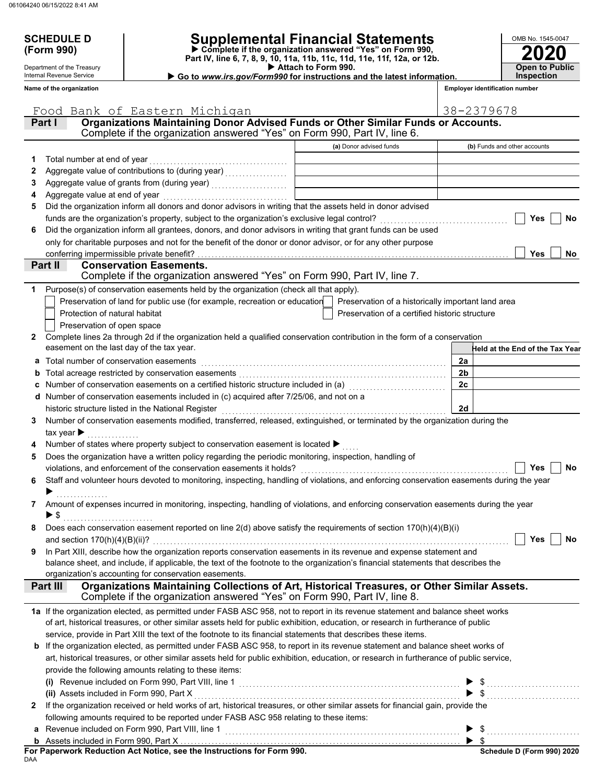Department of the Treasury Internal Revenue Service **Name of the organization**

# **SCHEDULE D Supplemental Financial Statements**

 **Attach to Form 990. (Form 990) Part IV, line 6, 7, 8, 9, 10, 11a, 11b, 11c, 11d, 11e, 11f, 12a, or 12b. Complete if the organization answered "Yes" on Form 990,**

 **Go to** *www.irs.gov/Form990* **for instructions and the latest information.**

| OMB No. 1545-0047                          |
|--------------------------------------------|
| <b>2020</b>                                |
| <b>Open to Public</b><br><b>Inspection</b> |

| <b>Employer identification number</b> |  |
|---------------------------------------|--|
|---------------------------------------|--|

|              | Food Bank of Eastern Michigan                                                                                                                                                                                                                                        |                                                    | 38-2379678                      |
|--------------|----------------------------------------------------------------------------------------------------------------------------------------------------------------------------------------------------------------------------------------------------------------------|----------------------------------------------------|---------------------------------|
|              | Organizations Maintaining Donor Advised Funds or Other Similar Funds or Accounts.<br>Part I                                                                                                                                                                          |                                                    |                                 |
|              | Complete if the organization answered "Yes" on Form 990, Part IV, line 6.                                                                                                                                                                                            |                                                    |                                 |
|              |                                                                                                                                                                                                                                                                      | (a) Donor advised funds                            | (b) Funds and other accounts    |
| 1            | Total number at end of year                                                                                                                                                                                                                                          |                                                    |                                 |
| 2            |                                                                                                                                                                                                                                                                      |                                                    |                                 |
| 3            |                                                                                                                                                                                                                                                                      |                                                    |                                 |
| 4            |                                                                                                                                                                                                                                                                      |                                                    |                                 |
| 5            | Did the organization inform all donors and donor advisors in writing that the assets held in donor advised                                                                                                                                                           |                                                    |                                 |
|              |                                                                                                                                                                                                                                                                      |                                                    | Yes<br>No                       |
| 6            | Did the organization inform all grantees, donors, and donor advisors in writing that grant funds can be used                                                                                                                                                         |                                                    |                                 |
|              | only for charitable purposes and not for the benefit of the donor or donor advisor, or for any other purpose                                                                                                                                                         |                                                    |                                 |
|              | conferring impermissible private benefit?                                                                                                                                                                                                                            |                                                    | Yes<br>No                       |
|              | Part II<br><b>Conservation Easements.</b>                                                                                                                                                                                                                            |                                                    |                                 |
|              | Complete if the organization answered "Yes" on Form 990, Part IV, line 7.                                                                                                                                                                                            |                                                    |                                 |
| 1            | Purpose(s) of conservation easements held by the organization (check all that apply).                                                                                                                                                                                |                                                    |                                 |
|              | Preservation of land for public use (for example, recreation or education                                                                                                                                                                                            | Preservation of a historically important land area |                                 |
|              | Protection of natural habitat                                                                                                                                                                                                                                        | Preservation of a certified historic structure     |                                 |
|              | Preservation of open space                                                                                                                                                                                                                                           |                                                    |                                 |
| $\mathbf{2}$ | Complete lines 2a through 2d if the organization held a qualified conservation contribution in the form of a conservation                                                                                                                                            |                                                    |                                 |
|              | easement on the last day of the tax year.                                                                                                                                                                                                                            |                                                    | Held at the End of the Tax Year |
|              | a Total number of conservation easements                                                                                                                                                                                                                             |                                                    | 2a                              |
|              | b Total acreage restricted by conservation easements [111] [12] Total acreage restriction of the Section of Total acreage restricted by conservation easements [12] Total acreage restriction of the Section of Total acreage                                        |                                                    | 2b                              |
|              | Number of conservation easements on a certified historic structure included in (a) [[[[[[[[[[[[[[[[[[[[[[[[[]]                                                                                                                                                       |                                                    | 2c                              |
|              | d Number of conservation easements included in (c) acquired after 7/25/06, and not on a                                                                                                                                                                              |                                                    |                                 |
|              | historic structure listed in the National Register                                                                                                                                                                                                                   |                                                    | 2d                              |
| 3            | Number of conservation easements modified, transferred, released, extinguished, or terminated by the organization during the                                                                                                                                         |                                                    |                                 |
|              | tax year $\blacktriangleright$                                                                                                                                                                                                                                       |                                                    |                                 |
|              | Number of states where property subject to conservation easement is located ▶                                                                                                                                                                                        |                                                    |                                 |
| 5            | Does the organization have a written policy regarding the periodic monitoring, inspection, handling of                                                                                                                                                               |                                                    |                                 |
|              |                                                                                                                                                                                                                                                                      |                                                    | No<br>Yes                       |
| 6.           | Staff and volunteer hours devoted to monitoring, inspecting, handling of violations, and enforcing conservation easements during the year                                                                                                                            |                                                    |                                 |
|              | .                                                                                                                                                                                                                                                                    |                                                    |                                 |
| 7            | Amount of expenses incurred in monitoring, inspecting, handling of violations, and enforcing conservation easements during the year                                                                                                                                  |                                                    |                                 |
|              | $\blacktriangleright$ \$                                                                                                                                                                                                                                             |                                                    |                                 |
|              | Does each conservation easement reported on line $2(d)$ above satisfy the requirements of section $170(h)(4)(B)(i)$                                                                                                                                                  |                                                    |                                 |
|              |                                                                                                                                                                                                                                                                      |                                                    | Yes<br>No                       |
| 9            | In Part XIII, describe how the organization reports conservation easements in its revenue and expense statement and                                                                                                                                                  |                                                    |                                 |
|              | balance sheet, and include, if applicable, the text of the footnote to the organization's financial statements that describes the                                                                                                                                    |                                                    |                                 |
|              | organization's accounting for conservation easements.                                                                                                                                                                                                                |                                                    |                                 |
|              | Organizations Maintaining Collections of Art, Historical Treasures, or Other Similar Assets.<br>Part III<br>Complete if the organization answered "Yes" on Form 990, Part IV, line 8.                                                                                |                                                    |                                 |
|              |                                                                                                                                                                                                                                                                      |                                                    |                                 |
|              | 1a If the organization elected, as permitted under FASB ASC 958, not to report in its revenue statement and balance sheet works<br>of art, historical treasures, or other similar assets held for public exhibition, education, or research in furtherance of public |                                                    |                                 |
|              |                                                                                                                                                                                                                                                                      |                                                    |                                 |
|              | service, provide in Part XIII the text of the footnote to its financial statements that describes these items.<br><b>b</b> If the organization elected, as permitted under FASB ASC 958, to report in its revenue statement and balance sheet works of               |                                                    |                                 |
|              | art, historical treasures, or other similar assets held for public exhibition, education, or research in furtherance of public service,                                                                                                                              |                                                    |                                 |
|              | provide the following amounts relating to these items:                                                                                                                                                                                                               |                                                    |                                 |
|              |                                                                                                                                                                                                                                                                      |                                                    |                                 |
|              |                                                                                                                                                                                                                                                                      |                                                    |                                 |
| $\mathbf{2}$ | (ii) Assets included in Form 990, Part X [11] Marror Marror Marror Marror Marror Marror Marror Marror Marror M<br>If the organization received or held works of art, historical treasures, or other similar assets for financial gain, provide the                   |                                                    |                                 |
|              | following amounts required to be reported under FASB ASC 958 relating to these items:                                                                                                                                                                                |                                                    |                                 |
|              |                                                                                                                                                                                                                                                                      |                                                    |                                 |
|              |                                                                                                                                                                                                                                                                      |                                                    | $\triangleright$ \$             |
|              |                                                                                                                                                                                                                                                                      |                                                    |                                 |

DAA **For Paperwork Reduction Act Notice, see the Instructions for Form 990.**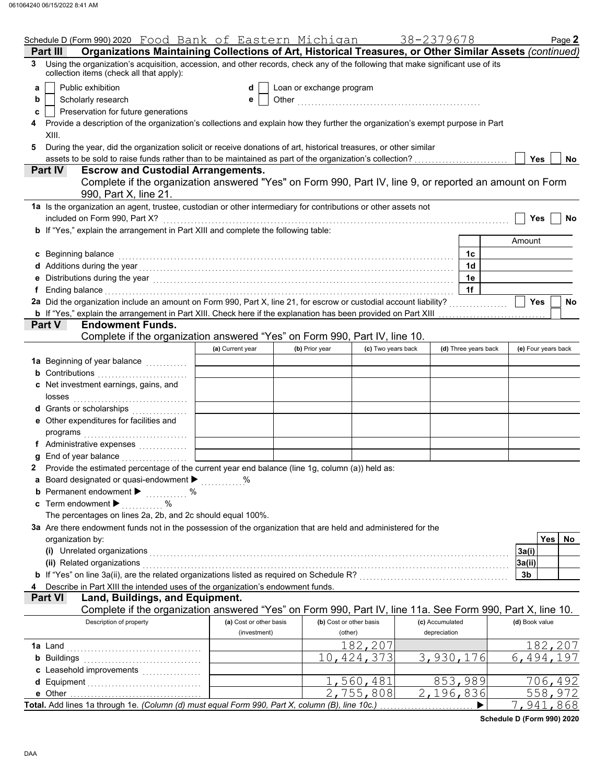|   | Schedule D (Form 990) 2020 Food Bank of Eastern Michigan                                                                                                                                                                      |                         |                          |                         | 38-2379678                |                      |                | Page 2              |
|---|-------------------------------------------------------------------------------------------------------------------------------------------------------------------------------------------------------------------------------|-------------------------|--------------------------|-------------------------|---------------------------|----------------------|----------------|---------------------|
|   | Organizations Maintaining Collections of Art, Historical Treasures, or Other Similar Assets (continued)<br>Part III                                                                                                           |                         |                          |                         |                           |                      |                |                     |
|   | Using the organization's acquisition, accession, and other records, check any of the following that make significant use of its<br>collection items (check all that apply):                                                   |                         |                          |                         |                           |                      |                |                     |
| a | Public exhibition                                                                                                                                                                                                             | d                       | Loan or exchange program |                         |                           |                      |                |                     |
| b | Scholarly research                                                                                                                                                                                                            | е                       |                          |                         |                           |                      |                |                     |
| c | Preservation for future generations                                                                                                                                                                                           |                         |                          |                         |                           |                      |                |                     |
|   | Provide a description of the organization's collections and explain how they further the organization's exempt purpose in Part                                                                                                |                         |                          |                         |                           |                      |                |                     |
|   | XIII.                                                                                                                                                                                                                         |                         |                          |                         |                           |                      |                |                     |
|   |                                                                                                                                                                                                                               |                         |                          |                         |                           |                      |                |                     |
|   | During the year, did the organization solicit or receive donations of art, historical treasures, or other similar                                                                                                             |                         |                          |                         |                           |                      | <b>Yes</b>     |                     |
|   | assets to be sold to raise funds rather than to be maintained as part of the organization's collection?<br><b>Escrow and Custodial Arrangements.</b><br>Part IV                                                               |                         |                          |                         |                           |                      |                | No                  |
|   | Complete if the organization answered "Yes" on Form 990, Part IV, line 9, or reported an amount on Form                                                                                                                       |                         |                          |                         |                           |                      |                |                     |
|   |                                                                                                                                                                                                                               |                         |                          |                         |                           |                      |                |                     |
|   | 990, Part X, line 21.                                                                                                                                                                                                         |                         |                          |                         |                           |                      |                |                     |
|   | 1a Is the organization an agent, trustee, custodian or other intermediary for contributions or other assets not                                                                                                               |                         |                          |                         |                           |                      |                |                     |
|   | included on Form 990, Part X?                                                                                                                                                                                                 |                         |                          |                         |                           |                      | <b>Yes</b>     | No                  |
|   | <b>b</b> If "Yes," explain the arrangement in Part XIII and complete the following table:                                                                                                                                     |                         |                          |                         |                           |                      |                |                     |
|   |                                                                                                                                                                                                                               |                         |                          |                         |                           |                      | Amount         |                     |
|   | c Beginning balance                                                                                                                                                                                                           |                         |                          |                         |                           | 1c                   |                |                     |
|   |                                                                                                                                                                                                                               |                         |                          |                         |                           | 1d                   |                |                     |
|   | Distributions during the year [1, 1, 2010] [1, 2010] [1, 2010] [1, 2010] [1, 2010] [1, 2010] [1, 2010] [1, 2010                                                                                                               |                         |                          |                         |                           | 1e                   |                |                     |
|   | Ending balance with a construction of the construction of the construction of the construction of the construction of the construction of the construction of the construction of the construction of the construction of the |                         |                          |                         |                           | 1f                   |                |                     |
|   | 2a Did the organization include an amount on Form 990, Part X, line 21, for escrow or custodial account liability?                                                                                                            |                         |                          |                         |                           |                      | Yes            | No                  |
|   | <b>b</b> If "Yes," explain the arrangement in Part XIII. Check here if the explanation has been provided on Part XIII                                                                                                         |                         |                          |                         |                           |                      |                |                     |
|   | Part V<br><b>Endowment Funds.</b>                                                                                                                                                                                             |                         |                          |                         |                           |                      |                |                     |
|   | Complete if the organization answered "Yes" on Form 990, Part IV, line 10.                                                                                                                                                    |                         |                          |                         |                           |                      |                |                     |
|   |                                                                                                                                                                                                                               | (a) Current year        | (b) Prior year           | (c) Two years back      |                           | (d) Three years back |                | (e) Four years back |
|   | 1a Beginning of year balance <i>[[[[[[[[[[[[[[[[[[[[[[[[[[[[[[[]]]]</i> ]]]                                                                                                                                                   |                         |                          |                         |                           |                      |                |                     |
|   | <b>b</b> Contributions                                                                                                                                                                                                        |                         |                          |                         |                           |                      |                |                     |
|   | c Net investment earnings, gains, and                                                                                                                                                                                         |                         |                          |                         |                           |                      |                |                     |
|   | losses                                                                                                                                                                                                                        |                         |                          |                         |                           |                      |                |                     |
|   | d Grants or scholarships                                                                                                                                                                                                      |                         |                          |                         |                           |                      |                |                     |
|   | <u> 1999 - Jan Barat, politik politik politik (</u>                                                                                                                                                                           |                         |                          |                         |                           |                      |                |                     |
|   | e Other expenditures for facilities and                                                                                                                                                                                       |                         |                          |                         |                           |                      |                |                     |
|   | programs                                                                                                                                                                                                                      |                         |                          |                         |                           |                      |                |                     |
|   | f Administrative expenses                                                                                                                                                                                                     |                         |                          |                         |                           |                      |                |                     |
|   | g End of year balance                                                                                                                                                                                                         |                         |                          |                         |                           |                      |                |                     |
|   | 2 Provide the estimated percentage of the current year end balance (line 1g, column (a)) held as:                                                                                                                             |                         |                          |                         |                           |                      |                |                     |
|   | Board designated or quasi-endowment > %                                                                                                                                                                                       |                         |                          |                         |                           |                      |                |                     |
|   | <b>b</b> Permanent endowment $\blacktriangleright$<br>$\%$                                                                                                                                                                    |                         |                          |                         |                           |                      |                |                     |
|   | <b>c</b> Term endowment $\blacktriangleright$<br>%                                                                                                                                                                            |                         |                          |                         |                           |                      |                |                     |
|   | The percentages on lines 2a, 2b, and 2c should equal 100%.                                                                                                                                                                    |                         |                          |                         |                           |                      |                |                     |
|   | 3a Are there endowment funds not in the possession of the organization that are held and administered for the                                                                                                                 |                         |                          |                         |                           |                      |                |                     |
|   | organization by:                                                                                                                                                                                                              |                         |                          |                         |                           |                      |                | Yes   No            |
|   | (i) Unrelated organizations                                                                                                                                                                                                   |                         |                          |                         |                           |                      | 3a(i)          |                     |
|   | (ii) Related organizations                                                                                                                                                                                                    |                         |                          |                         |                           |                      | 3a(ii)         |                     |
|   | b If "Yes" on line 3a(ii), are the related organizations listed as required on Schedule R? [[[[[[[[[[[[[[[[[[[                                                                                                                |                         |                          |                         |                           |                      | 3b             |                     |
|   | Describe in Part XIII the intended uses of the organization's endowment funds.                                                                                                                                                |                         |                          |                         |                           |                      |                |                     |
|   | Land, Buildings, and Equipment.<br><b>Part VI</b>                                                                                                                                                                             |                         |                          |                         |                           |                      |                |                     |
|   | Complete if the organization answered "Yes" on Form 990, Part IV, line 11a. See Form 990, Part X, line 10.                                                                                                                    |                         |                          |                         |                           |                      |                |                     |
|   | Description of property                                                                                                                                                                                                       | (a) Cost or other basis |                          | (b) Cost or other basis | (c) Accumulated           |                      | (d) Book value |                     |
|   |                                                                                                                                                                                                                               | (investment)            |                          | (other)                 | depreciation              |                      |                |                     |
|   | 1a Land                                                                                                                                                                                                                       |                         |                          | 182,207                 |                           |                      |                | 182,207             |
|   | <b>b</b> Buildings                                                                                                                                                                                                            |                         |                          | 10,424,373              | 3,930,176                 |                      | 6,494,         | 197                 |
|   |                                                                                                                                                                                                                               |                         |                          |                         |                           |                      |                |                     |
|   |                                                                                                                                                                                                                               |                         |                          | 1,560,481               |                           | 853,989              |                | 706,492             |
|   |                                                                                                                                                                                                                               |                         |                          | 2,755,808               | $\overline{2}$ , 196, 836 |                      |                | 558,972             |
|   |                                                                                                                                                                                                                               |                         |                          |                         |                           |                      |                |                     |
|   | Total. Add lines 1a through 1e. (Column (d) must equal Form 990, Part X, column (B), line 10c.)                                                                                                                               |                         |                          |                         |                           |                      |                | 7,941,868           |

**Schedule D (Form 990) 2020**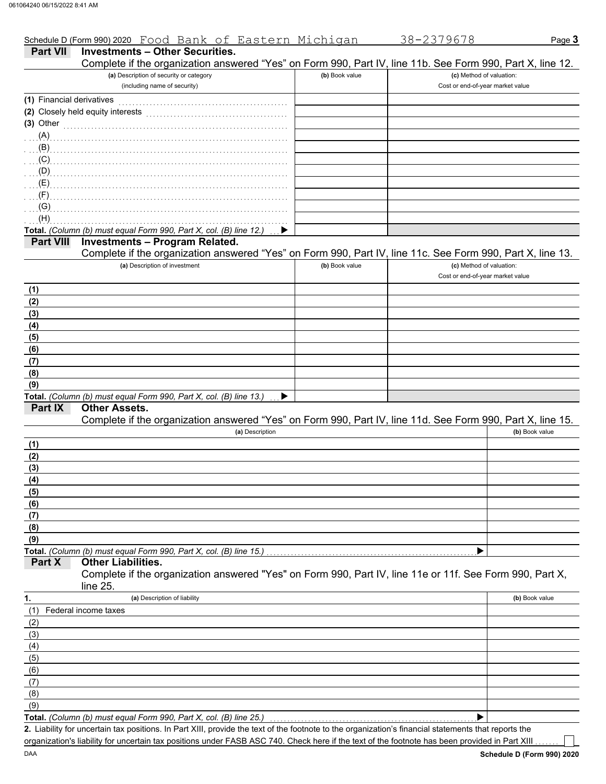|                           | Schedule D (Form 990) 2020 Food Bank of Eastern Michigan                                                                                                                                                                                              |                | 38-2379678                       | Page 3         |
|---------------------------|-------------------------------------------------------------------------------------------------------------------------------------------------------------------------------------------------------------------------------------------------------|----------------|----------------------------------|----------------|
| <b>Part VII</b>           | <b>Investments - Other Securities.</b>                                                                                                                                                                                                                |                |                                  |                |
|                           | Complete if the organization answered "Yes" on Form 990, Part IV, line 11b. See Form 990, Part X, line 12.                                                                                                                                            |                |                                  |                |
|                           | (a) Description of security or category                                                                                                                                                                                                               | (b) Book value | (c) Method of valuation:         |                |
|                           | (including name of security)                                                                                                                                                                                                                          |                | Cost or end-of-year market value |                |
| (1) Financial derivatives |                                                                                                                                                                                                                                                       |                |                                  |                |
|                           | (2) Closely held equity interests                                                                                                                                                                                                                     |                |                                  |                |
| $(3)$ Other               |                                                                                                                                                                                                                                                       |                |                                  |                |
|                           | $(A)$ and $(A)$ and $(B)$ and $(B)$ and $(B)$ and $(B)$ and $(B)$ and $(B)$ and $(B)$ and $(B)$ and $(B)$ and $(B)$ and $(B)$ and $(B)$ and $(B)$ and $(B)$ and $(B)$ and $(B)$ and $(B)$ and $(B)$ and $(B)$ and $(B)$ and $(B)$ and $(B)$ and $(B)$ |                |                                  |                |
| $\ldots$ (B) $\ldots$     |                                                                                                                                                                                                                                                       |                |                                  |                |
| (C)                       |                                                                                                                                                                                                                                                       |                |                                  |                |
| $\Box$ (D)<br>(E)         |                                                                                                                                                                                                                                                       |                |                                  |                |
| (F)                       |                                                                                                                                                                                                                                                       |                |                                  |                |
| (G)                       |                                                                                                                                                                                                                                                       |                |                                  |                |
| (H)                       |                                                                                                                                                                                                                                                       |                |                                  |                |
|                           | Total. (Column (b) must equal Form 990, Part X, col. (B) line 12.)                                                                                                                                                                                    |                |                                  |                |
| <b>Part VIII</b>          | <b>Investments - Program Related.</b>                                                                                                                                                                                                                 |                |                                  |                |
|                           | Complete if the organization answered "Yes" on Form 990, Part IV, line 11c. See Form 990, Part X, line 13.                                                                                                                                            |                |                                  |                |
|                           | (a) Description of investment                                                                                                                                                                                                                         | (b) Book value | (c) Method of valuation:         |                |
|                           |                                                                                                                                                                                                                                                       |                | Cost or end-of-year market value |                |
| (1)                       |                                                                                                                                                                                                                                                       |                |                                  |                |
| (2)                       |                                                                                                                                                                                                                                                       |                |                                  |                |
| (3)                       |                                                                                                                                                                                                                                                       |                |                                  |                |
| (4)                       |                                                                                                                                                                                                                                                       |                |                                  |                |
| (5)                       |                                                                                                                                                                                                                                                       |                |                                  |                |
| (6)                       |                                                                                                                                                                                                                                                       |                |                                  |                |
| (7)                       |                                                                                                                                                                                                                                                       |                |                                  |                |
| (8)<br>(9)                |                                                                                                                                                                                                                                                       |                |                                  |                |
|                           | Total. (Column (b) must equal Form 990, Part X, col. (B) line 13.)                                                                                                                                                                                    |                |                                  |                |
| Part IX                   | <b>Other Assets.</b>                                                                                                                                                                                                                                  |                |                                  |                |
|                           | Complete if the organization answered "Yes" on Form 990, Part IV, line 11d. See Form 990, Part X, line 15.                                                                                                                                            |                |                                  |                |
|                           | (a) Description                                                                                                                                                                                                                                       |                |                                  | (b) Book value |
| (1)                       |                                                                                                                                                                                                                                                       |                |                                  |                |
| (2)                       |                                                                                                                                                                                                                                                       |                |                                  |                |
| (3)                       |                                                                                                                                                                                                                                                       |                |                                  |                |
| (4)                       |                                                                                                                                                                                                                                                       |                |                                  |                |
| (5)                       |                                                                                                                                                                                                                                                       |                |                                  |                |
| (6)                       |                                                                                                                                                                                                                                                       |                |                                  |                |
| (7)                       |                                                                                                                                                                                                                                                       |                |                                  |                |
| (8)                       |                                                                                                                                                                                                                                                       |                |                                  |                |
| (9)                       |                                                                                                                                                                                                                                                       |                |                                  |                |
| Part X                    | Total. (Column (b) must equal Form 990, Part X, col. (B) line 15.)<br><b>Other Liabilities.</b>                                                                                                                                                       |                |                                  |                |
|                           | Complete if the organization answered "Yes" on Form 990, Part IV, line 11e or 11f. See Form 990, Part X,                                                                                                                                              |                |                                  |                |
|                           | line 25.                                                                                                                                                                                                                                              |                |                                  |                |
| 1.                        | (a) Description of liability                                                                                                                                                                                                                          |                |                                  | (b) Book value |
| (1)                       | Federal income taxes                                                                                                                                                                                                                                  |                |                                  |                |
| (2)                       |                                                                                                                                                                                                                                                       |                |                                  |                |
| (3)                       |                                                                                                                                                                                                                                                       |                |                                  |                |
| (4)                       |                                                                                                                                                                                                                                                       |                |                                  |                |
| (5)                       |                                                                                                                                                                                                                                                       |                |                                  |                |
| (6)                       |                                                                                                                                                                                                                                                       |                |                                  |                |
| (7)                       |                                                                                                                                                                                                                                                       |                |                                  |                |
| (8)                       |                                                                                                                                                                                                                                                       |                |                                  |                |
| (9)                       |                                                                                                                                                                                                                                                       |                |                                  |                |
|                           | Total. (Column (b) must equal Form 990, Part X, col. (B) line 25.)                                                                                                                                                                                    |                |                                  |                |

Liability for uncertain tax positions. In Part XIII, provide the text of the footnote to the organization's financial statements that reports the **2.** organization's liability for uncertain tax positions under FASB ASC 740. Check here if the text of the footnote has been provided in Part XIII

٦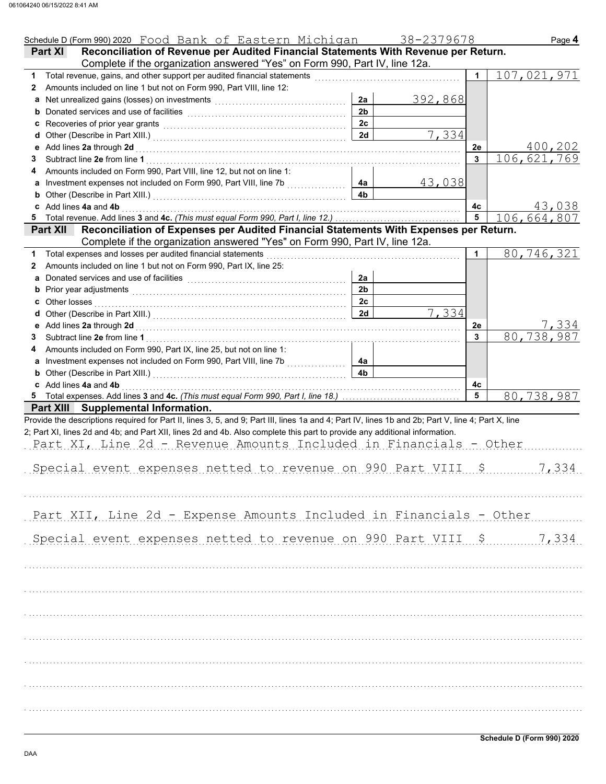| Schedule D (Form 990) 2020 Food Bank of Eastern Michigan 38-2379678                                                                                                                                                                 |                |         |             | Page 4      |
|-------------------------------------------------------------------------------------------------------------------------------------------------------------------------------------------------------------------------------------|----------------|---------|-------------|-------------|
| Reconciliation of Revenue per Audited Financial Statements With Revenue per Return.<br>Part XI                                                                                                                                      |                |         |             |             |
| Complete if the organization answered "Yes" on Form 990, Part IV, line 12a.                                                                                                                                                         |                |         |             |             |
|                                                                                                                                                                                                                                     |                |         | $\mathbf 1$ | 107,021,971 |
| Amounts included on line 1 but not on Form 990, Part VIII, line 12:<br>2                                                                                                                                                            |                |         |             |             |
|                                                                                                                                                                                                                                     | 2a             | 392,868 |             |             |
|                                                                                                                                                                                                                                     | 2 <sub>b</sub> |         |             |             |
| c Recoveries of prior year grants <b>contained a container and property</b> Recoveries of prior year grants                                                                                                                         | 2 <sub>c</sub> |         |             |             |
|                                                                                                                                                                                                                                     | 2d             | 7,334   |             |             |
|                                                                                                                                                                                                                                     |                |         | 2е          | 400,202     |
| 3                                                                                                                                                                                                                                   |                |         | 3           | 106,621,769 |
| Amounts included on Form 990, Part VIII, line 12, but not on line 1:<br>4                                                                                                                                                           |                |         |             |             |
|                                                                                                                                                                                                                                     | 4a             | 43,038  |             |             |
| <b>b</b> Other (Describe in Part XIII.) <b>CONSERVING (2018)</b>                                                                                                                                                                    | 4 <sub>b</sub> |         |             |             |
| c Add lines 4a and 4b                                                                                                                                                                                                               |                |         | 4c          | 43,038      |
| 5                                                                                                                                                                                                                                   |                |         | 5           | 106,664,807 |
| Reconciliation of Expenses per Audited Financial Statements With Expenses per Return.<br><b>Part XII</b>                                                                                                                            |                |         |             |             |
| Complete if the organization answered "Yes" on Form 990, Part IV, line 12a.                                                                                                                                                         |                |         |             |             |
| Total expenses and losses per audited financial statements                                                                                                                                                                          |                |         | 1           | 80,746,321  |
| Amounts included on line 1 but not on Form 990, Part IX, line 25:<br>2                                                                                                                                                              |                |         |             |             |
| a Donated services and use of facilities <b>constructs</b> and the service of the service of the service of the service of the service of the service of the service of the service of the service of the service of the service of | 2a             |         |             |             |
|                                                                                                                                                                                                                                     | 2 <sub>b</sub> |         |             |             |
|                                                                                                                                                                                                                                     | 2c             |         |             |             |
| d                                                                                                                                                                                                                                   | 2d             | 7,334   |             |             |
|                                                                                                                                                                                                                                     |                |         | 2e          | 7,334       |
| 3                                                                                                                                                                                                                                   |                |         | 3           | 80,738,987  |
| Amounts included on Form 990, Part IX, line 25, but not on line 1:<br>4                                                                                                                                                             |                |         |             |             |
|                                                                                                                                                                                                                                     | 4a             |         |             |             |
| <b>b</b> Other (Describe in Part XIII.) <b>CONSERVING (2014)</b>                                                                                                                                                                    | 4 <sub>b</sub> |         |             |             |
| c Add lines 4a and 4b                                                                                                                                                                                                               |                |         | 4с          |             |
|                                                                                                                                                                                                                                     |                |         | 5           | 80,738,987  |
| Part XIII Supplemental Information.                                                                                                                                                                                                 |                |         |             |             |
| Provide the descriptions required for Part II, lines 3, 5, and 9; Part III, lines 1a and 4; Part IV, lines 1b and 2b; Part V, line 4; Part X, line                                                                                  |                |         |             |             |
| 2; Part XI, lines 2d and 4b; and Part XII, lines 2d and 4b. Also complete this part to provide any additional information.                                                                                                          |                |         |             |             |
| Part XI, Line 2d - Revenue Amounts Included in Financials - Other                                                                                                                                                                   |                |         |             |             |
|                                                                                                                                                                                                                                     |                |         |             |             |
| Special event expenses netted to revenue on 990 Part VIII                                                                                                                                                                           |                |         |             | 7,334       |
|                                                                                                                                                                                                                                     |                |         |             |             |
|                                                                                                                                                                                                                                     |                |         |             |             |
|                                                                                                                                                                                                                                     |                |         |             |             |
| Part XII, Line 2d - Expense Amounts Included in Financials - Other                                                                                                                                                                  |                |         |             |             |
|                                                                                                                                                                                                                                     |                |         |             |             |
|                                                                                                                                                                                                                                     |                |         |             |             |
| Special event expenses netted to revenue on 990 Part VIII \$ 7,334                                                                                                                                                                  |                |         |             |             |
|                                                                                                                                                                                                                                     |                |         |             |             |
|                                                                                                                                                                                                                                     |                |         |             |             |
|                                                                                                                                                                                                                                     |                |         |             |             |
|                                                                                                                                                                                                                                     |                |         |             |             |
|                                                                                                                                                                                                                                     |                |         |             |             |
|                                                                                                                                                                                                                                     |                |         |             |             |
|                                                                                                                                                                                                                                     |                |         |             |             |
|                                                                                                                                                                                                                                     |                |         |             |             |
|                                                                                                                                                                                                                                     |                |         |             |             |
|                                                                                                                                                                                                                                     |                |         |             |             |
|                                                                                                                                                                                                                                     |                |         |             |             |
|                                                                                                                                                                                                                                     |                |         |             |             |
|                                                                                                                                                                                                                                     |                |         |             |             |
|                                                                                                                                                                                                                                     |                |         |             |             |
|                                                                                                                                                                                                                                     |                |         |             |             |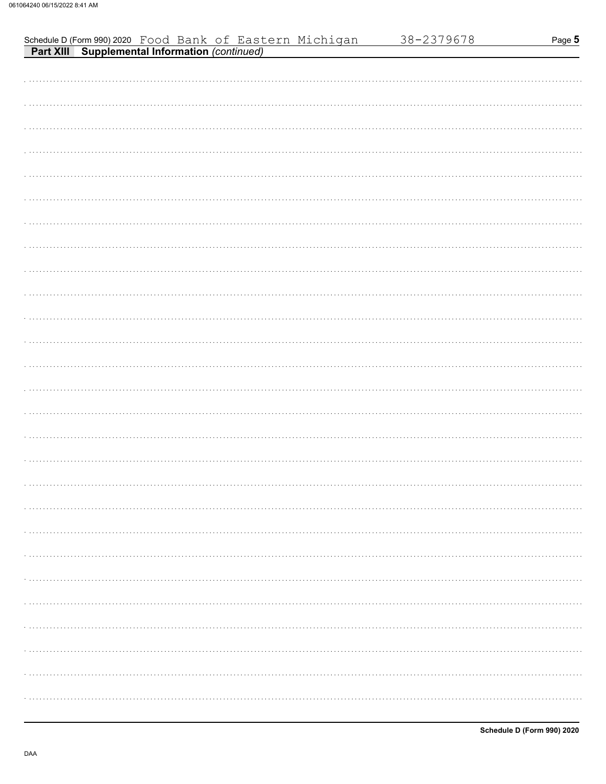| Schedule D (Form 990) 2020 Food Bank of Eastern Michigan<br><b>Part XIII Supplemental Information</b> (continued) | 38-2379678 | Page 5     |
|-------------------------------------------------------------------------------------------------------------------|------------|------------|
|                                                                                                                   |            |            |
|                                                                                                                   |            |            |
|                                                                                                                   |            |            |
|                                                                                                                   |            |            |
|                                                                                                                   |            |            |
|                                                                                                                   |            |            |
|                                                                                                                   |            |            |
|                                                                                                                   |            |            |
|                                                                                                                   |            |            |
|                                                                                                                   |            |            |
|                                                                                                                   |            |            |
|                                                                                                                   |            |            |
|                                                                                                                   |            |            |
|                                                                                                                   |            |            |
|                                                                                                                   |            |            |
|                                                                                                                   |            |            |
|                                                                                                                   |            |            |
|                                                                                                                   |            |            |
|                                                                                                                   |            |            |
|                                                                                                                   |            |            |
|                                                                                                                   |            |            |
|                                                                                                                   |            |            |
|                                                                                                                   |            |            |
|                                                                                                                   |            |            |
|                                                                                                                   |            |            |
|                                                                                                                   |            |            |
|                                                                                                                   |            | . <b>.</b> |
|                                                                                                                   |            | .          |
|                                                                                                                   |            | .          |
|                                                                                                                   |            |            |
|                                                                                                                   |            |            |
|                                                                                                                   |            |            |
|                                                                                                                   |            | .          |
|                                                                                                                   |            |            |
|                                                                                                                   |            | .          |
|                                                                                                                   |            |            |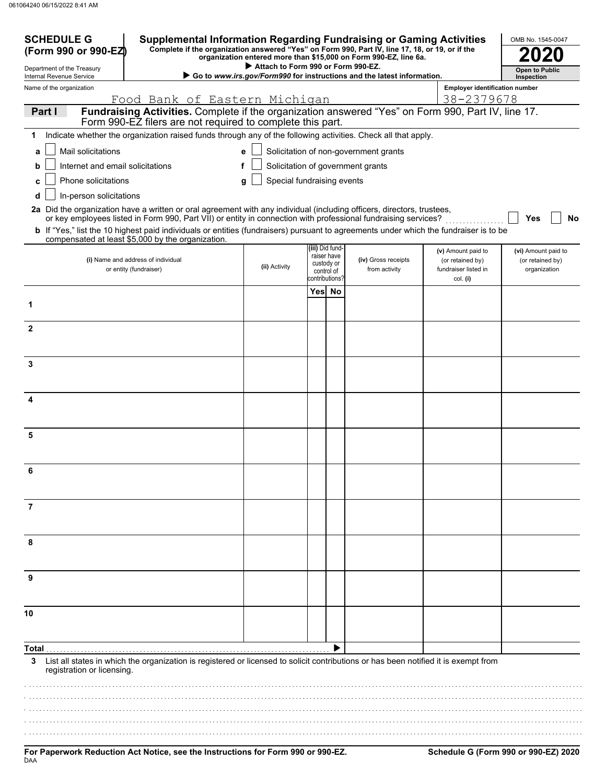| <b>SCHEDULE G</b><br><b>Supplemental Information Regarding Fundraising or Gaming Activities</b><br>OMB No. 1545-0047<br>Complete if the organization answered "Yes" on Form 990, Part IV, line 17, 18, or 19, or if the<br>(Form 990 or 990-EZ)<br>organization entered more than \$15,000 on Form 990-EZ, line 6a. |                                                                                                                                                                                                                                          |                                    |      |                                |                                                                        |                                          |                                     |  |
|---------------------------------------------------------------------------------------------------------------------------------------------------------------------------------------------------------------------------------------------------------------------------------------------------------------------|------------------------------------------------------------------------------------------------------------------------------------------------------------------------------------------------------------------------------------------|------------------------------------|------|--------------------------------|------------------------------------------------------------------------|------------------------------------------|-------------------------------------|--|
| Department of the Treasury<br>Internal Revenue Service                                                                                                                                                                                                                                                              |                                                                                                                                                                                                                                          | Attach to Form 990 or Form 990-EZ. |      |                                | Go to www.irs.gov/Form990 for instructions and the latest information. |                                          | <b>Open to Public</b><br>Inspection |  |
| Name of the organization                                                                                                                                                                                                                                                                                            |                                                                                                                                                                                                                                          |                                    |      |                                |                                                                        | <b>Employer identification number</b>    |                                     |  |
| 38-2379678<br>Food Bank of Eastern Michigan<br>Fundraising Activities. Complete if the organization answered "Yes" on Form 990, Part IV, line 17.<br>Part I                                                                                                                                                         |                                                                                                                                                                                                                                          |                                    |      |                                |                                                                        |                                          |                                     |  |
|                                                                                                                                                                                                                                                                                                                     | Form 990-EZ filers are not required to complete this part.                                                                                                                                                                               |                                    |      |                                |                                                                        |                                          |                                     |  |
| 1                                                                                                                                                                                                                                                                                                                   | Indicate whether the organization raised funds through any of the following activities. Check all that apply.                                                                                                                            |                                    |      |                                |                                                                        |                                          |                                     |  |
| Mail solicitations<br>a                                                                                                                                                                                                                                                                                             |                                                                                                                                                                                                                                          | e                                  |      |                                | Solicitation of non-government grants                                  |                                          |                                     |  |
| Internet and email solicitations<br>b                                                                                                                                                                                                                                                                               | f                                                                                                                                                                                                                                        |                                    |      |                                | Solicitation of government grants                                      |                                          |                                     |  |
| Phone solicitations<br>c                                                                                                                                                                                                                                                                                            |                                                                                                                                                                                                                                          | Special fundraising events<br>g    |      |                                |                                                                        |                                          |                                     |  |
| In-person solicitations<br>d                                                                                                                                                                                                                                                                                        |                                                                                                                                                                                                                                          |                                    |      |                                |                                                                        |                                          |                                     |  |
|                                                                                                                                                                                                                                                                                                                     | 2a Did the organization have a written or oral agreement with any individual (including officers, directors, trustees,<br>or key employees listed in Form 990, Part VII) or entity in connection with professional fundraising services? |                                    |      |                                |                                                                        |                                          | Yes<br><b>No</b>                    |  |
|                                                                                                                                                                                                                                                                                                                     | b If "Yes," list the 10 highest paid individuals or entities (fundraisers) pursuant to agreements under which the fundraiser is to be<br>compensated at least \$5,000 by the organization.                                               |                                    |      |                                |                                                                        |                                          |                                     |  |
|                                                                                                                                                                                                                                                                                                                     |                                                                                                                                                                                                                                          |                                    |      | (iii) Did fund-<br>raiser have |                                                                        | (v) Amount paid to                       | (vi) Amount paid to                 |  |
|                                                                                                                                                                                                                                                                                                                     | (i) Name and address of individual<br>or entity (fundraiser)                                                                                                                                                                             | (ii) Activity                      |      | custody or<br>control of       | (iv) Gross receipts<br>from activity                                   | (or retained by)<br>fundraiser listed in | (or retained by)<br>organization    |  |
|                                                                                                                                                                                                                                                                                                                     |                                                                                                                                                                                                                                          |                                    | Yesl | contributions?<br>No           |                                                                        | col. (i)                                 |                                     |  |
| 1                                                                                                                                                                                                                                                                                                                   |                                                                                                                                                                                                                                          |                                    |      |                                |                                                                        |                                          |                                     |  |
|                                                                                                                                                                                                                                                                                                                     |                                                                                                                                                                                                                                          |                                    |      |                                |                                                                        |                                          |                                     |  |
| $\mathbf{2}$                                                                                                                                                                                                                                                                                                        |                                                                                                                                                                                                                                          |                                    |      |                                |                                                                        |                                          |                                     |  |
|                                                                                                                                                                                                                                                                                                                     |                                                                                                                                                                                                                                          |                                    |      |                                |                                                                        |                                          |                                     |  |
| 3                                                                                                                                                                                                                                                                                                                   |                                                                                                                                                                                                                                          |                                    |      |                                |                                                                        |                                          |                                     |  |
|                                                                                                                                                                                                                                                                                                                     |                                                                                                                                                                                                                                          |                                    |      |                                |                                                                        |                                          |                                     |  |
| 4                                                                                                                                                                                                                                                                                                                   |                                                                                                                                                                                                                                          |                                    |      |                                |                                                                        |                                          |                                     |  |
|                                                                                                                                                                                                                                                                                                                     |                                                                                                                                                                                                                                          |                                    |      |                                |                                                                        |                                          |                                     |  |
| 5                                                                                                                                                                                                                                                                                                                   |                                                                                                                                                                                                                                          |                                    |      |                                |                                                                        |                                          |                                     |  |
|                                                                                                                                                                                                                                                                                                                     |                                                                                                                                                                                                                                          |                                    |      |                                |                                                                        |                                          |                                     |  |
| 6                                                                                                                                                                                                                                                                                                                   |                                                                                                                                                                                                                                          |                                    |      |                                |                                                                        |                                          |                                     |  |
|                                                                                                                                                                                                                                                                                                                     |                                                                                                                                                                                                                                          |                                    |      |                                |                                                                        |                                          |                                     |  |
| 7                                                                                                                                                                                                                                                                                                                   |                                                                                                                                                                                                                                          |                                    |      |                                |                                                                        |                                          |                                     |  |
|                                                                                                                                                                                                                                                                                                                     |                                                                                                                                                                                                                                          |                                    |      |                                |                                                                        |                                          |                                     |  |
|                                                                                                                                                                                                                                                                                                                     |                                                                                                                                                                                                                                          |                                    |      |                                |                                                                        |                                          |                                     |  |
| 8                                                                                                                                                                                                                                                                                                                   |                                                                                                                                                                                                                                          |                                    |      |                                |                                                                        |                                          |                                     |  |
|                                                                                                                                                                                                                                                                                                                     |                                                                                                                                                                                                                                          |                                    |      |                                |                                                                        |                                          |                                     |  |
| 9                                                                                                                                                                                                                                                                                                                   |                                                                                                                                                                                                                                          |                                    |      |                                |                                                                        |                                          |                                     |  |
|                                                                                                                                                                                                                                                                                                                     |                                                                                                                                                                                                                                          |                                    |      |                                |                                                                        |                                          |                                     |  |
| 10                                                                                                                                                                                                                                                                                                                  |                                                                                                                                                                                                                                          |                                    |      |                                |                                                                        |                                          |                                     |  |
|                                                                                                                                                                                                                                                                                                                     |                                                                                                                                                                                                                                          |                                    |      |                                |                                                                        |                                          |                                     |  |
| Total                                                                                                                                                                                                                                                                                                               |                                                                                                                                                                                                                                          |                                    |      |                                |                                                                        |                                          |                                     |  |
| 3<br>registration or licensing.                                                                                                                                                                                                                                                                                     | List all states in which the organization is registered or licensed to solicit contributions or has been notified it is exempt from                                                                                                      |                                    |      |                                |                                                                        |                                          |                                     |  |
|                                                                                                                                                                                                                                                                                                                     |                                                                                                                                                                                                                                          |                                    |      |                                |                                                                        |                                          |                                     |  |
|                                                                                                                                                                                                                                                                                                                     |                                                                                                                                                                                                                                          |                                    |      |                                |                                                                        |                                          |                                     |  |
|                                                                                                                                                                                                                                                                                                                     |                                                                                                                                                                                                                                          |                                    |      |                                |                                                                        |                                          |                                     |  |
|                                                                                                                                                                                                                                                                                                                     |                                                                                                                                                                                                                                          |                                    |      |                                |                                                                        |                                          |                                     |  |
|                                                                                                                                                                                                                                                                                                                     |                                                                                                                                                                                                                                          |                                    |      |                                |                                                                        |                                          |                                     |  |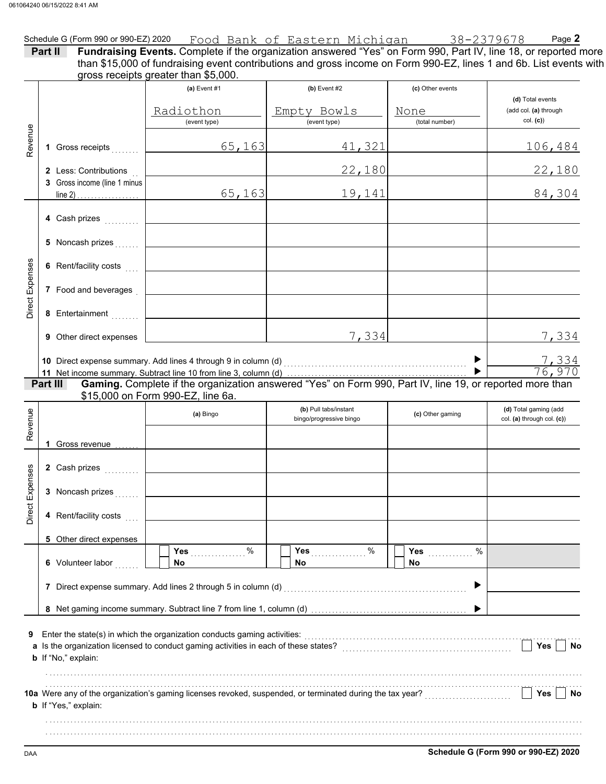|                                 | Part II                                               |                                                                     | Schedule G (Form 990 or 990-EZ) 2020 Food Bank of Eastern Michiqan 38-2379678 Page 2<br>Fundraising Events. Complete if the organization answered "Yes" on Form 990, Part IV, line 18, or reported more<br>than \$15,000 of fundraising event contributions and gross income on Form 990-EZ, lines 1 and 6b. List events with |                                            |                                                       |
|---------------------------------|-------------------------------------------------------|---------------------------------------------------------------------|-------------------------------------------------------------------------------------------------------------------------------------------------------------------------------------------------------------------------------------------------------------------------------------------------------------------------------|--------------------------------------------|-------------------------------------------------------|
|                                 |                                                       | gross receipts greater than \$5,000.<br>(a) Event $#1$<br>Radiothon | (b) Event $#2$<br>Empty Bowls<br>$\overline{$ (event type)                                                                                                                                                                                                                                                                    | (c) Other events<br>None<br>(total number) | (d) Total events<br>(add col. (a) through<br>col. (c) |
| Revenue                         | 1 Gross receipts                                      | (event type)<br>65, 163                                             | 41,321                                                                                                                                                                                                                                                                                                                        |                                            | <u>106,484</u>                                        |
|                                 | 2 Less: Contributions<br>3 Gross income (line 1 minus |                                                                     | 22,180                                                                                                                                                                                                                                                                                                                        |                                            | 22,180                                                |
|                                 | line 2) $\ldots$                                      | 65, 163                                                             | 19,141                                                                                                                                                                                                                                                                                                                        |                                            | 84,304                                                |
|                                 | 4 Cash prizes                                         |                                                                     |                                                                                                                                                                                                                                                                                                                               |                                            |                                                       |
|                                 | 5 Noncash prizes                                      |                                                                     |                                                                                                                                                                                                                                                                                                                               |                                            |                                                       |
|                                 | 6 Rent/facility costs                                 |                                                                     |                                                                                                                                                                                                                                                                                                                               |                                            |                                                       |
| Direct Expenses                 | 7 Food and beverages                                  |                                                                     |                                                                                                                                                                                                                                                                                                                               |                                            |                                                       |
|                                 | 8 Entertainment                                       |                                                                     |                                                                                                                                                                                                                                                                                                                               |                                            |                                                       |
|                                 | 9 Other direct expenses                               |                                                                     | 7,334                                                                                                                                                                                                                                                                                                                         |                                            | 7,334                                                 |
|                                 | Part III                                              | \$15,000 on Form 990-EZ, line 6a.                                   | Gaming. Complete if the organization answered "Yes" on Form 990, Part IV, line 19, or reported more than                                                                                                                                                                                                                      |                                            | $\frac{7,334}{76,970}$                                |
|                                 |                                                       |                                                                     | (b) Pull tabs/instant                                                                                                                                                                                                                                                                                                         |                                            | (d) Total gaming (add                                 |
|                                 |                                                       | (a) Bingo                                                           | bingo/progressive bingo                                                                                                                                                                                                                                                                                                       | (c) Other gaming                           | col. (a) through col. (c))                            |
|                                 | 1 Gross revenue                                       |                                                                     |                                                                                                                                                                                                                                                                                                                               |                                            |                                                       |
|                                 | 2 Cash prizes                                         |                                                                     |                                                                                                                                                                                                                                                                                                                               |                                            |                                                       |
|                                 | 3 Noncash prizes                                      |                                                                     |                                                                                                                                                                                                                                                                                                                               |                                            |                                                       |
|                                 | 4 Rent/facility costs                                 |                                                                     |                                                                                                                                                                                                                                                                                                                               |                                            |                                                       |
|                                 | 5 Other direct expenses                               | $\%$                                                                | Yes $%$                                                                                                                                                                                                                                                                                                                       | $\%$                                       |                                                       |
|                                 | 6 Volunteer labor                                     | <b>Yes</b><br><b>No</b>                                             | No                                                                                                                                                                                                                                                                                                                            | <b>Yes</b><br>No.                          |                                                       |
|                                 |                                                       |                                                                     | 7 Direct expense summary. Add lines 2 through 5 in column (d) [11] content content content content content and material content and material content and material content and material content and material content and materi                                                                                                |                                            |                                                       |
| Revenue<br>Direct Expenses<br>9 | b If "No," explain:                                   |                                                                     | Enter the state(s) in which the organization conducts gaming activities:<br>[[CONDITER STATE STATE STATE STATE STATE STATE STATE STATE STATE STATE STATE STATE STATE STATE STATE STATE ST                                                                                                                                     |                                            | Yes<br>No                                             |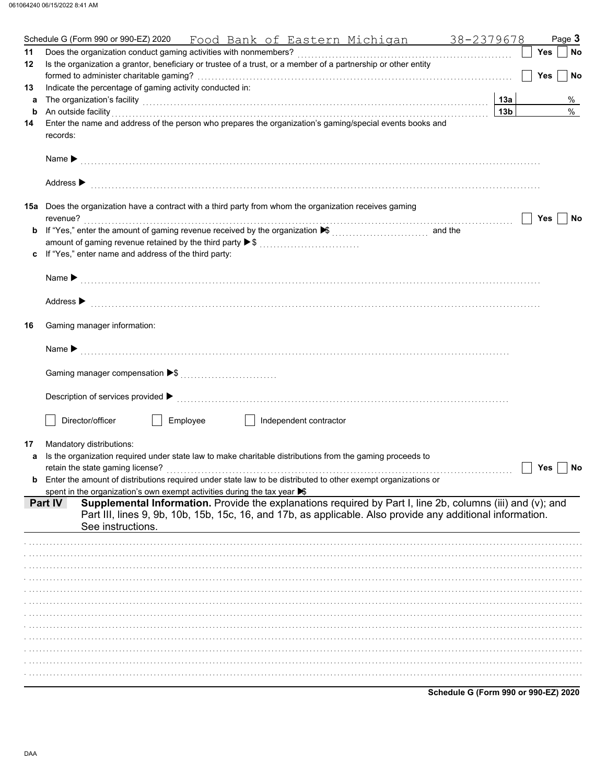|    | Schedule G (Form 990 or 990-EZ) 2020<br>Food Bank of Eastern Michigan 38-2379678                                                                                                                                               |                 |            | Page 3    |
|----|--------------------------------------------------------------------------------------------------------------------------------------------------------------------------------------------------------------------------------|-----------------|------------|-----------|
| 11 | Does the organization conduct gaming activities with nonmembers?                                                                                                                                                               |                 | Yes        | <b>No</b> |
| 12 | Is the organization a grantor, beneficiary or trustee of a trust, or a member of a partnership or other entity                                                                                                                 |                 |            |           |
|    |                                                                                                                                                                                                                                |                 | <b>Yes</b> | <b>No</b> |
| 13 | Indicate the percentage of gaming activity conducted in:                                                                                                                                                                       |                 |            |           |
| a  | The organization's facility [1, 2003] The organization's facility [1, 2004] The organization's facility [1, 2004] The organization's facility [1, 2004] The organization's facility [1, 2004] The organization of the organiza | 13a             |            | %         |
| b  | An outside facility                                                                                                                                                                                                            | 13 <sub>b</sub> |            | $\%$      |
| 14 | Enter the name and address of the person who prepares the organization's gaming/special events books and                                                                                                                       |                 |            |           |
|    | records:                                                                                                                                                                                                                       |                 |            |           |
|    |                                                                                                                                                                                                                                |                 |            |           |
|    |                                                                                                                                                                                                                                |                 |            |           |
|    | Address $\blacktriangleright$                                                                                                                                                                                                  |                 |            |           |
|    |                                                                                                                                                                                                                                |                 |            |           |
|    | <b>15a</b> Does the organization have a contract with a third party from whom the organization receives gaming                                                                                                                 |                 |            |           |
|    | revenue?                                                                                                                                                                                                                       |                 | Yes        | No        |
| b  | If "Yes," enter the amount of gaming revenue received by the organization ▶ (\\times\)                                                                                                                                         |                 |            |           |
|    | amount of gaming revenue retained by the third party ▶ \$                                                                                                                                                                      |                 |            |           |
| C  | If "Yes," enter name and address of the third party:                                                                                                                                                                           |                 |            |           |
|    |                                                                                                                                                                                                                                |                 |            |           |
|    |                                                                                                                                                                                                                                |                 |            |           |
|    |                                                                                                                                                                                                                                |                 |            |           |
|    | Address > production and the contract of the contract of the contract of the contract of the contract of the contract of the contract of the contract of the contract of the contract of the contract of the contract of the c |                 |            |           |
|    |                                                                                                                                                                                                                                |                 |            |           |
| 16 | Gaming manager information:                                                                                                                                                                                                    |                 |            |           |
|    |                                                                                                                                                                                                                                |                 |            |           |
|    |                                                                                                                                                                                                                                |                 |            |           |
|    |                                                                                                                                                                                                                                |                 |            |           |
|    |                                                                                                                                                                                                                                |                 |            |           |
|    |                                                                                                                                                                                                                                |                 |            |           |
|    |                                                                                                                                                                                                                                |                 |            |           |
|    | Director/officer<br>Employee<br>Independent contractor                                                                                                                                                                         |                 |            |           |
|    |                                                                                                                                                                                                                                |                 |            |           |
| 17 | Mandatory distributions:                                                                                                                                                                                                       |                 |            |           |
| a  | Is the organization required under state law to make charitable distributions from the gaming proceeds to                                                                                                                      |                 |            |           |
|    |                                                                                                                                                                                                                                |                 | Yes        | No        |
|    | Enter the amount of distributions required under state law to be distributed to other exempt organizations or                                                                                                                  |                 |            |           |
|    | spent in the organization's own exempt activities during the tax year $\blacktriangleright$<br>Supplemental Information. Provide the explanations required by Part I, line 2b, columns (iii) and (v); and<br>Part IV           |                 |            |           |
|    | Part III, lines 9, 9b, 10b, 15b, 15c, 16, and 17b, as applicable. Also provide any additional information.                                                                                                                     |                 |            |           |
|    | See instructions.                                                                                                                                                                                                              |                 |            |           |
|    |                                                                                                                                                                                                                                |                 |            |           |
|    |                                                                                                                                                                                                                                |                 |            |           |
|    |                                                                                                                                                                                                                                |                 |            |           |
|    |                                                                                                                                                                                                                                |                 |            |           |
|    |                                                                                                                                                                                                                                |                 |            |           |
|    |                                                                                                                                                                                                                                |                 |            |           |
|    |                                                                                                                                                                                                                                |                 |            |           |
|    |                                                                                                                                                                                                                                |                 |            |           |
|    |                                                                                                                                                                                                                                |                 |            |           |
|    |                                                                                                                                                                                                                                |                 |            |           |
|    |                                                                                                                                                                                                                                |                 |            |           |
|    |                                                                                                                                                                                                                                |                 |            |           |
|    |                                                                                                                                                                                                                                |                 |            |           |

Schedule G (Form 990 or 990-EZ) 2020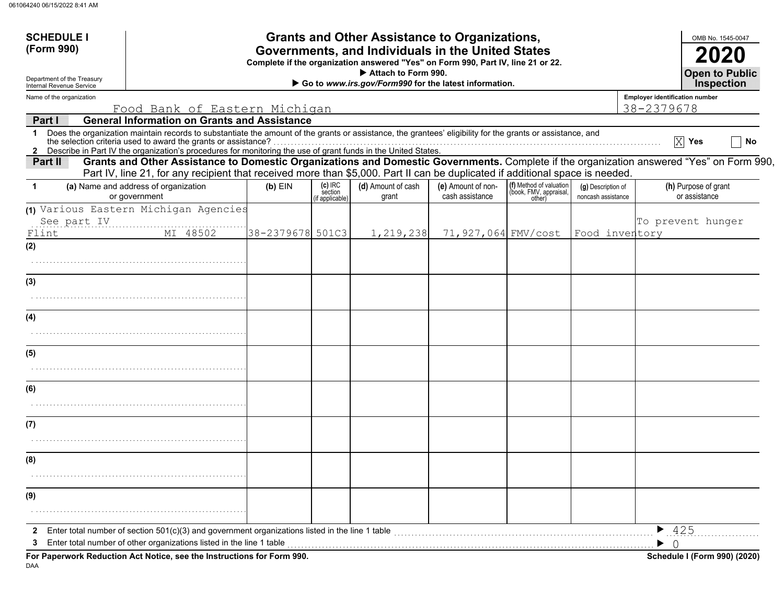| <b>SCHEDULE I</b>                                      |                                                                                                                                                                                                                                                                          |                  |                      | <b>Grants and Other Assistance to Organizations,</b>                         |                                       |                                                   |                                          |                                       | OMB No. 1545-0047                          |  |
|--------------------------------------------------------|--------------------------------------------------------------------------------------------------------------------------------------------------------------------------------------------------------------------------------------------------------------------------|------------------|----------------------|------------------------------------------------------------------------------|---------------------------------------|---------------------------------------------------|------------------------------------------|---------------------------------------|--------------------------------------------|--|
| (Form 990)                                             | Governments, and Individuals in the United States<br>Complete if the organization answered "Yes" on Form 990, Part IV, line 21 or 22.                                                                                                                                    |                  |                      |                                                                              |                                       |                                                   |                                          |                                       |                                            |  |
| Department of the Treasury<br>Internal Revenue Service |                                                                                                                                                                                                                                                                          |                  |                      | Attach to Form 990.<br>Go to www.irs.gov/Form990 for the latest information. |                                       |                                                   |                                          |                                       | <b>Open to Public</b><br><b>Inspection</b> |  |
| Name of the organization                               |                                                                                                                                                                                                                                                                          |                  |                      |                                                                              |                                       |                                                   |                                          | <b>Employer identification number</b> |                                            |  |
|                                                        | Food Bank of Eastern Michigan                                                                                                                                                                                                                                            |                  |                      |                                                                              |                                       |                                                   |                                          | 38-2379678                            |                                            |  |
| Part I                                                 | <b>General Information on Grants and Assistance</b><br>1 Does the organization maintain records to substantiate the amount of the grants or assistance, the grantees' eligibility for the grants or assistance, and                                                      |                  |                      |                                                                              |                                       |                                                   |                                          |                                       | $ X $ Yes<br>No                            |  |
|                                                        | 2 Describe in Part IV the organization's procedures for monitoring the use of grant funds in the United States.                                                                                                                                                          |                  |                      |                                                                              |                                       |                                                   |                                          |                                       |                                            |  |
| Part II                                                | Grants and Other Assistance to Domestic Organizations and Domestic Governments. Complete if the organization answered "Yes" on Form 990,<br>Part IV, line 21, for any recipient that received more than \$5,000. Part II can be duplicated if additional space is needed |                  |                      |                                                                              |                                       |                                                   |                                          |                                       |                                            |  |
| 1                                                      | (a) Name and address of organization<br>or government                                                                                                                                                                                                                    | $(b)$ EIN        | $(c)$ IRC<br>section | (d) Amount of cash<br>grant                                                  | (e) Amount of non-<br>cash assistance | (f) Method of valuation<br>(book, FMV, appraisal, | (g) Description of<br>noncash assistance |                                       | (h) Purpose of grant<br>or assistance      |  |
|                                                        | (1) Various Eastern Michigan Agencies                                                                                                                                                                                                                                    |                  | (if applicable)      |                                                                              |                                       | other)                                            |                                          |                                       |                                            |  |
| See part IV<br>Flint                                   | MI 48502                                                                                                                                                                                                                                                                 | 38-2379678 501C3 |                      | 1,219,238                                                                    | 71,927,064 FMV/cost                   |                                                   |                                          | Food inventory                        | To prevent hunger                          |  |
| (2)                                                    |                                                                                                                                                                                                                                                                          |                  |                      |                                                                              |                                       |                                                   |                                          |                                       |                                            |  |
|                                                        |                                                                                                                                                                                                                                                                          |                  |                      |                                                                              |                                       |                                                   |                                          |                                       |                                            |  |
|                                                        |                                                                                                                                                                                                                                                                          |                  |                      |                                                                              |                                       |                                                   |                                          |                                       |                                            |  |
| (3)                                                    |                                                                                                                                                                                                                                                                          |                  |                      |                                                                              |                                       |                                                   |                                          |                                       |                                            |  |
|                                                        |                                                                                                                                                                                                                                                                          |                  |                      |                                                                              |                                       |                                                   |                                          |                                       |                                            |  |
| (4)                                                    |                                                                                                                                                                                                                                                                          |                  |                      |                                                                              |                                       |                                                   |                                          |                                       |                                            |  |
|                                                        |                                                                                                                                                                                                                                                                          |                  |                      |                                                                              |                                       |                                                   |                                          |                                       |                                            |  |
| (5)                                                    |                                                                                                                                                                                                                                                                          |                  |                      |                                                                              |                                       |                                                   |                                          |                                       |                                            |  |
|                                                        |                                                                                                                                                                                                                                                                          |                  |                      |                                                                              |                                       |                                                   |                                          |                                       |                                            |  |
| (6)                                                    |                                                                                                                                                                                                                                                                          |                  |                      |                                                                              |                                       |                                                   |                                          |                                       |                                            |  |
|                                                        |                                                                                                                                                                                                                                                                          |                  |                      |                                                                              |                                       |                                                   |                                          |                                       |                                            |  |
| (7)                                                    |                                                                                                                                                                                                                                                                          |                  |                      |                                                                              |                                       |                                                   |                                          |                                       |                                            |  |
|                                                        |                                                                                                                                                                                                                                                                          |                  |                      |                                                                              |                                       |                                                   |                                          |                                       |                                            |  |
| (8)                                                    |                                                                                                                                                                                                                                                                          |                  |                      |                                                                              |                                       |                                                   |                                          |                                       |                                            |  |
|                                                        |                                                                                                                                                                                                                                                                          |                  |                      |                                                                              |                                       |                                                   |                                          |                                       |                                            |  |
| (9)                                                    |                                                                                                                                                                                                                                                                          |                  |                      |                                                                              |                                       |                                                   |                                          |                                       |                                            |  |
|                                                        |                                                                                                                                                                                                                                                                          |                  |                      |                                                                              |                                       |                                                   |                                          |                                       |                                            |  |
|                                                        | Enter total number of section 501(c)(3) and government organizations listed in the line 1 table                                                                                                                                                                          |                  |                      |                                                                              |                                       |                                                   |                                          | $\blacktriangleright$ 425             |                                            |  |
| 3                                                      | Enter total number of other organizations listed in the line 1 table                                                                                                                                                                                                     |                  |                      |                                                                              |                                       |                                                   |                                          |                                       |                                            |  |
|                                                        | For Paperwork Reduction Act Notice, see the Instructions for Form 990.                                                                                                                                                                                                   |                  |                      |                                                                              |                                       |                                                   |                                          |                                       | Schedule I (Form 990) (2020)               |  |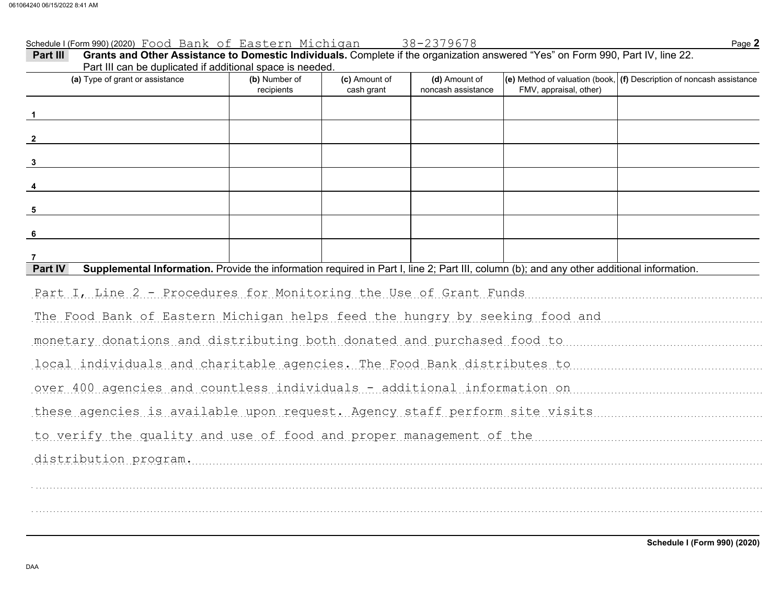Schedule I (Form 990) (2020) Page **2** Food Bank of Eastern Michigan 38-2379678

| Grants and Other Assistance to Domestic Individuals. Complete if the organization answered "Yes" on Form 990, Part IV, line 22.<br>Part III<br>Part III can be duplicated if additional space is needed. |                             |                             |                                     |                        |                                                                          |
|----------------------------------------------------------------------------------------------------------------------------------------------------------------------------------------------------------|-----------------------------|-----------------------------|-------------------------------------|------------------------|--------------------------------------------------------------------------|
| (a) Type of grant or assistance                                                                                                                                                                          | (b) Number of<br>recipients | (c) Amount of<br>cash grant | (d) Amount of<br>noncash assistance | FMV, appraisal, other) | (e) Method of valuation (book, $ $ (f) Description of noncash assistance |
|                                                                                                                                                                                                          |                             |                             |                                     |                        |                                                                          |
|                                                                                                                                                                                                          |                             |                             |                                     |                        |                                                                          |
| $\overline{\mathbf{3}}$                                                                                                                                                                                  |                             |                             |                                     |                        |                                                                          |
|                                                                                                                                                                                                          |                             |                             |                                     |                        |                                                                          |
| 5                                                                                                                                                                                                        |                             |                             |                                     |                        |                                                                          |
| - 6                                                                                                                                                                                                      |                             |                             |                                     |                        |                                                                          |
|                                                                                                                                                                                                          |                             |                             |                                     |                        |                                                                          |
| Supplemental Information. Provide the information required in Part I, line 2; Part III, column (b); and any other additional information.<br>Part IV                                                     |                             |                             |                                     |                        |                                                                          |
| Part I, Line 2 - Procedures for Monitoring the Use of Grant Funds                                                                                                                                        |                             |                             |                                     |                        |                                                                          |
| The Food Bank of Eastern Michigan helps feed the hungry by seeking food and municipality in the                                                                                                          |                             |                             |                                     |                        |                                                                          |
| monetary donations and distributing both donated and purchased food to                                                                                                                                   |                             |                             |                                     |                        |                                                                          |
| local individuals and charitable agencies. The Food Bank distributes to www.www.www.www.www.web                                                                                                          |                             |                             |                                     |                        |                                                                          |
| over 400 agencies and countless individuals - additional information on                                                                                                                                  |                             |                             |                                     |                        |                                                                          |
| these agencies is available upon request. Agency staff perform site visits                                                                                                                               |                             |                             |                                     |                        |                                                                          |
| to verify the quality and use of food and proper management of the manuscription of the control of the settlem                                                                                           |                             |                             |                                     |                        |                                                                          |
| distribution program.                                                                                                                                                                                    |                             |                             |                                     |                        |                                                                          |
|                                                                                                                                                                                                          |                             |                             |                                     |                        |                                                                          |
|                                                                                                                                                                                                          |                             |                             |                                     |                        |                                                                          |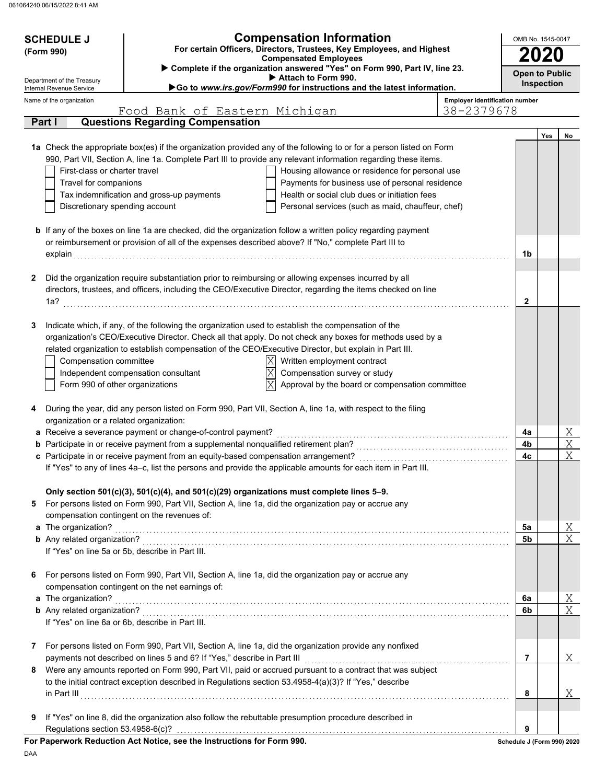| <b>Compensation Information</b><br><b>SCHEDULE J</b><br>For certain Officers, Directors, Trustees, Key Employees, and Highest |                                         |                                                                                                     |                                                                                                                                                                                                                            |                                       |                            | OMB No. 1545-0047 |    |  |  |
|-------------------------------------------------------------------------------------------------------------------------------|-----------------------------------------|-----------------------------------------------------------------------------------------------------|----------------------------------------------------------------------------------------------------------------------------------------------------------------------------------------------------------------------------|---------------------------------------|----------------------------|-------------------|----|--|--|
| (Form 990)                                                                                                                    |                                         |                                                                                                     | <b>Compensated Employees</b>                                                                                                                                                                                               |                                       | 2020                       |                   |    |  |  |
|                                                                                                                               | Department of the Treasury              |                                                                                                     | Complete if the organization answered "Yes" on Form 990, Part IV, line 23.<br>Attach to Form 990.                                                                                                                          |                                       | <b>Open to Public</b>      |                   |    |  |  |
|                                                                                                                               | Internal Revenue Service                |                                                                                                     | Go to www.irs.gov/Form990 for instructions and the latest information.                                                                                                                                                     |                                       |                            | Inspection        |    |  |  |
|                                                                                                                               | Name of the organization                |                                                                                                     |                                                                                                                                                                                                                            | <b>Employer identification number</b> |                            |                   |    |  |  |
| Part I                                                                                                                        |                                         | Food Bank of Eastern Michigan<br><b>Questions Regarding Compensation</b>                            |                                                                                                                                                                                                                            | 38-2379678                            |                            |                   |    |  |  |
|                                                                                                                               |                                         |                                                                                                     |                                                                                                                                                                                                                            |                                       |                            | Yes               | No |  |  |
|                                                                                                                               |                                         |                                                                                                     | 1a Check the appropriate box(es) if the organization provided any of the following to or for a person listed on Form                                                                                                       |                                       |                            |                   |    |  |  |
|                                                                                                                               |                                         |                                                                                                     | 990, Part VII, Section A, line 1a. Complete Part III to provide any relevant information regarding these items.                                                                                                            |                                       |                            |                   |    |  |  |
|                                                                                                                               | First-class or charter travel           |                                                                                                     | Housing allowance or residence for personal use                                                                                                                                                                            |                                       |                            |                   |    |  |  |
|                                                                                                                               | Travel for companions                   |                                                                                                     | Payments for business use of personal residence                                                                                                                                                                            |                                       |                            |                   |    |  |  |
|                                                                                                                               |                                         | Tax indemnification and gross-up payments                                                           | Health or social club dues or initiation fees                                                                                                                                                                              |                                       |                            |                   |    |  |  |
|                                                                                                                               | Discretionary spending account          |                                                                                                     | Personal services (such as maid, chauffeur, chef)                                                                                                                                                                          |                                       |                            |                   |    |  |  |
|                                                                                                                               |                                         |                                                                                                     |                                                                                                                                                                                                                            |                                       |                            |                   |    |  |  |
|                                                                                                                               |                                         |                                                                                                     | <b>b</b> If any of the boxes on line 1a are checked, did the organization follow a written policy regarding payment<br>or reimbursement or provision of all of the expenses described above? If "No," complete Part III to |                                       |                            |                   |    |  |  |
|                                                                                                                               | explain                                 |                                                                                                     |                                                                                                                                                                                                                            |                                       | 1b                         |                   |    |  |  |
|                                                                                                                               |                                         |                                                                                                     |                                                                                                                                                                                                                            |                                       |                            |                   |    |  |  |
| 2                                                                                                                             |                                         |                                                                                                     | Did the organization require substantiation prior to reimbursing or allowing expenses incurred by all                                                                                                                      |                                       |                            |                   |    |  |  |
|                                                                                                                               |                                         |                                                                                                     | directors, trustees, and officers, including the CEO/Executive Director, regarding the items checked on line                                                                                                               |                                       |                            |                   |    |  |  |
| 1a?                                                                                                                           |                                         |                                                                                                     |                                                                                                                                                                                                                            |                                       | 2                          |                   |    |  |  |
|                                                                                                                               |                                         |                                                                                                     |                                                                                                                                                                                                                            |                                       |                            |                   |    |  |  |
| 3                                                                                                                             |                                         | Indicate which, if any, of the following the organization used to establish the compensation of the |                                                                                                                                                                                                                            |                                       |                            |                   |    |  |  |
|                                                                                                                               |                                         |                                                                                                     | organization's CEO/Executive Director. Check all that apply. Do not check any boxes for methods used by a<br>related organization to establish compensation of the CEO/Executive Director, but explain in Part III.        |                                       |                            |                   |    |  |  |
|                                                                                                                               | Compensation committee                  |                                                                                                     | ΙXΙ<br>Written employment contract                                                                                                                                                                                         |                                       |                            |                   |    |  |  |
|                                                                                                                               |                                         | Independent compensation consultant                                                                 | $\overline{\text{X}}$<br>Compensation survey or study                                                                                                                                                                      |                                       |                            |                   |    |  |  |
|                                                                                                                               | Form 990 of other organizations         |                                                                                                     | $\overline{\text{X}}$<br>Approval by the board or compensation committee                                                                                                                                                   |                                       |                            |                   |    |  |  |
|                                                                                                                               |                                         |                                                                                                     |                                                                                                                                                                                                                            |                                       |                            |                   |    |  |  |
| 4                                                                                                                             |                                         |                                                                                                     | During the year, did any person listed on Form 990, Part VII, Section A, line 1a, with respect to the filing                                                                                                               |                                       |                            |                   |    |  |  |
|                                                                                                                               | organization or a related organization: |                                                                                                     |                                                                                                                                                                                                                            |                                       |                            |                   |    |  |  |
|                                                                                                                               |                                         | a Receive a severance payment or change-of-control payment?                                         |                                                                                                                                                                                                                            |                                       | 4a                         |                   | X  |  |  |
|                                                                                                                               |                                         | b Participate in or receive payment from a supplemental nonqualified retirement plan?               |                                                                                                                                                                                                                            |                                       | 4b                         |                   | X  |  |  |
|                                                                                                                               |                                         | c Participate in or receive payment from an equity-based compensation arrangement?                  | If "Yes" to any of lines 4a-c, list the persons and provide the applicable amounts for each item in Part III.                                                                                                              |                                       | 4с                         |                   | X  |  |  |
|                                                                                                                               |                                         |                                                                                                     |                                                                                                                                                                                                                            |                                       |                            |                   |    |  |  |
|                                                                                                                               |                                         | Only section 501(c)(3), 501(c)(4), and 501(c)(29) organizations must complete lines 5-9.            |                                                                                                                                                                                                                            |                                       |                            |                   |    |  |  |
| 5                                                                                                                             |                                         |                                                                                                     | For persons listed on Form 990, Part VII, Section A, line 1a, did the organization pay or accrue any                                                                                                                       |                                       |                            |                   |    |  |  |
|                                                                                                                               |                                         | compensation contingent on the revenues of:                                                         |                                                                                                                                                                                                                            |                                       |                            |                   |    |  |  |
|                                                                                                                               | a The organization?                     |                                                                                                     |                                                                                                                                                                                                                            |                                       | 5a                         |                   | Χ  |  |  |
|                                                                                                                               |                                         |                                                                                                     |                                                                                                                                                                                                                            |                                       | 5b                         |                   | X  |  |  |
|                                                                                                                               |                                         | If "Yes" on line 5a or 5b, describe in Part III.                                                    |                                                                                                                                                                                                                            |                                       |                            |                   |    |  |  |
| 6                                                                                                                             |                                         |                                                                                                     | For persons listed on Form 990, Part VII, Section A, line 1a, did the organization pay or accrue any                                                                                                                       |                                       |                            |                   |    |  |  |
|                                                                                                                               |                                         | compensation contingent on the net earnings of:                                                     |                                                                                                                                                                                                                            |                                       |                            |                   |    |  |  |
|                                                                                                                               | a The organization?                     |                                                                                                     |                                                                                                                                                                                                                            |                                       | 6a                         |                   | Χ  |  |  |
|                                                                                                                               |                                         |                                                                                                     |                                                                                                                                                                                                                            |                                       | 6b                         |                   | X  |  |  |
|                                                                                                                               |                                         | If "Yes" on line 6a or 6b, describe in Part III.                                                    |                                                                                                                                                                                                                            |                                       |                            |                   |    |  |  |
|                                                                                                                               |                                         |                                                                                                     |                                                                                                                                                                                                                            |                                       |                            |                   |    |  |  |
| 7                                                                                                                             |                                         |                                                                                                     | For persons listed on Form 990, Part VII, Section A, line 1a, did the organization provide any nonfixed                                                                                                                    |                                       |                            |                   |    |  |  |
|                                                                                                                               |                                         | payments not described on lines 5 and 6? If "Yes," describe in Part III                             |                                                                                                                                                                                                                            |                                       | $\overline{7}$             |                   | Χ  |  |  |
| 8                                                                                                                             |                                         |                                                                                                     | Were any amounts reported on Form 990, Part VII, paid or accrued pursuant to a contract that was subject                                                                                                                   |                                       |                            |                   |    |  |  |
|                                                                                                                               |                                         |                                                                                                     | to the initial contract exception described in Regulations section 53.4958-4(a)(3)? If "Yes," describe                                                                                                                     |                                       |                            |                   |    |  |  |
|                                                                                                                               |                                         |                                                                                                     |                                                                                                                                                                                                                            |                                       | 8                          |                   | Χ  |  |  |
| 9                                                                                                                             |                                         |                                                                                                     | If "Yes" on line 8, did the organization also follow the rebuttable presumption procedure described in                                                                                                                     |                                       |                            |                   |    |  |  |
|                                                                                                                               | Regulations section 53.4958-6(c)?       |                                                                                                     |                                                                                                                                                                                                                            |                                       | 9                          |                   |    |  |  |
|                                                                                                                               |                                         | For Paperwork Reduction Act Notice, see the Instructions for Form 990.                              |                                                                                                                                                                                                                            |                                       | Schedule J (Form 990) 2020 |                   |    |  |  |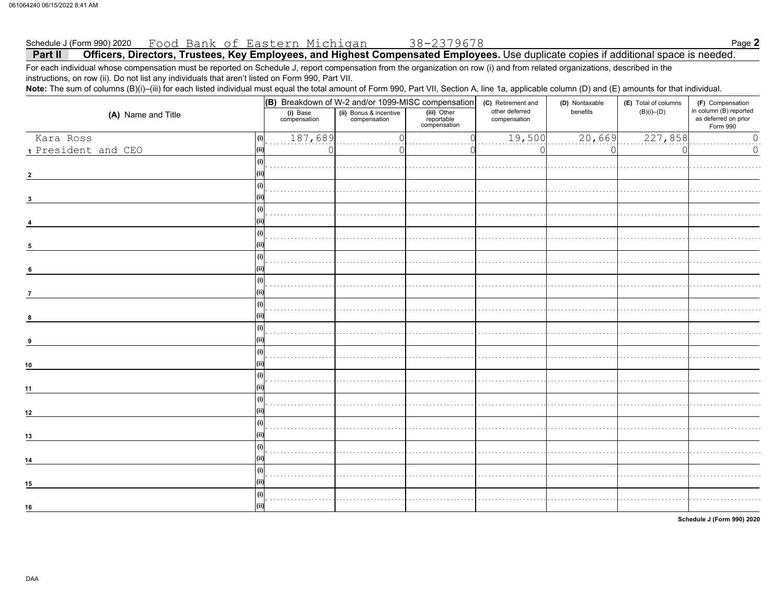#### Food Bank of Eastern Michigan Schedule J (Form 990) 2020

Officers, Directors, Trustees, Key Employees, and Highest Compensated Employees. Use duplicate copies if additional space is needed. Part II For each individual whose compensation must be reported on Schedule J, report compensation from the organization on row (i) and from related organizations, described in the

instructions, on row (ii). Do not list any individuals that aren't listed on Form 990, Part VII.

Note: The sum of columns (B)(i)-(iii) for each listed individual must equal the total amount of Form 990, Part VII, Section A, line 1a, applicable column (D) and (E) amounts for that individual.

|                     |                                                                    |  | $(G)$ Breakdown of W-2 and/or 1099-MISC compensation | (C) Retirement and                         | (D) Nontaxable | (E) Total of columns | (F) Compensation                                           |  |
|---------------------|--------------------------------------------------------------------|--|------------------------------------------------------|--------------------------------------------|----------------|----------------------|------------------------------------------------------------|--|
| (A) Name and Title  | (ii) Bonus & incentive<br>compensation<br>(i) Base<br>compensation |  | (iii) Other<br>reportable<br>compensation            | other deferred<br>benefits<br>compensation |                | $(B)(i)$ – $(D)$     | in column (B) reported<br>as deferred on prior<br>Form 990 |  |
| Kara Ross<br>(i)    | 187,689                                                            |  |                                                      | 19,500                                     | 20,669         | 227,858              | $\mathbb O$                                                |  |
| 1 President and CEO |                                                                    |  |                                                      |                                            |                |                      | $\mathsf{O}\xspace$                                        |  |
| (i)                 |                                                                    |  |                                                      |                                            |                |                      |                                                            |  |
| $\overline{2}$      |                                                                    |  |                                                      |                                            |                |                      |                                                            |  |
| (i)                 |                                                                    |  |                                                      |                                            |                |                      |                                                            |  |
| 3                   |                                                                    |  |                                                      |                                            |                |                      |                                                            |  |
| (i)                 |                                                                    |  |                                                      |                                            |                |                      |                                                            |  |
|                     |                                                                    |  |                                                      |                                            |                |                      |                                                            |  |
| (i)                 |                                                                    |  |                                                      |                                            |                |                      |                                                            |  |
| 5                   |                                                                    |  |                                                      |                                            |                |                      |                                                            |  |
| (i)                 |                                                                    |  |                                                      |                                            |                |                      |                                                            |  |
| $6\phantom{1}6$     |                                                                    |  |                                                      |                                            |                |                      |                                                            |  |
| (i)                 |                                                                    |  |                                                      |                                            |                |                      |                                                            |  |
| $\overline{7}$      |                                                                    |  |                                                      |                                            |                |                      |                                                            |  |
| (i)                 |                                                                    |  |                                                      |                                            |                |                      |                                                            |  |
| 8                   |                                                                    |  |                                                      |                                            |                |                      |                                                            |  |
| (i)                 |                                                                    |  |                                                      |                                            |                |                      |                                                            |  |
| q                   |                                                                    |  |                                                      |                                            |                |                      |                                                            |  |
| (i)                 |                                                                    |  |                                                      |                                            |                |                      |                                                            |  |
| 10                  |                                                                    |  |                                                      |                                            |                |                      |                                                            |  |
| (i)                 |                                                                    |  |                                                      |                                            |                |                      |                                                            |  |
| 11                  |                                                                    |  |                                                      |                                            |                |                      |                                                            |  |
| (i)                 |                                                                    |  |                                                      |                                            |                |                      |                                                            |  |
| 12                  |                                                                    |  |                                                      |                                            |                |                      |                                                            |  |
| (i)                 |                                                                    |  |                                                      |                                            |                |                      |                                                            |  |
| 13                  |                                                                    |  |                                                      |                                            |                |                      |                                                            |  |
| (i)                 |                                                                    |  |                                                      |                                            |                |                      |                                                            |  |
| 14                  |                                                                    |  |                                                      |                                            |                |                      |                                                            |  |
| (i)                 |                                                                    |  |                                                      |                                            |                |                      |                                                            |  |
| 15                  |                                                                    |  |                                                      |                                            |                |                      |                                                            |  |
| (i)                 |                                                                    |  |                                                      |                                            |                |                      |                                                            |  |
| 16                  |                                                                    |  |                                                      |                                            |                |                      |                                                            |  |

Schedule J (Form 990) 2020

Page 2

38-2379678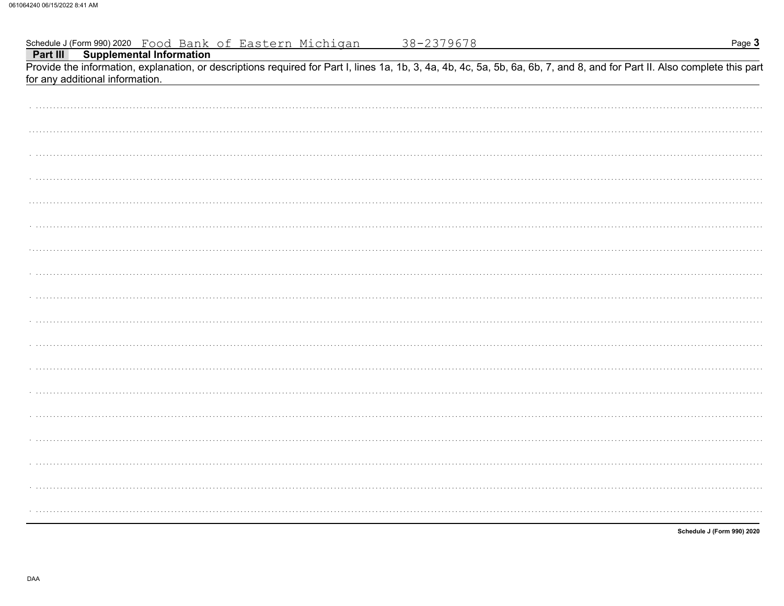| Schedule J (Form 990) 2020 Food Bank of Eastern Michigan<br><b>Part III Supplemental Information</b>                                                                                                          | 38-2379678 | Page 3                     |
|---------------------------------------------------------------------------------------------------------------------------------------------------------------------------------------------------------------|------------|----------------------------|
|                                                                                                                                                                                                               |            |                            |
| Provide the information, explanation, or descriptions required for Part I, lines 1a, 1b, 3, 4a, 4b, 4c, 5a, 5b, 6a, 6b, 7, and 8, and for Part II. Also complete this part<br>for any additional information. |            |                            |
|                                                                                                                                                                                                               |            |                            |
|                                                                                                                                                                                                               |            |                            |
|                                                                                                                                                                                                               |            |                            |
|                                                                                                                                                                                                               |            |                            |
|                                                                                                                                                                                                               |            |                            |
|                                                                                                                                                                                                               |            |                            |
|                                                                                                                                                                                                               |            |                            |
|                                                                                                                                                                                                               |            |                            |
|                                                                                                                                                                                                               |            |                            |
|                                                                                                                                                                                                               |            |                            |
|                                                                                                                                                                                                               |            |                            |
|                                                                                                                                                                                                               |            |                            |
|                                                                                                                                                                                                               |            |                            |
|                                                                                                                                                                                                               |            |                            |
|                                                                                                                                                                                                               |            |                            |
|                                                                                                                                                                                                               |            |                            |
|                                                                                                                                                                                                               |            |                            |
|                                                                                                                                                                                                               |            |                            |
|                                                                                                                                                                                                               |            |                            |
|                                                                                                                                                                                                               |            |                            |
|                                                                                                                                                                                                               |            |                            |
|                                                                                                                                                                                                               |            | Schedule J (Form 990) 2020 |

DAA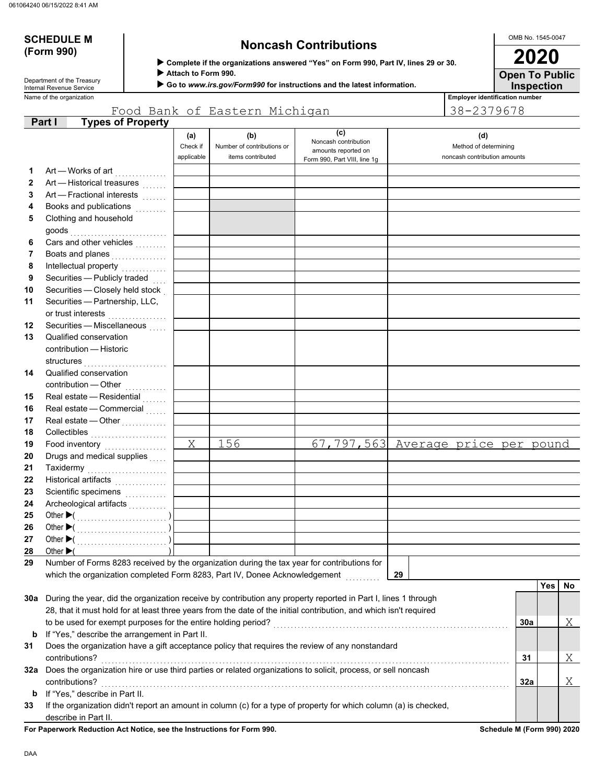# **(Form 990)**

# **SCHEDULE M Noncash Contributions**

OMB No. 1545-0047

**Inspection Open To Public 2020**

 **Complete if the organizations answered "Yes" on Form 990, Part IV, lines 29 or 30.**

 **Attach to Form 990.**

 **Go to** *www.irs.gov/Form990* **for instructions and the latest information.**

Name of the organization **Employer identification number** Department of the Treasury<br>Internal Revenue Service

|              |                                                                                                                    |                               | Food Bank of Eastern Michigan                          |                                                                                    | 38-2379678                                                   |     |            |    |
|--------------|--------------------------------------------------------------------------------------------------------------------|-------------------------------|--------------------------------------------------------|------------------------------------------------------------------------------------|--------------------------------------------------------------|-----|------------|----|
|              | <b>Types of Property</b><br>Part I                                                                                 |                               |                                                        |                                                                                    |                                                              |     |            |    |
|              |                                                                                                                    | (a)<br>Check if<br>applicable | (b)<br>Number of contributions or<br>items contributed | (c)<br>Noncash contribution<br>amounts reported on<br>Form 990, Part VIII, line 1g | (d)<br>Method of determining<br>noncash contribution amounts |     |            |    |
| 1            | Art — Works of art                                                                                                 |                               |                                                        |                                                                                    |                                                              |     |            |    |
| $\mathbf{2}$ | Art - Historical treasures                                                                                         |                               |                                                        |                                                                                    |                                                              |     |            |    |
| 3            | Art - Fractional interests                                                                                         |                               |                                                        |                                                                                    |                                                              |     |            |    |
| 4            | Books and publications<br>.<br>.                                                                                   |                               |                                                        |                                                                                    |                                                              |     |            |    |
| 5            | Clothing and household                                                                                             |                               |                                                        |                                                                                    |                                                              |     |            |    |
|              | goods                                                                                                              |                               |                                                        |                                                                                    |                                                              |     |            |    |
| 6            | Cars and other vehicles                                                                                            |                               |                                                        |                                                                                    |                                                              |     |            |    |
| 7            | Boats and planes                                                                                                   |                               |                                                        |                                                                                    |                                                              |     |            |    |
| 8            | Intellectual property                                                                                              |                               |                                                        |                                                                                    |                                                              |     |            |    |
| 9            | Securities - Publicly traded                                                                                       |                               |                                                        |                                                                                    |                                                              |     |            |    |
| 10           | Securities - Closely held stock                                                                                    |                               |                                                        |                                                                                    |                                                              |     |            |    |
| 11           | Securities - Partnership, LLC,                                                                                     |                               |                                                        |                                                                                    |                                                              |     |            |    |
|              | or trust interests                                                                                                 |                               |                                                        |                                                                                    |                                                              |     |            |    |
| 12           | Securities - Miscellaneous                                                                                         |                               |                                                        |                                                                                    |                                                              |     |            |    |
| 13           | Qualified conservation                                                                                             |                               |                                                        |                                                                                    |                                                              |     |            |    |
|              | contribution - Historic                                                                                            |                               |                                                        |                                                                                    |                                                              |     |            |    |
|              | structures                                                                                                         |                               |                                                        |                                                                                    |                                                              |     |            |    |
| 14           | Qualified conservation                                                                                             |                               |                                                        |                                                                                    |                                                              |     |            |    |
|              | contribution - Other                                                                                               |                               |                                                        |                                                                                    |                                                              |     |            |    |
| 15           | Real estate - Residential                                                                                          |                               |                                                        |                                                                                    |                                                              |     |            |    |
| 16           | Real estate - Commercial                                                                                           |                               |                                                        |                                                                                    |                                                              |     |            |    |
| 17<br>18     | Real estate - Other<br>                                                                                            |                               |                                                        |                                                                                    |                                                              |     |            |    |
| 19           |                                                                                                                    | $\overline{\mathrm{X}}$       | 156                                                    |                                                                                    | 67,797,563 Average price per pound                           |     |            |    |
| 20           | Food inventory<br>Drugs and medical supplies                                                                       |                               |                                                        |                                                                                    |                                                              |     |            |    |
| 21           | Taxidermy                                                                                                          |                               |                                                        |                                                                                    |                                                              |     |            |    |
| 22           | Historical artifacts                                                                                               |                               |                                                        |                                                                                    |                                                              |     |            |    |
| 23           | Scientific specimens                                                                                               |                               |                                                        |                                                                                    |                                                              |     |            |    |
| 24           | Archeological artifacts                                                                                            |                               |                                                        |                                                                                    |                                                              |     |            |    |
| 25           |                                                                                                                    |                               |                                                        |                                                                                    |                                                              |     |            |    |
| 26           |                                                                                                                    |                               |                                                        |                                                                                    |                                                              |     |            |    |
| 27           | Other $\blacktriangleright$ (                                                                                      |                               |                                                        |                                                                                    |                                                              |     |            |    |
| 28           | Other $\blacktriangleright$ (<br>$\overline{\phantom{a}}$ )                                                        |                               |                                                        |                                                                                    |                                                              |     |            |    |
| 29           | Number of Forms 8283 received by the organization during the tax year for contributions for                        |                               |                                                        |                                                                                    |                                                              |     |            |    |
|              | which the organization completed Form 8283, Part IV, Donee Acknowledgement                                         |                               |                                                        |                                                                                    | 29                                                           |     |            |    |
|              |                                                                                                                    |                               |                                                        |                                                                                    |                                                              |     | <b>Yes</b> | No |
|              | 30a During the year, did the organization receive by contribution any property reported in Part I, lines 1 through |                               |                                                        |                                                                                    |                                                              |     |            |    |
|              | 28, that it must hold for at least three years from the date of the initial contribution, and which isn't required |                               |                                                        |                                                                                    |                                                              |     |            |    |
|              | to be used for exempt purposes for the entire holding period?                                                      |                               |                                                        |                                                                                    |                                                              | 30a |            | Χ  |
| b            | If "Yes," describe the arrangement in Part II.                                                                     |                               |                                                        |                                                                                    |                                                              |     |            |    |
| 31           | Does the organization have a gift acceptance policy that requires the review of any nonstandard                    |                               |                                                        |                                                                                    |                                                              |     |            |    |
|              | contributions?                                                                                                     |                               |                                                        |                                                                                    |                                                              | 31  |            | Χ  |
| 32a          | Does the organization hire or use third parties or related organizations to solicit, process, or sell noncash      |                               |                                                        |                                                                                    |                                                              |     |            |    |
|              | contributions?                                                                                                     |                               |                                                        |                                                                                    |                                                              | 32a |            | Χ  |
| b            | If "Yes," describe in Part II.                                                                                     |                               |                                                        |                                                                                    |                                                              |     |            |    |
| 33           | If the organization didn't report an amount in column (c) for a type of property for which column (a) is checked,  |                               |                                                        |                                                                                    |                                                              |     |            |    |
|              | describe in Part II.                                                                                               |                               |                                                        |                                                                                    |                                                              |     |            |    |

**For Paperwork Reduction Act Notice, see the Instructions for Form 990. Schedule M (Form 990) 2020**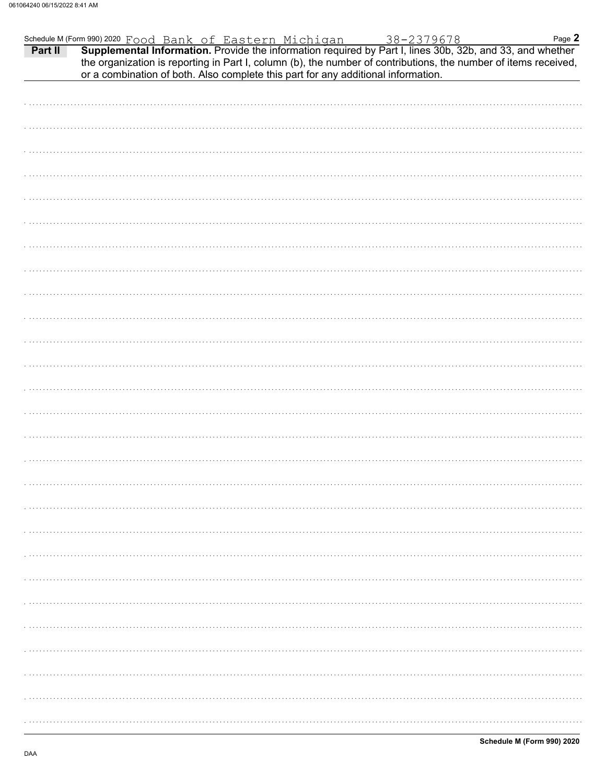| Schedule M (Form 990) 2020 $\frac{Food}{Bank}$ of Eastern Michigan 38-2379678 Page 2<br><b>Part II</b> Supplemental Information. Provide the information required by Part I, lines 30b, 32b, and 33, and whether |  | or a combination of both. Also complete this part for any additional information. | the organization is reporting in Part I, column (b), the number of contributions, the number of items received, | Page 2 |
|------------------------------------------------------------------------------------------------------------------------------------------------------------------------------------------------------------------|--|-----------------------------------------------------------------------------------|-----------------------------------------------------------------------------------------------------------------|--------|
|                                                                                                                                                                                                                  |  |                                                                                   |                                                                                                                 |        |
|                                                                                                                                                                                                                  |  |                                                                                   |                                                                                                                 |        |
|                                                                                                                                                                                                                  |  |                                                                                   |                                                                                                                 |        |
|                                                                                                                                                                                                                  |  |                                                                                   |                                                                                                                 |        |
|                                                                                                                                                                                                                  |  |                                                                                   |                                                                                                                 |        |
|                                                                                                                                                                                                                  |  |                                                                                   |                                                                                                                 |        |
|                                                                                                                                                                                                                  |  |                                                                                   |                                                                                                                 |        |
|                                                                                                                                                                                                                  |  |                                                                                   |                                                                                                                 |        |
|                                                                                                                                                                                                                  |  |                                                                                   |                                                                                                                 |        |
|                                                                                                                                                                                                                  |  |                                                                                   |                                                                                                                 |        |
|                                                                                                                                                                                                                  |  |                                                                                   |                                                                                                                 |        |
|                                                                                                                                                                                                                  |  |                                                                                   |                                                                                                                 |        |
|                                                                                                                                                                                                                  |  |                                                                                   |                                                                                                                 |        |
|                                                                                                                                                                                                                  |  |                                                                                   |                                                                                                                 |        |
|                                                                                                                                                                                                                  |  |                                                                                   |                                                                                                                 |        |
|                                                                                                                                                                                                                  |  |                                                                                   |                                                                                                                 |        |
|                                                                                                                                                                                                                  |  |                                                                                   |                                                                                                                 |        |
|                                                                                                                                                                                                                  |  |                                                                                   |                                                                                                                 |        |
|                                                                                                                                                                                                                  |  |                                                                                   |                                                                                                                 |        |
|                                                                                                                                                                                                                  |  |                                                                                   |                                                                                                                 |        |
|                                                                                                                                                                                                                  |  |                                                                                   |                                                                                                                 |        |
|                                                                                                                                                                                                                  |  |                                                                                   |                                                                                                                 |        |
|                                                                                                                                                                                                                  |  |                                                                                   |                                                                                                                 |        |
|                                                                                                                                                                                                                  |  |                                                                                   |                                                                                                                 |        |
|                                                                                                                                                                                                                  |  |                                                                                   |                                                                                                                 |        |
|                                                                                                                                                                                                                  |  |                                                                                   |                                                                                                                 |        |
|                                                                                                                                                                                                                  |  |                                                                                   |                                                                                                                 |        |
|                                                                                                                                                                                                                  |  |                                                                                   |                                                                                                                 |        |
|                                                                                                                                                                                                                  |  |                                                                                   |                                                                                                                 |        |
|                                                                                                                                                                                                                  |  |                                                                                   |                                                                                                                 |        |
|                                                                                                                                                                                                                  |  |                                                                                   |                                                                                                                 |        |
|                                                                                                                                                                                                                  |  |                                                                                   |                                                                                                                 |        |
|                                                                                                                                                                                                                  |  |                                                                                   |                                                                                                                 |        |
|                                                                                                                                                                                                                  |  |                                                                                   |                                                                                                                 |        |
|                                                                                                                                                                                                                  |  |                                                                                   |                                                                                                                 |        |
|                                                                                                                                                                                                                  |  |                                                                                   |                                                                                                                 |        |
|                                                                                                                                                                                                                  |  |                                                                                   |                                                                                                                 |        |
|                                                                                                                                                                                                                  |  |                                                                                   |                                                                                                                 |        |
|                                                                                                                                                                                                                  |  |                                                                                   |                                                                                                                 |        |
|                                                                                                                                                                                                                  |  |                                                                                   |                                                                                                                 |        |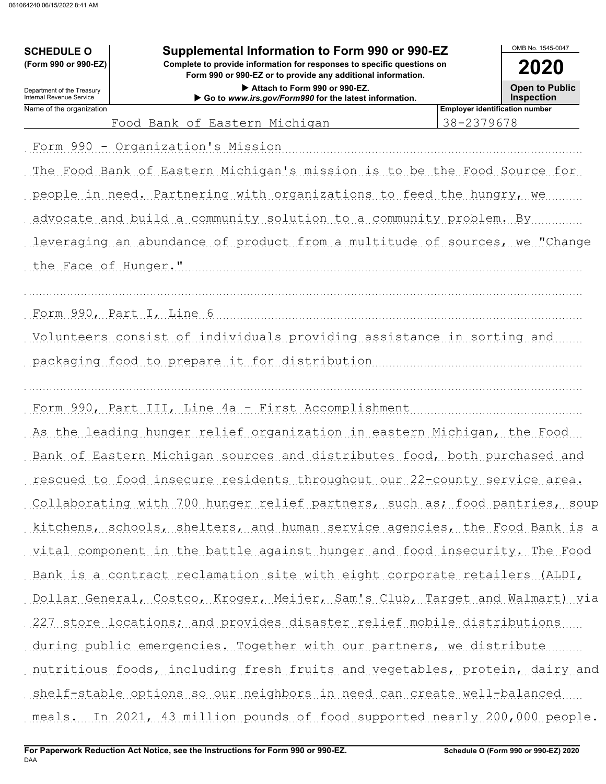# OMB No. 1545-0047 Supplemental Information to Form 990 or 990-EZ **SCHEDULE O** (Form 990 or 990-EZ) Complete to provide information for responses to specific questions on 2020 Form 990 or 990-EZ or to provide any additional information. **Open to Public** Attach to Form 990 or 990-EZ. Department of the Treasury Internal Revenue Service Go to www.irs.gov/Form990 for the latest information. **Inspection Employer identification number** Name of the organization 38-2379678 Food Bank of Eastern Michigan Form 990 - Organization's Mission The Food Bank of Eastern Michigan's mission is to be the Food Source for people in need. Partnering with organizations to feed the hungry, we advocate and build a community solution to a community problem. By leveraging an abundance of product from a multitude of sources, we "Change the Face of Hunger." Volunteers consist of individuals providing assistance in sorting and packaging food to prepare it for distribution Form 990, Part III, Line 4a - First Accomplishment As the leading hunger relief organization in eastern Michigan, the Food Bank of Eastern Michigan sources and distributes food, both purchased and rescued to food insecure residents throughout our 22-county service area. Collaborating with 700 hunger relief partners, such as; food pantries, soup kitchens, schools, shelters, and human service agencies, the Food Bank is a vital component in the battle against hunger and food insecurity. The Food Bank is a contract reclamation site with eight corporate retailers (ALDI, Dollar General, Costco, Kroger, Meijer, Sam's Club, Target and Walmart) via 227 store locations; and provides disaster relief mobile distributions during public emergencies. Together with our partners, we distribute nutritious foods, including fresh fruits and vegetables, protein, dairy and shelf-stable options so our neighbors in need can create well-balanced meals. In 2021, 43 million pounds of food supported nearly 200,000 people.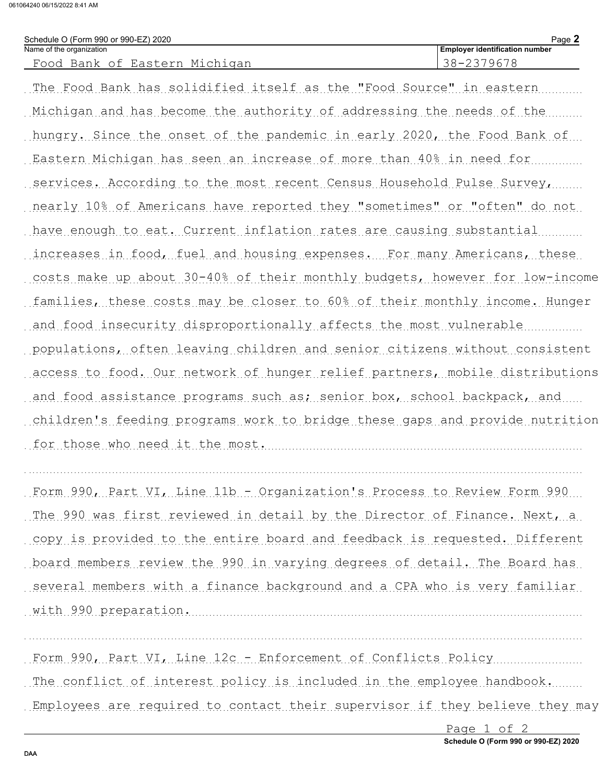061064240 06/15/2022 8:41 AM

| Schedule O (Form 990 or 990-EZ) 2020                                        | Page 2                                |
|-----------------------------------------------------------------------------|---------------------------------------|
| Name of the organization                                                    | <b>Employer identification number</b> |
| Food Bank of Eastern Michigan                                               | 38-2379678                            |
| The Food Bank has solidified itself as the "Food Source" in eastern         |                                       |
| Michigan and has become the authority of addressing the needs of the        |                                       |
| hungry. Since the onset of the pandemic in early 2020, the Food Bank of     |                                       |
| Eastern Michigan has seen an increase of more than 40% in need for          |                                       |
| services. According to the most recent Census Household Pulse Survey,       |                                       |
| nearly 10% of Americans have reported they "sometimes" or "often" do not    |                                       |
| have enough to eat. Current inflation rates are causing substantial         |                                       |
| increases in food, fuel and housing expenses. For many Americans, these     |                                       |
| costs make up about 30-40% of their monthly budgets, however for low-income |                                       |
| families, these costs may be closer to 60% of their monthly income. Hunger  |                                       |
| and food insecurity disproportionally affects the most vulnerable           |                                       |
| populations, often leaving children and senior citizens without consistent  |                                       |
| access to food. Our network of hunger relief partners, mobile distributions |                                       |
| and food assistance programs such as; senior box, school backpack, and      |                                       |
| children's feeding programs work to bridge these gaps and provide nutrition |                                       |
| for those who need it the most.                                             |                                       |
|                                                                             |                                       |

Form 990, Part VI, Line 11b - Organization's Process to Review Form 990 The 990 was first reviewed in detail by the Director of Finance. Next, a copy is provided to the entire board and feedback is requested. Different board members review the 990 in varying degrees of detail. The Board has several members with a finance background and a CPA who is very familiar with 990 preparation.

Form 990, Part VI, Line 12c - Enforcement of Conflicts Policy

The conflict of interest policy is included in the employee handbook.

Employees are required to contact their supervisor if they believe they may

Page 1 of 2 Schedule O (Form 990 or 990-EZ) 2020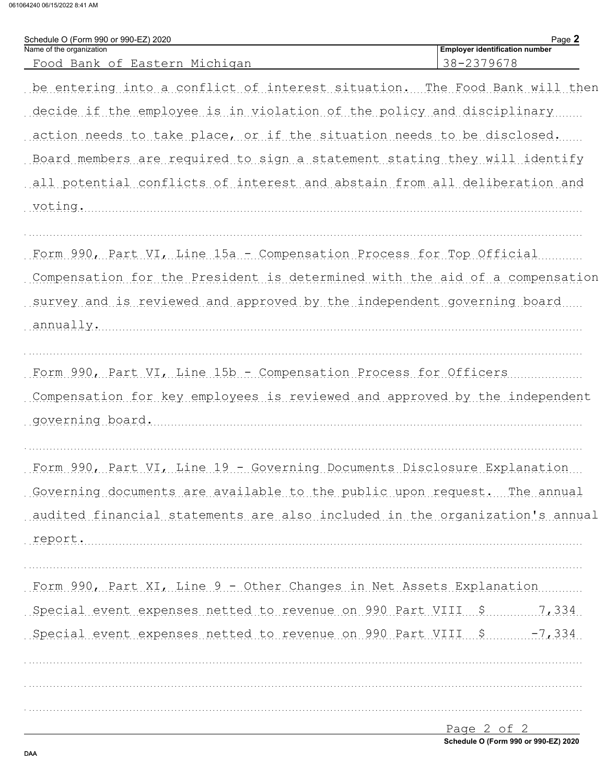061064240 06/15/2022 8:41 AM

Schedule O (Form 990 or 990-EZ) 2020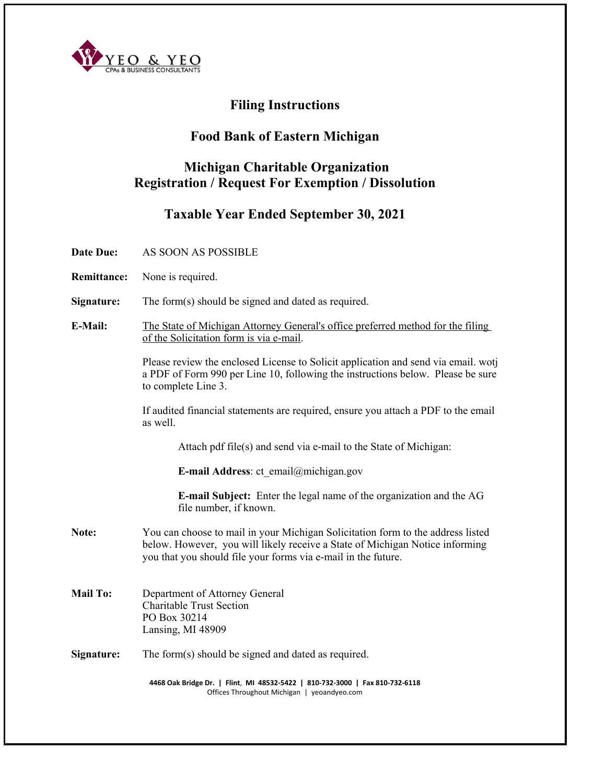

# **Filing Instructions**

## **Food Bank of Eastern Michigan**

## **Michigan Charitable Organization Registration / Request For Exemption / Dissolution**

## **Taxable Year Ended September 30, 2021**

- **Date Due:** AS SOON AS POSSIBLE
- **Remittance:** None is required.
- **Signature:** The form(s) should be signed and dated as required.
- **E-Mail:** The State of Michigan Attorney General's office preferred method for the filing of the Solicitation form is via e-mail.

Please review the enclosed License to Solicit application and send via email. wotj a PDF of Form 990 per Line 10, following the instructions below. Please be sure to complete Line 3.

If audited financial statements are required, ensure you attach a PDF to the email as well.

Attach pdf file(s) and send via e-mail to the State of Michigan:

**E-mail Address**: ct\_email@michigan.gov

**E-mail Subject:** Enter the legal name of the organization and the AG file number, if known.

- **Note:** You can choose to mail in your Michigan Solicitation form to the address listed below. However, you will likely receive a State of Michigan Notice informing you that you should file your forms via e-mail in the future.
- **Mail To:** Department of Attorney General Charitable Trust Section PO Box 30214 Lansing, MI 48909

### **Signature:** The form(s) should be signed and dated as required.

4468 Oak Bridge Dr. | Flint, MI 48532-5422 | 810-732-3000 | Fax 810-732-6118 Offices Throughout Michigan | yeoandyeo.com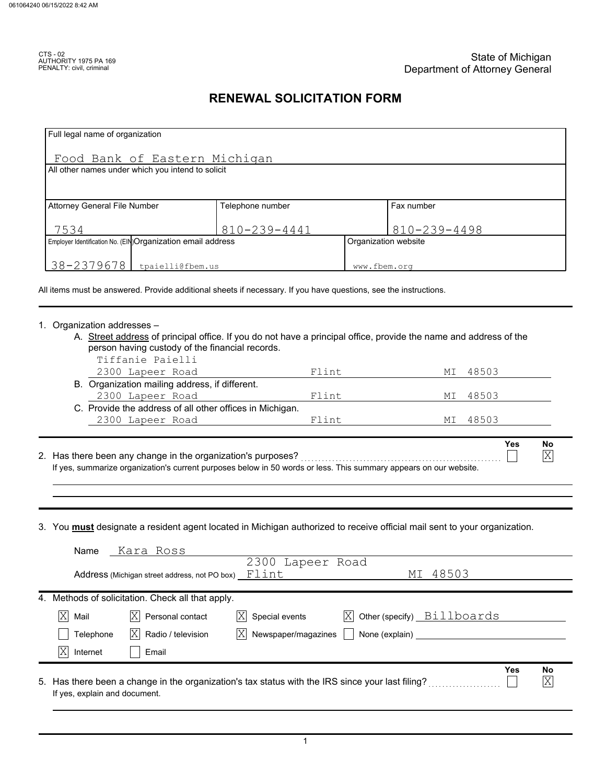## **RENEWAL SOLICITATION FORM**

| Full legal name of organization                                                                                           |                           |                      |                            |            |                 |
|---------------------------------------------------------------------------------------------------------------------------|---------------------------|----------------------|----------------------------|------------|-----------------|
| Food Bank of Eastern Michigan                                                                                             |                           |                      |                            |            |                 |
| All other names under which you intend to solicit                                                                         |                           |                      |                            |            |                 |
|                                                                                                                           |                           |                      |                            |            |                 |
| <b>Attorney General File Number</b>                                                                                       | Telephone number          |                      | Fax number                 |            |                 |
| 7534                                                                                                                      | 810-239-4441              |                      | 810-239-4498               |            |                 |
| Employer Identification No. (EIN)Organization email address                                                               |                           | Organization website |                            |            |                 |
| 38-2379678<br>tpaielli@fbem.us                                                                                            |                           | www.fbem.org         |                            |            |                 |
| All items must be answered. Provide additional sheets if necessary. If you have questions, see the instructions.          |                           |                      |                            |            |                 |
|                                                                                                                           |                           |                      |                            |            |                 |
| 1. Organization addresses -                                                                                               |                           |                      |                            |            |                 |
| A. Street address of principal office. If you do not have a principal office, provide the name and address of the         |                           |                      |                            |            |                 |
| person having custody of the financial records.<br>Tiffanie Paielli                                                       |                           |                      |                            |            |                 |
| 2300 Lapeer Road                                                                                                          | Flint                     |                      | МI                         | 48503      |                 |
| B. Organization mailing address, if different.                                                                            |                           |                      |                            |            |                 |
| 2300 Lapeer Road                                                                                                          | Flint                     |                      | МI                         | 48503      |                 |
| C. Provide the address of all other offices in Michigan.                                                                  |                           |                      |                            |            |                 |
| 2300 Lapeer Road                                                                                                          | Flint                     |                      | МI                         | 48503      |                 |
|                                                                                                                           |                           |                      |                            | <b>Yes</b> |                 |
| 2. Has there been any change in the organization's purposes?                                                              |                           |                      |                            |            | No<br>X         |
| If yes, summarize organization's current purposes below in 50 words or less. This summary appears on our website.         |                           |                      |                            |            |                 |
|                                                                                                                           |                           |                      |                            |            |                 |
|                                                                                                                           |                           |                      |                            |            |                 |
| 3. You must designate a resident agent located in Michigan authorized to receive official mail sent to your organization. |                           |                      |                            |            |                 |
|                                                                                                                           |                           |                      |                            |            |                 |
| Name<br>Kara Ross                                                                                                         | 2300 Lapeer Road          |                      |                            |            |                 |
| Address (Michigan street address, not PO box) $\mathbb{F}$ lint                                                           |                           |                      | 48503<br>MΙ                |            |                 |
| 4. Methods of solicitation. Check all that apply.                                                                         |                           |                      |                            |            |                 |
| X<br>Mail<br>ΙX<br>Personal contact                                                                                       | Special events<br> X      | ΙX                   | Other (specify) Billboards |            |                 |
| Telephone<br>Radio / television<br>ΙX                                                                                     | Newspaper/magazines<br>ΙX | None (explain)       |                            |            |                 |
| ΙX<br>Internet<br>Email                                                                                                   |                           |                      |                            |            |                 |
|                                                                                                                           |                           |                      |                            | Yes        | No              |
| 5. Has there been a change in the organization's tax status with the IRS since your last filing?                          |                           |                      |                            |            | $\vert X \vert$ |
| If yes, explain and document.                                                                                             |                           |                      |                            |            |                 |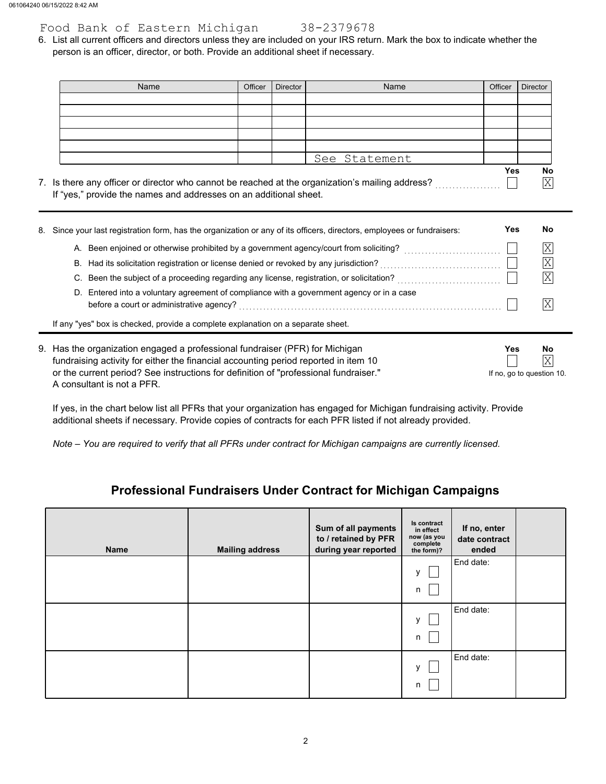## Food Bank of Eastern Michigan 38-2379678

person is an officer, director, or both. Provide an additional sheet if necessary. 6. List all current officers and directors unless they are included on your IRS return. Mark the box to indicate whether the

| Name                                                                                                                   | Officer | <b>Director</b> | Name          | Officer    | <b>Director</b>             |
|------------------------------------------------------------------------------------------------------------------------|---------|-----------------|---------------|------------|-----------------------------|
|                                                                                                                        |         |                 |               |            |                             |
|                                                                                                                        |         |                 |               |            |                             |
|                                                                                                                        |         |                 |               |            |                             |
|                                                                                                                        |         |                 |               |            |                             |
|                                                                                                                        |         |                 | See Statement |            |                             |
| 7. Is there any officer or director who cannot be reached at the organization's mailing address?                       |         |                 |               | Yes        | No<br>$\overline{\text{X}}$ |
| If "yes," provide the names and addresses on an additional sheet.                                                      |         |                 |               |            |                             |
| 0 - Oinee wayn laat saabatkad farm inaa tha argamination ar amy af ita afficers idirectors innologicaan ar fundrainere |         |                 |               | <b>Voc</b> | No.                         |

|    | 8. Since your last registration form, has the organization or any of its officers, directors, employees or fundraisers:               | Yes | No |  |
|----|---------------------------------------------------------------------------------------------------------------------------------------|-----|----|--|
|    | A. Been enjoined or otherwise prohibited by a government agency/court from soliciting?                                                |     | ΙX |  |
|    | B. Had its solicitation registration or license denied or revoked by any jurisdiction?                                                |     | ΙX |  |
| C. | Been the subject of a proceeding regarding any license, registration, or solicitation?                                                |     |    |  |
|    | D. Entered into a voluntary agreement of compliance with a government agency or in a case<br>before a court or administrative agency? |     |    |  |
|    | If any "yes" box is checked, provide a complete explanation on a separate sheet.                                                      |     |    |  |
|    |                                                                                                                                       |     |    |  |

| 9. Has the organization engaged a professional fundraiser (PFR) for Michigan         | Yes                       | No               |
|--------------------------------------------------------------------------------------|---------------------------|------------------|
| fundraising activity for either the financial accounting period reported in item 10  |                           | $ \overline{X} $ |
| or the current period? See instructions for definition of "professional fundraiser." | If no, go to question 10. |                  |
| A consultant is not a PFR.                                                           |                           |                  |

If yes, in the chart below list all PFRs that your organization has engaged for Michigan fundraising activity. Provide additional sheets if necessary. Provide copies of contracts for each PFR listed if not already provided.

*Note – You are required to verify that all PFRs under contract for Michigan campaigns are currently licensed.*

## **Professional Fundraisers Under Contract for Michigan Campaigns**

| <b>Name</b> | <b>Mailing address</b> | Sum of all payments<br>to / retained by PFR<br>during year reported | Is contract<br>in effect<br>now (as you<br>complete<br>the form)? | If no, enter<br>date contract<br>ended |  |
|-------------|------------------------|---------------------------------------------------------------------|-------------------------------------------------------------------|----------------------------------------|--|
|             |                        |                                                                     | v<br>n                                                            | End date:                              |  |
|             |                        |                                                                     | v<br>n                                                            | End date:                              |  |
|             |                        |                                                                     | v<br>n                                                            | End date:                              |  |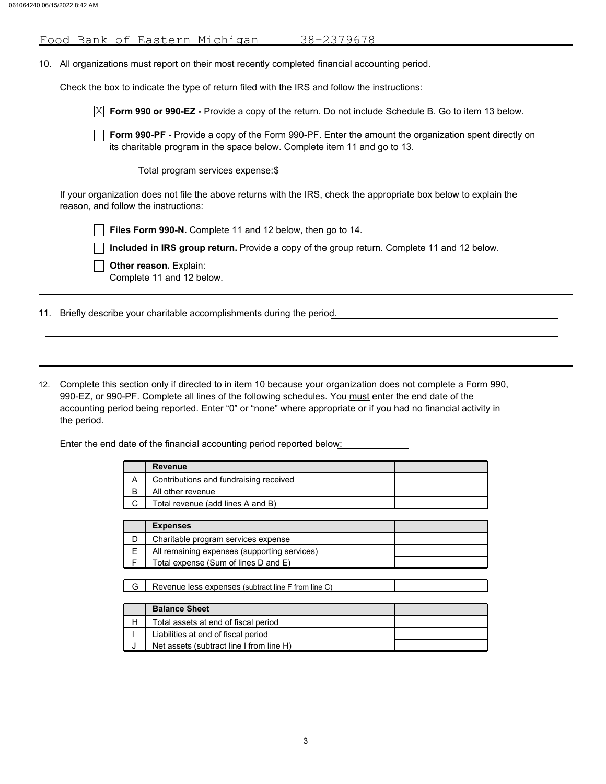| <u>Food Bank of Eastern Michigan</u><br>38-2379678                                                                                                                                       |
|------------------------------------------------------------------------------------------------------------------------------------------------------------------------------------------|
| All organizations must report on their most recently completed financial accounting period.<br>10.                                                                                       |
| Check the box to indicate the type of return filed with the IRS and follow the instructions:                                                                                             |
| X<br>Form 990 or 990-EZ - Provide a copy of the return. Do not include Schedule B. Go to item 13 below.                                                                                  |
| <b>Form 990-PF</b> - Provide a copy of the Form 990-PF. Enter the amount the organization spent directly on<br>its charitable program in the space below. Complete item 11 and go to 13. |
| Total program services expense:\$                                                                                                                                                        |
| If your organization does not file the above returns with the IRS, check the appropriate box below to explain the<br>reason, and follow the instructions:                                |
| Files Form 990-N. Complete 11 and 12 below, then go to 14.                                                                                                                               |
| Included in IRS group return. Provide a copy of the group return. Complete 11 and 12 below.                                                                                              |
| <b>Other reason.</b> Explain:<br>Complete 11 and 12 below.                                                                                                                               |

11. Briefly describe your charitable accomplishments during the period.

12. Complete this section only if directed to in item 10 because your organization does not complete a Form 990, 990-EZ, or 990-PF. Complete all lines of the following schedules. You must enter the end date of the the period. accounting period being reported. Enter "0" or "none" where appropriate or if you had no financial activity in

Enter the end date of the financial accounting period reported below:

| Revenue                                |  |
|----------------------------------------|--|
| Contributions and fundraising received |  |
| All other revenue                      |  |
| Total revenue (add lines A and B)      |  |

| <b>Expenses</b>                              |  |
|----------------------------------------------|--|
| Charitable program services expense          |  |
| All remaining expenses (supporting services) |  |
| Total expense (Sum of lines D and E)         |  |

|  |  |  | Revenue less expenses (subtract line F from line C) |  |  |
|--|--|--|-----------------------------------------------------|--|--|
|--|--|--|-----------------------------------------------------|--|--|

| <b>Balance Sheet</b>                     |  |
|------------------------------------------|--|
| Total assets at end of fiscal period     |  |
| Liabilities at end of fiscal period      |  |
| Net assets (subtract line I from line H) |  |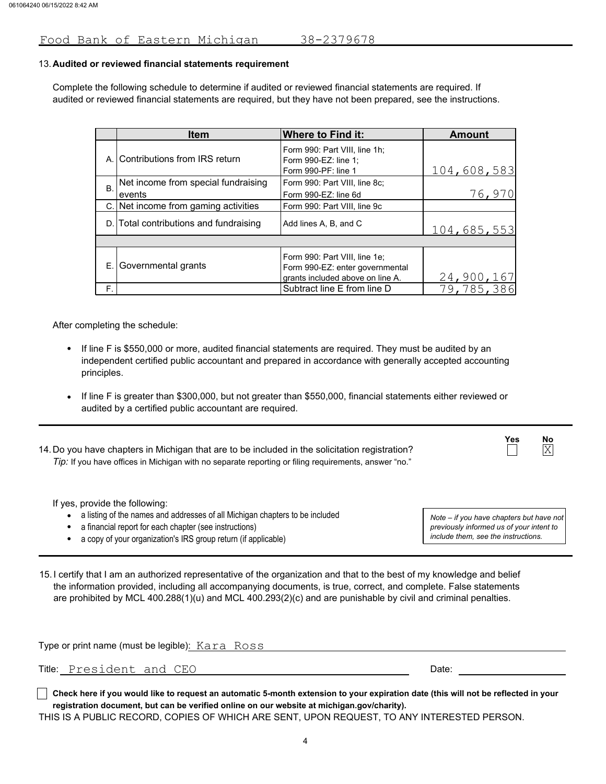### Food Bank of Eastern Michigan 38-2379678

### **Audited or reviewed financial statements requirement** 13.

Complete the following schedule to determine if audited or reviewed financial statements are required. If audited or reviewed financial statements are required, but they have not been prepared, see the instructions.

|           | <b>Item</b>                            | <b>Where to Find it:</b>                                                                             | Amount      |
|-----------|----------------------------------------|------------------------------------------------------------------------------------------------------|-------------|
| А.        | Contributions from IRS return          | Form 990: Part VIII, line 1h;<br>Form 990-EZ: line 1:<br>Form 990-PF: line 1                         | 104,608,583 |
| <b>B.</b> | Net income from special fundraising    | Form 990: Part VIII, line 8c;                                                                        |             |
|           | events                                 | Form 990-EZ: line 6d                                                                                 | 76,970      |
|           | C. Net income from gaming activities   | Form 990: Part VIII, line 9c                                                                         |             |
|           | D. Total contributions and fundraising | Add lines A, B, and C                                                                                | 104,685,553 |
|           |                                        |                                                                                                      |             |
| Е.        | Governmental grants                    | Form 990: Part VIII, line 1e;<br>Form 990-EZ: enter governmental<br>grants included above on line A. | 24,900,167  |
| F.        |                                        | Subtract line E from line D                                                                          | 79,785,386  |

After completing the schedule:

- If line F is \$550,000 or more, audited financial statements are required. They must be audited by an independent certified public accountant and prepared in accordance with generally accepted accounting principles.
- If line F is greater than \$300,000, but not greater than \$550,000, financial statements either reviewed or audited by a certified public accountant are required.
- 14.Do you have chapters in Michigan that are to be included in the solicitation registration? *Tip:* If you have offices in Michigan with no separate reporting or filing requirements, answer "no."

If yes, provide the following:

- a listing of the names and addresses of all Michigan chapters to be included
- a financial report for each chapter (see instructions)
- a copy of your organization's IRS group return (if applicable)

*include them, see the instructions. previously informed us of your intent to Note – if you have chapters but have not*

**Yes No**

 $\overline{X}$ 

15. I certify that I am an authorized representative of the organization and that to the best of my knowledge and belief the information provided, including all accompanying documents, is true, correct, and complete. False statements are prohibited by MCL 400.288(1)(u) and MCL 400.293(2)(c) and are punishable by civil and criminal penalties.

|                                                                                                  | Type or print name (must be legible): Kara Ross |       |  |  |
|--------------------------------------------------------------------------------------------------|-------------------------------------------------|-------|--|--|
|                                                                                                  | Title: President and CEO                        | Date: |  |  |
| المتاريخ والمستوفي والمترافي والمتارين والمستوفي والمستند والمستند والمستحدث والمستحدث والمستحدث |                                                 |       |  |  |

**Check here if you would like to request an automatic 5-month extension to your expiration date (this will not be reflected in your registration document, but can be verified online on our website at michigan.gov/charity).**

THIS IS A PUBLIC RECORD, COPIES OF WHICH ARE SENT, UPON REQUEST, TO ANY INTERESTED PERSON.